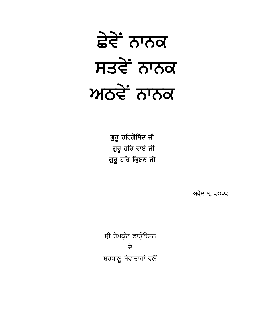# ਛੇਵੇਂ ਨਾਨਕ ਸਤਵੇਂ ਨਾਨਕ ਅਠਵੇਂ ਨਾਨਕ

ਗੁਰੂ ਹਰਿਗੋਬਿੰਦ ਜੀ ਗੁਰੂ ਹਰਿ ਰਾਏ ਜੀ ਗੁਰੂ ਹਰਿ ਕ੍ਰਿਸ਼ਨ ਜੀ

ਅਪ੍ਰੈਲ ੧, ੨੦੨੨

ਸ੍ਰੀ ਹੇਮਕੁੰਟ ਫ਼ਾਉਂਡੇਸ਼ਨ  $\hat{\vec{r}}$ ਸ਼ਰਧਾਲੂ ਸੇਵਾਦਾਰਾਂ ਵਲੋਂ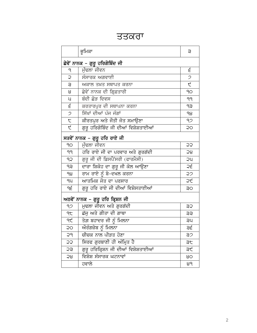### ਤਤਕਰਾ

|                                  | ਭੂਮਿਕਾ                               | з             |
|----------------------------------|--------------------------------------|---------------|
| ਛੇਵੇਂ ਨਾਨਕ – ਗੁਰੂ ਹਰਿਗੋਬਿੰਦ ਜੀ   |                                      |               |
| ٩                                | ਮੁੰਢਲਾ ਜੀਵਨ                          | ξ             |
| Ç                                | ਸੰਸਾਰਕ ਅਗਵਾਈ                         | $\mathcal{P}$ |
| Э                                | ਅਕਾਲ ਤਖ਼ਤ ਸਥਾਪਤ ਕਰਨਾ                 | Ę             |
| 8                                | ਛੇਵੇਂ ਨਾਨਕ ਦੀ ਗ੍ਰਿਫ਼ਤਾਰੀ             | 90            |
| ਪ                                | ਬੰਦੀ ਛੋੜ ਦਿਵਸ                        | 99            |
| ξ                                | ਕਰਤਾਰਪੁਰ ਦੀ ਸਥਾਪਨਾ ਕਰਨਾ              | dЗ            |
| $\mathcal{P}$                    | ਸਿੱਖਾਂ ਦੀਆਂ ਪੰਜ ਜੰਗਾਂ                | ရမ            |
| $\tau$                           | ਕੀਰਤਪੁਰ ਅਤੇ ਜੌਤੀ ਜੋਤ ਸਮਾਉਣਾ          | 92            |
| $\overline{\mathcal{L}}$         | ਗੁਰੂ ਹਰਿਗੋਬਿੰਦ ਜੀ ਦੀਆਂ ਵਿਸ਼ੇਸ਼ਤਾਈਆਂ  | QÇ            |
|                                  | ਸਤਵੇਂ ਨਾਨਕ – ਗੁਰੂ ਹਰਿ ਰਾਏ ਜੀ         |               |
| 90                               | ਮੰਢਲਾ ਜੀਵਨ                           | ÇÇ            |
| 99                               | ਹਰਿ ਰਾਏ ਜੀ ਦਾ ਪਰਵਾਰ ਅਤੇ ਗੁਰਗੱਦੀ      | 58            |
| ٩Ş                               | ਗੁਰੂ ਜੀ ਦੀ ਡਿਸਪੈਂਸਰੀ (ਫਾਰਮੈਸੀ)       | <b>QU</b>     |
| ęρ                               | ਦਾਰਾ ਸ਼ਿਕੋਹ ਦਾ ਗੁਰੂ ਜੀ ਕੋਲ ਆਉਣਾ      | ς             |
| ရမွ                              | ਰਾਮ ਰਾਏ ਨੂੰ ਬੇ-ਦਖਲ ਕਰਨਾ              | 22            |
| qu                               | ਆਤਮਿਕ ਜੋਤ ਦਾ ਪਰਸਾਰ                   | つん            |
| ٩ξ                               | ਗੁਰੂ ਹਰਿ ਰਾਏ ਜੀ ਦੀਆਂ ਵਿਸ਼ੇਸਤਾਈਆਂ     | ЗO            |
| ਅਠਵੇਂ ਨਾਨਕ – ਗੁਰੂ ਹਰਿ ਕ੍ਰਿਸ਼ਨ ਜੀ |                                      |               |
| 92                               | ਮੁਢਲਾ ਜੀਵਨ ਅਤੇ ਗੁਰਗੱਦੀ               | <b>SS</b>     |
| 9F                               | ਛੱਜੂ ਅਤੇ ਗੀਤਾ ਦੀ ਗਾਥਾ                | ЗŚ            |
| qĘ                               | ਤੇਗ਼ ਬਹਾਦਰ ਜੀ ਨੂੰ ਮਿਲਨਾ              | ЗA            |
| QQ                               | <u>ਔਰੰਗਜ਼ੇਬ ਨੂੰ</u> ਮਿਲਨਾ            | ੩੬            |
| 5d                               | <u>ਚੀਚਕ ਨਾਲ ਪੀੜਤ ਹੋਣਾ</u>            | ヨン            |
| 55                               | ਸਿਰਫ ਗੁਰਬਾਣੀ ਹੀ ਅੰਮ੍ਰਿਤ ਹੈ           | ЭF            |
| SŠ                               | ਗੁਰੂ ਹਰਿਕ੍ਰਿਸ਼ਨ ਜੀ ਦੀਆਂ ਵਿਸ਼ੇਸ਼ਤਾਈਆਂ | ੩੯            |
| 58                               | ਵਿਸ਼ੇਸ਼ ਸੰਸਾਰਕ ਘਟਨਾਵਾਂ               | 80            |
|                                  | ਹਵਾਲੇ                                | 89            |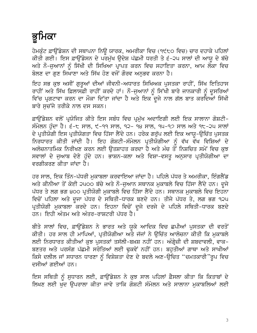## ਭੂਮਿਕਾ

ਹੇਮਕੰਟ ਫ਼ਾੳਂਡੇਸ਼ਨ ਦੀ ਸਥਾਪਨਾ ਨਿੳ ਯਾਰਕ, ਅਮਰੀਕਾ ਵਿਚ (੧੯੮੦ ਵਿਚ) ਚਾਰ ਦਹਾਕੇ ਪਹਿਲਾਂ ਕੀਤੀ ਗਈ। ਇਸ ਫ਼ਾਉਂਡੇਸਨ ਦੇ ਪਰਮੁੱਖ ਉਦੇਸ਼ ਪੱਛਮੀ ਧਰਤੀ ਤੇ ੬-੨੫ ਸਾਲਾਂ ਦੀ ਆਯੂ ਦੇ ਬੱਚੇ ਅਤੇ ਨੌ–ਜੁਆਨਾਂ ਨੂੰ ਸਿੱਖੀ ਦੀ ਸਿਖਿਆ ਪ੍ਰਾਪਤ ਕਰਨ ਵਿਚ ਸਹਾਇਤਾ ਕਰਨਾ, ਆਮ ਲੋਕਾ ਵਿਚ ਬੋਲਣ ਦਾ ਗਣ ਸਿਖਾਣਾ ਅਤੇ ਸਿੱਖ ਹੋਣ ਵਜੋਂ ਗੌਰਵ ਅਨਭਵ ਕਰਨਾ ਹੈ।

ਇਹ ਸਭ ਕੁਝ ਅਸੀਂ ਗੁਰੂਆਂ ਦੀਆਂ ਜੀਵਨੀ-ਅਧਾਰਤ ਸਿਖਿਅਕ ਪੁਸਤਕਾ ਰਾਹੀਂ, ਸਿੱਖ ਇਤਿਹਾਸ ਰਾਹੀਂ ਅਤੇ ਸਿੱਖ ਫ਼ਿਲਾਸਫ਼ੀ ਰਾਹੀਂ ਕਰਦੇ ਹਾਂ। ਨੌ-ਜੁਆਨਾਂ ਨੂੰ ਸਿੱਖੀ ਬਾਰੇ ਜਾਨਕਾਰੀ ਨੂੰ ਦੂਸਰਿਆਂ ਵਿੱਚ ਪ੍ਰਗਟਾਵਾ ਕਰਨ ਦਾ ਮੌਕਾ ਦਿੱਤਾ ਜਾਂਦਾ ਹੈ ਅਤੇ ਇਕ ਦੂਜੇ ਨਾਲ ਗੱਲ ਬਾਤ ਕਰਦਿਆਂ ਸਿੱਖੀ ਬਾਰੇ ਸਚੱਜੇ ਤਰੀਕੇ ਨਾਲ ਦਸ ਸਕਨ।

ਫ਼ਾਉਂਡੇਸ਼ਨ ਵਲੋਂ ਪ੍ਰਯੋਜਿਤ ਕੀਤੇ ਇਸ ਸਬੰਧ ਵਿਚ ਪ੍ਰਮੱਖ ਅਦਾਇਗੀ ਲਈ ਇਕ ਸਾਲਾਨਾ ਗੋਸ਼ਟੀ-ਸੰਮੇਲਨ ਹੁੰਦਾ ਹੈ। ੬-੮ ਸਾਲ, ੯-੧੧ ਸਾਲ, ੧੨- ੧੪ ਸਾਲ, ੧ਪ-੧੭ ਸਾਲ ਅਤੇ ੧੮-੨੫ ਸਾਲਾਂ ਦੇ ਪ੍ਰਤੀਯੋਗੀ ਇਸ ਪ੍ਰਤੀਯੋਗਤਾ ਵਿਚ ਹਿੱਸਾ ਲੈਂਦੇ ਹਨ। ਹਰੇਕ ਗਰੱਪ ਲਈ ਇਕ ਆਯ-ੳਚਿੱਤ ਪਸਤਕ ਨਿਰਧਾਰਤ ਕੀਤੀ ਜਾਂਦੀ ਹੈ। ਇਹ ਗੋਸ਼ਟੀ-ਸੰਮੇਲਨ ਪ੍ਰਤੀਯੋਗੀਆ ਨੂੰ ਵੱਖ ਵੱਖ ਵਿਸ਼ਿਆਂ ਦੇ ਅਲੋਚਨਾਤਮਿਕ ਨਿਰੀਖਣ ਕਰਨ ਲਈ ਉਤਸ਼ਾਹਤ ਕਰਦਾ ਹੈ ਅਤੇ ਮੰਚ ਤੋਂ ਨਿਸ਼ਚਿਤ ਸਮੇਂ ਵਿਚ ਕੁਝ ਸਵਾਲਾਂ ਦੇ ਜੁਆਬ ਦੇਣੇ ਹੁੰਦੇ ਹਨ। ਭਾਸ਼ਨ-ਕਲਾ ਅਤੇ ਵਿਸ਼ਾ-ਵਸਤੂ ਅਨੁਸਾਰ ਪ੍ਰਤੀਯੋਗੀਆ ਦਾ ਵਰਗੀਕਰਣ ਕੀਤਾ ਜਾਂਦਾ ਹੈ।

ਹਰ ਸਾਲ, ਇਕ ਤਿੰਨ-ਪੱਧਰੀ ਮਕਾਬਲਾ ਕਰਵਾਇਆ ਜਾਂਦਾ ਹੈ। ਪਹਿਲੇ ਪੱਧਰ ਤੇ ਅਮਰੀਕਾ, ਇੰਗਲੈਂਡ ਅਤੇ ਕੀਨੀਆ ਤੋਂ ਕੋਈ ੨੫੦੦ ਬੱਚੇ ਅਤੇ ਨੌ-ਜੁਆਨ ਸਥਾਨਕ ਮੁਕਾਬਲੇ ਵਿਚ ਹਿੱਸਾ ਲੈਂਦੇ ਹਨ। ਦੂਜੇ ਪੱਧਰ ਤੇ ਲਗ ਭਗ ੪੦੦ ਪ੍ਰਤੀਯੋਗੀ ਮੁਕਾਬਲੇ ਵਿਚ ਹਿੱਸਾ ਲੈਂਦੇ ਹਨ। ਸਥਾਨਕ ਮੁਕਾਬਲੇ ਵਿਚ ਇਹਨਾ ਵਿਚੋਂ ਪਹਿਲਾ ਅਤੇ ਦੂਜਾ ਪੱਧਰ ਦੇ ਸਥਿਤੀ-ਧਾਰਕ ਬਣਦੇ ਹਨ। ਤੀਜੇ ਪੱਧਰ ਤੇ, ਲਗ ਭਗ ੧੨੫ ਪ੍ਰਤੀਯੋਗੀ ਮੁਕਾਬਲਾ ਕਰਦੇ ਹਨ। ਇਹਨਾ ਵਿਚੋਂ ਦੂਜੇ ਦਰਜੇ ਦੇ ਪਹਿਲੇ ਸਥਿਤੀ-ਧਾਰਕ ਬਣਦੇ ਹਨ। ਇਹੀ ਅੰਤਮ ਅਤੇ ਅੰਤਰ-ਰਾਸ਼ਟਰੀ ਪੱਧਰ ਹੈ।

ਬੀਤੇ ਸਾਲਾਂ ਵਿਚ, ਫ਼ਾਉਂਡੇਸ਼ਨ ਨੇ ਭਾਰਤ ਅਤੇ ਯੁਕੇ ਆਦਿਕ ਵਿਚ ਛਪੀਆਂ ਪੁਸਤਕਾ ਦੀ ਵਰਤੋਂ ਕੀਤੀ। ਹਰ ਸਾਲ ਹੀ ਮਾਪਿਆਂ, ਪ੍ਰਤੀਯੋਗੀਆ ਅਤੇ ਜੱਜਾਂ ਨੇ ਉਚਿੱਤ ਆਲੋਚਨਾ ਕੀਤੀ ਕਿ ਮੁਕਾਬਲੇ ਲਈ ਨਿਰਧਾਰਤ ਕੀਤੀਆਂ ਕੁਝ ਪੁਸਤਕਾਂ ਤਸੱਲੀ-ਬਖ਼ਸ਼ ਨਹੀਂ ਹਨ। ਅੰਗ੍ਰੇਜ਼ੀ ਦੀ ਸ਼ਬਦਾਵਲੀ, ਵਾਕ-ਬਣਤਰ ਅਤੇ ਪਰਸੰਗ ਪੱਛਮੀ ਸਰੋਤਿਆਂ ਲਈ ਢੁਕਵੇਂ ਨਹੀਂ ਹਨ। ਬਹੁਤੀਆਂ ਗਾਥਾ ਅਤੇ ਸਾਖੀਆਂ ਕਿਸੇ ਦਲੀਲ ਜਾਂ ਸਧਾਰਨ ਧਾਰਣਾ ਨੂੰ ਵਿਸ਼ੇਸ਼ਤਾ ਦੇਣ ਦੇ ਬਦਲੇ ਅਣ-ਉਚਿਤ "ਚਮਤਕਾਰੀ"ਰੂਪ ਵਿਚ ਦਸੀਆਂ ਗਈਆਂ ਹਨ।

ਇਸ ਸਥਿਤੀ ਨੂੰ ਸੁਧਾਰਨ ਲਈ, ਫ਼ਾਉਂਡੇਸ਼ਨ ਨੇ ਕੁਝ ਸਾਲ ਪਹਿਲਾਂ ਫ਼ੈਸਲਾ ਕੀਤਾ ਕਿ ਕਿਤਾਬਾਂ ਦੇ ਲਿਖਣ ਲਈ ਖੱਦ ਉਪਰਾਲਾ ਕੀਤਾ ਜਾਵੇ ਤਾਕਿ ਗੋਸ਼ਟੀ ਸੰਮੇਲਨ ਅਤੇ ਸਾਲਾਨਾ ਮਕਾਬਲਿਆਂ ਲਈ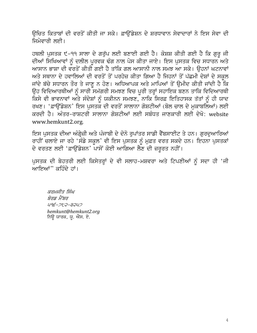ਉਚਿਤ ਕਿਤਾਬਾਂ ਦੀ ਵਰਤੋਂ ਕੀਤੀ ਜਾ ਸਕੇ। ਫ਼ਾਉਂਡੇਸ਼ਨ ਦੇ ਸ਼ਰਧਾਵਾਨ ਸੇਵਾਦਾਰਾਂ ਨੇ ਇਸ ਸੇਵਾ ਦੀ ਜਿਮੇਵਾਰੀ ਲਈ।

ਹਥਲੀ ਪੁਸਤਕ ੯-੧੧ ਸਾਲਾ ਦੇ ਗਰੁੱਪ ਲਈ ਬਣਾਈ ਗਈ ਹੈ। ਕੋਸ਼ਸ਼ ਕੀਤੀ ਗਈ ਹੈ ਕਿ ਗੁਰੂ ਜੀ ਦੀਆਂ ਸਿਖਿਆਵਾਂ ਨੂੰ ਦਲੀਲ ਪੁਰਵਕ ਢੰਗ ਨਾਲ ਪੇਸ ਕੀਤਾ ਜਾਏ। ਇਸ ਪੁਸਤਕ ਵਿਚ ਸਧਾਰਨ ਅਤੇ ਆਸਾਨ ਭਾਸ਼ਾ ਦੀ ਵਰਤੋਂ ਕੀਤੀ ਗਈ ਹੈ ਤਾਂਕਿ ਗਲ ਆਸਾਨੀ ਨਾਲ ਸਮਝ ਆ ਸਕੇ। ਉਹਨਾਂ ਘਟਨਾਵਾਂ ਅਤੇ ਸਥਾਨਾ ਦੇ ਹਵਾਲਿਆਂ ਦੀ ਵਰਤੋਂ ਤੋਂ ਪਰਹੇਜ਼ ਕੀਤਾ ਗਿਆ ਹੈ ਜਿਹਨਾਂ ਤੋਂ ਪੱਛਮੀ ਦੇਸ਼ਾਂ ਦੇ ਸਕੂਲ ਜਾਂਦੇ ਬੱਚੇ ਸਧਾਰਨ ਤੌਰ ਤੇ ਜਾਣੂ ਨ ਹੋਣ। ਅਧਿਆਪਕ ਅਤੇ ਮਾਪਿਆਂ ਤੋਂ ਉਮੀਦ ਕੀਤੀ ਜਾਂਦੀ ਹੈ ਕਿ ਉਹ ਵਿਦਿਆਰਥੀਆਂ ਨੂੰ ਸਾਰੀ ਸਮੱਗਰੀ ਸਮਝਣ ਵਿਚ ਪੂਰੀ ਤਰ੍ਹਾਂ ਸਹਾਇਕ ਬਣਨ ਤਾਕਿ ਵਿਦਿਆਰਥੀ ਕਿਸੇ ਵੀ ਭਾਵਨਾਵਾਂ ਅਤੇ ਸੰਦੇਸ਼ਾਂ ਨੂੰ ਯਕੀਨਨ ਸਮਝਣ, ਨਾਕਿ ਸਿਰਫ਼ ਇਤਿਹਾਸਕ ਤੱਤਾਂ ਨੂੰ ਹੀ ਯਾਦ ਰਖਣ। 'ਫ਼ਾਉਂਡੇਸ਼ਨ' ਇਸ ਪੁਸਤਕ ਦੀ ਵਰਤੋਂ ਸਾਲਾਨਾ ਗੋਸ਼ਟੀਆਂ (ਬੋਲ ਚਾਲ ਦੇ ਮੁਕਾਬਲਿਆਂ) ਲਈ ਕਰਦੀ ਹੈ। ਅੰਤਰ-ਰਾਸ਼ਟਰੀ ਸਾਲਾਨਾ ਗੋਸਟੀਆਂ ਲਈ ਸਬੰਧਤ ਜਾਣਕਾਰੀ ਲਈ ਦੇਖੋ<sup>.</sup> website www.hemkunt2.org.

ਇਸ ਪੁਸਤਕ ਦੀਆ ਅੰਗ੍ਰੇਜ਼ੀ ਅਤੇ ਪੰਜਾਬੀ ਦੇ ਦੋਨੋ ਰੁਪਾਂਤਰ ਸਾਡੀ ਵੈੱਬਸਾਈਟ ਤੇ ਹਨ। ਗੁਰਦੁਆਰਿਆਂ ਰਾਹੀਂ ਚਲਾਏ ਜਾ ਰਹੇ 'ਸੰਡੇ ਸਕੂਲ' ਵੀ ਇਸ ਪੁਸਤਕ ਨੂੰ ਮੁਫ਼ਤ ਵਰਤ ਸਕਦੇ ਹਨ। ਇਹਨਾ ਪੁਸਤਕਾਂ ਦੇ ਵਰਤਣ ਲਈ 'ਫ਼ਾਉਂਡੇਸ਼ਨ' ਪਾਸੋਂ ਕੋਈ ਆਗਿਆ ਲੈਣ ਦੀ ਜ਼ਰੂਰਤ ਨਹੀਂ।

ਪੁਸਤਕ ਦੀ ਬੇਹਤਰੀ ਲਈ ਕਿਸੇਤਰ੍ਹਾਂ ਦੇ ਵੀ ਸਲਾਹ-ਮਸ਼ਵਰਾ ਅਤੇ ਟਿਪਣੀਆਂ ਨੂੰ ਸਦਾ ਹੀ 'ਜੀ ਆਇਆਂ" ਕਹਿੰਦੇ ਹਾਂ।

ਕਰਮਜੀਤ ਸਿੰਘ ਬੋਰਡ ਮੈਂਬਰ U9É-2t2-32U2 hemkunt@hemkunt2.org ਨਿਊ ਯਾਰਕ, ਯੂ. ਐੱਸ. ਏ.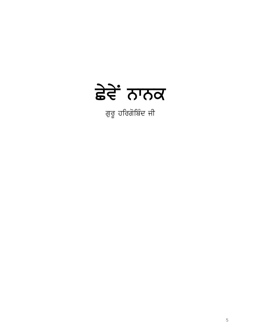

ਗੁਰੂ ਹਰਿਗੋਬਿੰਦ ਜੀ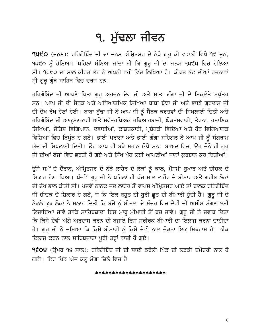### ੧. ਮੱਢਲਾ ਜੀਵਨ

**੧੫੯੦** (ਜਨਮ): ਹਰਿਗੋਬਿੰਦ ਜੀ ਦਾ ਜਨਮ ਅੰਮ੍ਰਿਤਸਰ ਦੇ ਨੇੜੇ ਗੁਰੂ ਕੀ ਵਡਾਲੀ ਵਿਖੇ ੧੯ ਜੂਨ, ੧੫੯੦ ਨੂੰ ਹੋਇਆ। ਪਹਿਲਾਂ ਮੰਨਿਆ ਜਾਂਦਾ ਸੀ ਕਿ ਗੁਰੂ ਜੀ ਦਾ ਜਨਮ ੧੫੯੫ ਵਿਚ ਹੋਇਆ ਸੀ। ੧੫੯੦ ਦਾ ਸਾਲ ਕੀਰਤ ਭੱਟ ਨੇ ਅਪਨੀ ਵਹੀ ਵਿੱਚ ਲਿਖਿਆ ਹੈ। ਕੀਰਤ ਭੱਟ ਦੀਆਂ ਰਚਨਾਵਾਂ ਸ੍ਰੀ ਗੁਰੂ ਗ੍ਰੰਥ ਸਾਹਿਬ ਵਿਚ ਦਰਜ ਹਨ।

ਹਰਿਗੋਬਿੰਦ ਜੀ ਆਪਣੇ ਪਿਤਾ ਗੁਰੂ ਅਰਜਨ ਦੇਵ ਜੀ ਅਤੇ ਮਾਤਾ ਗੰਗਾ ਜੀ ਦੇ ਇਕਲੋਤੇ ਸਪੁੱਤਰ ਸਨ। ਆਪ ਜੀ ਦੀ ਸੈਨਕ ਅਤੇ ਅਧਿਆਤਮਿਕ ਸਿਖਿਆ ਬਾਬਾ ਬੁੱਢਾ ਜੀ ਅਤੇ ਭਾਈ ਗੁਰਦਾਸ ਜੀ ਦੀ ਦੇਖ ਰੇਖ ਹੇਠਾਂ ਹੋਈ। ਬਾਬਾ ਬੁੱਢਾ ਜੀ ਨੇ ਆਪ ਜੀ ਨੂੰ ਸੈਨਕ ਕਰਤਵਾਂ ਦੀ ਸਿਖਲਾਈ ਦਿਤੀ ਅਤੇ ਹਰਿਗੋਬਿੰਦ ਜੀ ਆਕਮਣਕਾਰੀ ਅਤੇ ਸਵੈ-ਰਖਿਅਕ ਹਥਿਆਰਬਾਜ਼ੀ, ਘੋੜ-ਸਵਾਰੀ, ਤੈਰਨਾ, ਰਸਾਣਿਕ ਸਿਖਿਆ, ਜੋਤਿਸ਼ ਵਿਗਿਆਨ, ਦਵਾਈਆਂ, ਕਾਸ਼ਤਕਾਰੀ, ਪ੍ਰਬੰਧਕੀ ਵਿਦਿਆ ਅਤੇ ਹੋਰ ਵਿਗਿਆਨਕ ਵਿਸ਼ਿਆਂ ਵਿਚ ਨਿਪੁੰਨ ਹੋ ਗਏ। ਭਾਈ ਪਰਾਗਾ ਅਤੇ ਭਾਈ ਗੰਗਾ ਸਹਿਗਲ ਨੇ ਆਪ ਜੀ ਨੂੰ ਸੰਗਰਾਮ ਯੁੱਦ ਦੀ ਸਿਖਲਾਈ ਦਿਤੀ। ਉਹ ਆਪ ਵੀ ਬੜੇ ਮਹਾਨ ਯੋਧੇ ਸਨ। ਬਾਅਦ ਵਿਚ, ਉਹ ਦੋਨੋ ਹੀ ਗੁਰੁ ਜੀ ਦੀਆਂ ਫੌਜਾਂ ਵਿਚ ਭਰਤੀ ਹੋ ਗਏ ਅਤੇ ਸਿੱਖ ਪੰਥ ਲਈ ਆਪਣੀਆਂ ਜਾਨਾਂ ਕਰਬਾਨ ਕਰ ਦਿਤੀਆਂ।

ਉਸੇ ਸਮੇਂ ਦੇ ਦੌਰਾਨ, ਅੰਮ੍ਰਿਤਸਰ ਦੇ ਨੇੜੇ ਲਾਹੌਰ ਦੇ ਲੋਕਾਂ ਨੂੰ ਕਾਲ, ਮੌਸਮੀ ਬੁਖਾਰ ਅਤੇ ਚੀਚਕ ਦੇ ਸ਼ਿਕਾਰ ਹੋਣਾ ਪਿਆ। ਪੰਜਵੇਂ ਗੁਰੂ ਜੀ ਨੇ ਪਹਿਲਾਂ ਹੀ ਪੰਜ ਸਾਲ ਲਾਹੌਰ ਦੇ ਬੀਮਾਰ ਅਤੇ ਗਰੀਬ ਲੋਕਾਂ ਦੀ ਦੇਖ ਭਾਲ ਕੀਤੀ ਸੀ। ਪੰਜਵੇਂ ਨਾਨਕ ਜਦ ਲਾਹੌਰ ਤੋਂ ਵਾਪਸ ਅੰਮ੍ਰਿਤਸਰ ਆਏ ਤਾਂ ਬਾਲਕ ਹਰਿਗੋਬਿੰਦ ਜੀ ਚੀਚਕ ਦੇ ਸ਼ਿਕਾਰ ਹੋ ਗਏ, ਜੋ ਕਿ ਇਕ ਬਹੁਤ ਹੀ ਬੁਰੀ ਛੁਤ ਦੀ ਬੀਮਾਰੀ ਹੁੰਦੀ ਹੈ। ਗੁਰੂ ਜੀ ਦੇ ਨੇੜਲੇ ਕੁਝ ਲੋਕਾਂ ਨੇ ਸਲਾਹ ਦਿਤੀ ਕਿ ਬੱਚੇ ਨੂੰ ਸੀਤਲਾ ਦੇ ਮੰਦਰ ਵਿਚ ਦੇਵੀ ਦੀ ਅਸੀਸ ਮੰਗਣ ਲਈ ਲਿਜਾਇਆ ਜਾਵੇ ਤਾਕਿ ਸਾਹਿਬਜ਼ਾਦਾ ਇਸ ਮਾਰੂ ਮੀਮਾਰੀ ਤੋਂ ਬਚ ਜਾਵੇ। ਗੁਰੂ ਜੀ ਨੇ ਜਵਾਬ ਦਿਤਾ ਕਿ ਕਿਸੇ ਦੇਵੀ ਅੱਗੇ ਅਰਦਾਸ ਕਰਨ ਦੀ ਬਜਾਏ ਇਸ ਸਰੀਰਕ ਬੀਮਾਰੀ ਦਾ ਇਲਾਜ ਕਰਨਾ ਚਾਹੀਦਾ ਹੈ। ਗੁਰੁ ਜੀ ਨੇ ਦਸਿਆ ਕਿ ਕਿਸੇ ਬੀਮਾਰੀ ਨੂੰ ਕਿਸੇ ਦੇਵੀ ਨਾਲ ਜੋੜਨਾ ਇਕ ਮਿਥਹਾਸ ਹੈ। ਠੀਕ ਇਲਾਜ ਕਰਨ ਨਾਲ ਸਾਹਿਬਜ਼ਾਦਾ ਪੁਰੀ ਤਰ੍ਹਾਂ ਰਾਜ਼ੀ ਹੋ ਗਏ।

9ÉO8 (ਉਮਰ ੧੪ ਸਾਲ): ਹਰਿਗੋਬਿੰਦ ਜੀ ਦੀ ਸ਼ਾਦੀ ਡਰੋਲੀ ਪਿੰਡ ਦੀ ਲੜਕੀ ਦਮੋਦਰੀ ਨਾਲ ਹੋ ਗਈ। ਇਹ ਪਿੰਡ ਅੱਜ ਕਲ੍ਹ ਮੋਗਾ ਜ਼ਿਲੇ ਵਿਚ ਹੈ।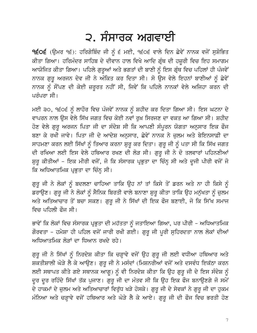### ੨. ਸੰਸਾਰਕ ਅਗਵਾਈ

੧੬੦੬ (ਉਮਰ ੧੬): ਹਰਿਗੋਬਿੰਦ ਜੀ ਨੂੰ ੬ ਮਈ, ੧੬੦੬ ਵਾਲੇ ਦਿਨ ਛੇਵੇਂ ਨਾਨਕ ਵਜੋਂ ਸੁਸ਼ੋਭਿਤ ਕੀਤਾ ਗਿਆ। ਹਰਿਮੰਦਰ ਸਾਹਿਬ ਦੇ ਦੀਵਾਨ ਹਾਲ ਵਿਖੇ ਆਦਿ ਗ੍ਰੰਥ ਦੀ ਹਜ਼ੂਰੀ ਵਿਚ ਇਹ ਸਮਾਗਮ ਆਯੋਜਿਤ ਕੀਤਾ ਗਿਆ। ਪਹਿਲੇ ਗੁਰੂਆਂ ਅਤੇ ਭਗਤਾਂ ਦੀ ਬਾਣੀ ਨੂੰ ਇਸ ਗ੍ਰੰਥ ਵਿਚ ਪਹਿਲਾਂ ਹੀ ਪੰਜਵੇਂ ਨਾਨਕ ਗੁਰੂ ਅਰਜਨ ਦੇਵ ਜੀ ਨੇ ਅੰਕਿਤ ਕਰ ਦਿਤਾ ਸੀ। ਸੋ ਉਸ ਵੇਲੇ ਇਹਨਾਂ ਬਾਣੀਆਂ ਨੂੰ ਛੇਵੇਂ ਨਾਨਕ ਨੂੰ ਸੌਂਪਣ ਦੀ ਕੋਈ ਜ਼ਰੂਰਤ ਨਹੀਂ ਸੀ, ਜਿਵੇਂ ਕਿ ਪਹਿਲੇ ਨਾਨਕਾਂ ਵੇਲੇ ਅਜਿਹਾ ਕਰਨ ਦੀ ਪਰੰਪਰਾ ਸੀ।

ਮਈ ੩੦, ੧੬੦੬ ਨੂੰ ਲਾਹੌਰ ਵਿਚ ਪੰਜਵੇਂ ਨਾਨਕ ਨੂੰ ਸ਼ਹੀਦ ਕਰ ਦਿਤਾ ਗਿਆ ਸੀ। ਇਸ ਘਟਨਾ ਦੇ ਵਾਪਰਨ ਨਾਲ ਉਸ ਵੇਲੇ ਸਿੱਖ ਜਗਤ ਵਿਚ ਕੋਈ ਨਵਾਂ ਰੁਖ਼ ਸਿਰਜਣ ਦਾ ਵਕਤ ਆ ਗਿਆ ਸੀ। ਸ਼ਹੀਦ ਹੋਣ ਵੇਲੇ ਗੁਰੂ ਅਰਜਨ ਪਿਤਾ ਜੀ ਦਾ ਸੰਦੇਸ਼ ਸੀ ਕਿ ਆਪਣੀ ਸੰਪੂਰਨ ਯੋਗਤਾ ਅਨੁਸਾਰ ਇਕ ਫੌਜ ਬਣਾ ਕੇ ਰਖੀ ਜਾਵੇ। ਪਿਤਾ ਜੀ ਦੇ ਆਦੇਸ਼ ਅਨੁਸਾਰ, ਛੇਵੇਂ ਨਾਨਕ ਨੇ ਜ਼ੁਲਮ ਅਤੇ ਬੇਇਨਸਾਫ਼ੀ ਦਾ ਸਾਹਮਣਾ ਕਰਨ ਲਈ ਸਿੱਖਾਂ ਨੂੰ ਤਿਆਰ ਕਰਨਾ ਸ਼ੁਰੂ ਕਰ ਦਿਤਾ। ਗੁਰੂ ਜੀ ਨੂੰ ਪਤਾ ਸੀ ਕਿ ਸਿੱਖ ਜਗਤ ਦੀ ਰਖਿਆ ਲਈ ਇਸ ਵੇਲੇ ਹਥਿਆਰ ਰਖਣ ਦੀ ਲੋੜ ਸੀ। ਗੁਰੂ ਜੀ ਨੇ ਦੋ ਤਲਵਾਰਾਂ ਪਹਿਨਣੀਆਂ ਸ਼ੁਰੂ ਕੀਤੀਆਂ – ਇਕ ਮੀਰੀ ਵਜੋਂ, ਜੋ ਕਿ ਸੰਸਾਰਕ ਪ੍ਰਭੁਤਾ ਦਾ ਚਿੰਨ੍ਹ ਸੀ ਅਤੇ ਦੂਜੀ ਪੀਰੀ ਵਜੋਂ ਜੋ ਕਿ ਅਧਿਆਤਮਿਕ ਪ੍ਰਭੁਤਾ ਦਾ ਚਿੰਨ੍ਹ ਸੀ।

ਗੁਰੂ ਜੀ ਨੇ ਲੋਕਾਂ ਨੂੰ ਬਦਲਣਾ ਚਾਹਿਆ ਤਾਕਿ ਉਹ ਨਾਂ ਤਾਂ ਕਿਸੇ ਤੋਂ ਡਰਨ ਅਤੇ ਨਾ ਹੀ ਕਿਸੇ ਨੂੰ ਡਰਾਉਣ। ਗੁਰੁ ਜੀ ਨੇ ਲੋਕਾਂ ਨੂੰ ਸੈਨਿਕ ਬਿਰਤੀ ਵਾਲੇ ਬਨਾਣਾ ਸ਼ੁਰੂ ਕੀਤਾ ਤਾਕਿ ਉਹ ਮਨੁੱਖਤਾ ਨੂੰ ਜ਼ੁਲਮ ਅਤੇ ਅਤਿਆਚਾਰ ਤੋਂ ਬਚਾ ਸਕਣ। ਗੁਰੂ ਜੀ ਨੇ ਸਿੱਖਾਂ ਦੀ ਇਕ ਫੌਜ ਬਣਾਈ, ਜੋ ਕਿ ਸਿੱਖ ਸਮਾਜ ਵਿਚ ਪਹਿਲੀ ਫੌਜ ਸੀ।

ਭਾਵੇਂ ਕਿ ਲੋਕਾਂ ਵਿਚ ਸੰਸਾਰਕ ਪ੍ਰਭੁਤਾ ਦੀ ਮਹੱਤਤਾ ਨੂੰ ਜਤਾਇਆ ਗਿਆ, ਪਰ ਪੀਰੀ – ਅਧਿਆਤਮਿਕ ਗੌਰਵਤਾ – ਹਮੇਸ਼ਾ ਹੀ ਪਹਿਲ ਵਜੋਂ ਜਾਰੀ ਰਖੀ ਗਈ। ਗੁਰੂ ਜੀ ਪੂਰੀ ਸੁਹਿਰਦਤਾ ਨਾਲ ਲੋਕਾਂ ਦੀਆਂ ਅਧਿਆਤਮਿਕ ਲੋੜਾਂ ਦਾ ਧਿਆਨ ਰਖਦੇ ਰਹੇ।

ਗੁਰੂ ਜੀ ਨੇ ਸਿੱਖਾਂ ਨੂੰ ਨਿਰਦੇਸ਼ ਕੀਤਾ ਕਿ ਚੜ੍ਹਾਵੇ ਵਜੋਂ ਉਹ ਗੁਰੂ ਜੀ ਲਈ ਵਧੀਆ ਹਥਿਆਰ ਅਤੇ ਸ਼ਕਤੀਸ਼ਾਲੀ ਘੋੜੇ ਲੈ ਕੇ ਆਉਣ। ਗੁਰੂ ਜੀ ਨੇ ਮਸੰਦਾਂ (ਮਿਸ਼ਨਰੀਆਂ ਵਜੋਂ ਅਤੇ ਦਸਵੰਧ ਇਕੱਠਾ ਕਰਨ ਲਈ ਸਥਾਪਤ ਕੀਤੇ ਗਏ ਸਥਾਨਕ ਆਗੂ) ਨੂੰ ਵੀ ਨਿਰਦੇਸ਼ ਕੀਤਾ ਕਿ ਉਹ ਗੁਰੂ ਜੀ ਦੇ ਇਸ ਸੰਦੇਸ਼ ਨੂੰ ਦੂਰ ਦੂਰ ਰਹਿੰਦੇ ਸਿੱਖਾਂ ਤੱਕ ਪੁਜਾਣ। ਗੁਰੂ ਜੀ ਦਾ ਮੰਤਵ ਸੀ ਕਿ ਉਹ ਇਕ ਫੌਜ ਬਨਾਉਣਗੇ ਜੋ ਸਮੇਂ ਦੇ ਹਾਕਮਾਂ ਦੇ ਜ਼ੁਲਮ ਅਤੇ ਅਤਿਆਚਾਰਾਂ ਵਿਰੁੱਧ ਖੜੇ ਹੋਸਕੇ। ਗੁਰੂ ਜੀ ਦੇ ਸੇਵਕਾਂ ਨੇ ਗੁਰੂ ਜੀ ਦਾ ਹੁਕਮ ਮੰਨਿਆ ਅਤੇ ਚੜ੍ਹਾਵੇ ਵਜੋਂ ਹਥਿਆਰ ਅਤੇ ਘੋੜੇ ਲੈ ਕੇ ਆਏ। ਗੁਰੂ ਜੀ ਦੀ ਫੌਜ ਵਿਚ ਭਰਤੀ ਹੋਣ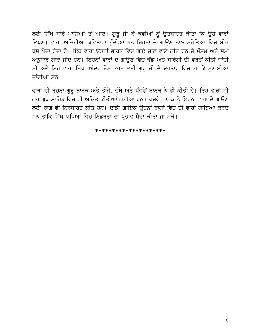ਲਈ ਸਿੱਖ ਸਾਰੇ ਪਾਸਿਆਂ ਤੋਂ ਆਏ। ਗੁਰੂ ਜੀ ਨੇ ਕਵੀਆਂ ਨੂੰ ਉਤਸ਼ਾਹਤ ਕੀਤਾ ਕਿ ਉਹ ਵਾਰਾਂ ਲਿਖਣ। ਵਾਰਾਂ ਅਜਿਹੀਆਂ ਕਵਿਤਾਵਾਂ ਹੁੰਦੀਆਂ ਹਨ ਜਿਹਨਾਂ ਦੇ ਗਾਉਣ ਨਾਲ ਸਰੋਤਿਆਂ ਵਿਚ ਬੀਰ ਰਸ ਪੈਦਾ ਹੰਦਾ ਹੈ। ਇਹ ਵਾਰਾਂ ੳਤਰੀ ਭਾਰਤ ਵਿਚ ਗਾਏ ਜਾਣ ਵਾਲੇ ਗੀਤ ਹਨ ਜੋ ਮੌਸਮ ਅਤੇ ਸਮੇਂ ਅਨੁਸਾਰ ਗਾਏ ਜਾਂਦੇ ਹਨ। ਇਹਨਾਂ ਵਾਰਾਂ ਦੇ ਗਾਉਣ ਵਿਚ ਢੱਡ ਅਤੇ ਸਾਰੰਗੀ ਦੀ ਵਰਤੋਂ ਕੀਤੀ ਜਾਂਦੀ ਸੀ ਅਤੇ ਇਹ ਵਾਰਾਂ ਸਿੱਖਾਂ ਅੰਦਰ ਜੋਸ਼ ਭਰਨ ਲਈ ਗੁਰੂ ਜੀ ਦੇ ਦਰਬਾਰ ਵਿਚ ਗਾ ਕੇ ਸੁਣਾਈਆਂ ਜਾਂਦੀਆ ਸਨ।

ਵਾਰਾਂ ਦੀ ਰਚਨਾ ਗੁਰੂ ਨਾਨਕ ਅਤੇ ਤੀਜੇ, ਚੌਥੇ ਅਤੇ ਪੰਜਵੇਂ ਨਾਨਕ ਨੇ ਵੀ ਕੀਤੀ ਹੈ। ਇਹ ਵਾਰਾਂ ਸ੍ਰੀ ਗੁਰੂ ਗ੍ਰੰਥ ਸਾਹਿਬ ਵਿਚ ਵੀ ਅੰਕਿਤ ਕੀਤੀਆਂ ਗਈਆਂ ਹਨ। ਪੰਜਵੇਂ ਨਾਨਕ ਨੇ ਇਹਨਾਂ ਵਾਰਾਂ ਦੇ ਗਾਉਣ ਲਈ ਰਾਗ ਵੀ ਨਿਰਧਾਰਤ ਕੀਤੇ ਹਨ। ਢਾਡੀ ਗਾਇਕ ਉਹਨਾਂ ਰਾਗਾਂ ਵਿਚ ਹੀ ਵਾਰਾਂ ਗਾਇਆ ਕਰਦੇ ਸਨ ਤਾਕਿ ਸਿੱਖ ਯੋਧਿਆਂ ਵਿਚ ਨਿਡਰਤਾ ਦਾ ਪ੍ਰਭਾਵ ਪੈਦਾ ਕੀਤਾ ਜਾ ਸਕੇ।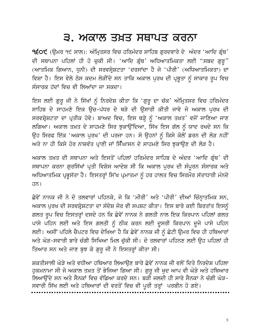### ੩. ਅਕਾਲ ਤਖ਼ਤ ਸਥਾਪਤ ਕਰਨਾ

੧੬੦੯ (ਉਮਰ ੧੯ ਸਾਲ): ਅੰਮ੍ਰਿਤਸਰ ਵਿਚ ਹਰਿਮੰਦਰ ਸਾਹਿਬ ਗੁਰਦਵਾਰੇ ਦੇ ਅੰਦਰ 'ਆਦਿ ਗ੍ਰੰਥ' ਦੀ ਸਥਾਪਨਾ ਪਹਿਲਾਂ ਹੀ ਹੋ ਚੁਕੀ ਸੀ। 'ਆਦਿ ਗ੍ਰੰਥ' ਅਧਿਆਤਮਿਕਤਾ ਲਈ "ਸਬਦ ਗੁਰੂ" (ਆਤਮਿਕ ਗਿਆਨ, ਧੁਨੀ) ਦੀ ਸਰਵਸ੍ਰੇਸ਼ਟਤਾ 'ਦਰਸਾਂਦਾ ਹੈ ਜੋ 'ਪੀਰੀ' (ਅਧਿਆਤਮਿਕਤਾ) ਦਾ ਵਿਸ਼ਾ ਹੈ। ਇਸ ਵੇਲੇ ਠੋਸ ਕਦਮ ਲੋੜੀਂਦੇ ਸਨ ਤਾਕਿ ਅਕਾਲ ਪੂਰਖ ਦੀ ਪ੍ਰਭੂਤਾ ਨੂੰ ਸਾਕਾਰ ਰੂਪ ਵਿਚ ਸੰਸਾਰਕ ਹੱਦਾਂ ਵਿਚ ਵੀ ਲਿਆਂਦਾ ਜਾ ਸਕਦਾ।

ਇਸ ਲਈ ਗੁਰੁ ਜੀ ਨੇ ਸਿੱਖਾਂ ਨੂੰ ਨਿਰਦੇਸ਼ ਕੀਤਾ ਕਿ 'ਗੁਰੂ ਦਾ ਚੱਕ' ਅੰਮ੍ਰਿਤਸਰ ਵਿਚ ਹਰਿਮੰਦਰ ਸਾਹਿਬ ਦੇ ਸਾਹਮਣੇ ਇਕ ਉਚ-ਪੱਧਰ ਦੇ ਥੜੇ ਦੀ ਉਸਾਰੀ ਕੀਤੀ ਜਾਵੇ ਜੋ ਅਕਾਲ ਪੁਰਖ ਦੀ ਸਰਵਸ਼੍ਰੇਸ਼ਟਤਾ ਦਾ ਪ੍ਰਤੀਕ ਹੋਵੇ। ਬਾਅਦ ਵਿਚ, ਇਸ ਥੜ੍ਹੇ ਨੂੰ 'ਅਕਾਲ ਤਖ਼ਤ' ਵਜੋਂ ਜਾਣਿਆ ਜਾਣ ਲਗਿਆ। ਅਕਾਲ ਤਖ਼ਤ ਦੇ ਸਾਹਮਣੇ ਸਿਰ ਝੁਕਾਉਂਦਿਆ, ਸਿੱਖ ਇਸ ਗੱਲ ਨੂੰ ਯਾਦ ਰਖਦੇ ਸਨ ਕਿ ਉਹ ਸਿਰਫ ਇੱਕ 'ਅਕਾਲ ਪੁਰਖ' ਦੀ ਪਰਜਾ ਹਨ। ਸੋ ਉਹਨਾਂ ਨੂੰ ਕਿਸੇ ਕੋਲੋਂ ਡਰਨ ਦੀ ਲੋੜ ਨਹੀਂ ਅਤੇ ਨਾ ਹੀ ਕਿਸੇ ਹੋਰ ਨਾਸ਼ਵੰਤ ਪ੍ਰਾਣੀ ਜਾਂ ਸਿੰਘਾਸਨ ਦੇ ਸਾਹਮਣੇ ਸਿਰ ਝਕਾਉਣ ਦੀ ਲੋੜ ਹੈ।

ਅਕਾਲ ਤਖ਼ਤ ਦੀ ਸਥਾਪਨਾ ਅਤੇ ਇਸਤੋਂ ਪਹਿਲਾਂ ਹਰਿਮੰਦਰ ਸਾਹਿਬ ਦੇ ਅੰਦਰ 'ਆਦਿ ਗੁੰਥ' ਦੀ ਸਥਾਪਨਾ ਕਰਨਾ ਗੁਰਸਿੱਖਾਂ ਪ੍ਰਤੀ ਵਿਸ਼ੇਸ ਆਦੇਸ਼ ਸੀ ਕਿ ਅਕਾਲ ਪੁਰਖ ਦੀ ਸੰਪੂਰਨ ਸੰਸਾਰਕ ਅਤੇ ਅਧਿਆਤਮਿਕ ਪ੍ਰਭੁਸੱਤਾ ਹੈ। ਇਸਤਰ੍ਹਾਂ ਸਿੱਖ ਪ੍ਰਮਾਤਮਾ ਨੂੰ ਹਰ ਹਾਲਤ ਵਿਚ ਸਿਰਮੌਰ ਸੱਤਾਧਾਰੀ ਮੰਨਦੇ  $\overline{d}$ ਨ।

ਛੇਵੇਂ ਨਾਨਕ ਜੀ ਨੇ ਦੋ ਤਲਵਾਰਾਂ ਪਹਿਨਕੇ, ਜੋ ਕਿ 'ਮੀਰੀ' ਅਤੇ 'ਪੀਰੀ' ਦੀਆਂ ਚਿੰਨ੍ਹਾਤਮਿਕ ਸਨ, ਅਕਾਲ ਪੂਰਖ ਦੀ ਸਰਵਸ਼੍ਰੇਸ਼ਟਤਾ ਦਾ ਸੰਦੇਸ਼ ਜੋਰ ਵੀ ਸਪਸ਼ਟ ਕੀਤਾ। ਇਸ ਬਾਰੇ ਕਈ ਬਿਰਤਾਂਤ ਇਸਨੂੰ ਗਲਤ ਰੂਪ ਵਿਚ ਇਸਤਰ੍ਹਾਂ ਦਸਦੇ ਹਨ ਕਿ ਛੇਵੇਂ ਨਾਨਕ ਨੇ ਗਲਤੀ ਨਾਲ ਇਕ ਕਿਰਪਾਨ ਪਹਿਲਾਂ ਗਲਤ ਪਾਸੇ ਪਹਿਨ ਲਈ ਅਤੇ ਇਸ ਗਲਤੀ ਨੂੰ ਠੀਕ ਕਰਨ ਲਈ ਦੂਸਰੀ ਕਿਰਪਾਨ ਦੂਜੇ ਪਾਸੇ ਪਹਿਨ ਲਈ। ਅਸੀਂ ਪਹਿਲੇ ਚੈਪਟਰ ਵਿਚ ਦੇਖਿਆ ਹੈ ਕਿ ਛੇਵੇਂ ਨਾਨਕ ਜੀ ਨੂੰ ਛੋਟੀ ਉਮਰ ਵਿਚ ਹੀ ਹਥਿਆਰਾਂ ਅਤੇ ਘੋੜ-ਸਵਾਰੀ ਬਾਰੇ ਚੰਗੀ ਸਿਖਿਆ ਮਿਲ ਚੱਕੀ ਸੀ। ਦੋ ਤਲਵਾਰਾਂ ਪਹਿਨਣ ਲਈ ਉਹ ਪਹਿਲਾਂ ਹੀ ਤਿਆਰ ਸਨ ਅਤੇ ਜਾਣ ਬੁਝ ਕੇ ਗੁਰੂ ਜੀ ਨੇ ਇਸਤਰ੍ਹਾਂ ਕੀਤਾ ਸੀ।

ਸ਼ਕਤੀਸਾਲੀ ਘੋੜੇ ਅਤੇ ਵਧੀਆ ਹਥਿਆਰ ਲਿਆਉਣ ਬਾਰੇ ਛੇਵੇਂ ਨਾਨਕ ਜੀ ਵਲੋਂ ਦਿਤੇ ਨਿਰਦੇਸ਼ ਪਹਿਲਾ ਹਕਮਨਾਮਾ ਸੀ ਜੋ ਅਕਾਲ ਤਖ਼ਤ ਤੋਂ ਭੇਜਿਆ ਗਿਆ ਸੀ। ਗਰ ਜੀ ਖਦ ਆਪ ਵੀ ਘੋੜੇ ਅਤੇ ਹਥਿਆਰ ਲਿਆਉਂਦੇ ਸਨ ਅਤੇ ਸੈਨਕਾਂ ਵਿਚ ਵੰਡਿਆ ਕਰਦੇ ਸਨ। ਬੜੀ ਜਲਦੀ ਹੀ ਸਾਰੇ ਸੈਨਕਾ ਨੇ ਚੰਗੀ ਘੋੜ-ਸਵਾਰੀ ਸਿੱਖ ਲਈ ਅਤੇ ਹਥਿਆਰਾਂ ਦੀ ਵਰਤੋਂ ਵਿਚ ਵੀ ਪੂਰੀ ਤਰ੍ਹਾਂ ਪਰਬੀਨ ਹੋ ਗਏ।

9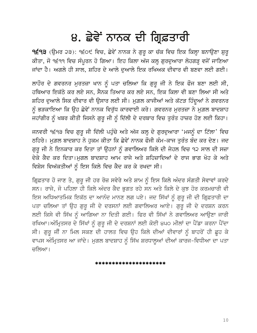### ੪. ਛੇਵੇਂ ਨਾਨਕ ਦੀ ਗ੍ਰਿਫ਼ਤਾਰੀ

9੬੧੩ (ਉਮਰ ੨੩): ੧੬੦੯ ਵਿਚ, ਛੇਵੇਂ ਨਾਨਕ ਨੇ ਗੁਰੂ ਕਾ ਚੱਕ ਵਿਚ ਇਕ ਕਿਲ੍ਹਾ ਬਨਾਉਣਾ ਸ਼ੁਰੂ ਕੀਤਾ, ਜੋ ੧੬੧੧ ਵਿਚ ਸੰਪੂਰਨ ਹੋ ਗਿਆ। ਇਹ ਕਿਲਾ ਅੱਜ ਕਲ੍ਹ ਗੁਰਦੁਆਰਾ ਲੋਹਗੜ੍ਹ ਵਜੋਂ ਜਾਣਿਆ ਜਾਂਦਾ ਹੈ। ਅਗਲੇ ਹੀ ਸਾਲ, ਸ਼ਹਿਰ ਦੇ ਆਲੇ ਦਆਲੇ ਇਕ ਰਖਿਅਕ ਦੀਵਾਰ ਵੀ ਬਣਵਾ ਲਈ ਗਈ।

ਲਾਹੌਰ ਦੇ ਗਵਰਨਰ ਮਰਤਜ਼ਾ ਖਾਨ ਨੂੰ ਪਤਾ ਚਲਿਆ ਕਿ ਗਰ ਜੀ ਨੇ ਇਕ ਫੌਜ ਬਣਾ ਲਈ ਸੀ, ਹਥਿਆਰ ਇਕੱਠੇ ਕਰ ਲਏ ਸਨ, ਸੈਨਕ ਤਿਆਰ ਕਰ ਲਏ ਸਨ, ਇਕ ਕਿਲਾ ਵੀ ਬਣਾ ਲਿਆ ਸੀ ਅਤੇ ਸ਼ਹਿਰ ਦੁਆਲੇ ਸਿਕ ਦੀਵਾਰ ਵੀ ਉਸਾਰ ਲਈ ਸੀ। ਮੁਗ਼ਲ ਕਾਜੀਆਂ ਅਤੇ ਕੱਟੜ ਹਿੰਦੂਆਂ ਨੇ ਗਵਰਨਰ ਨੂੰ ਭੜਕਾਇਆ ਕਿ ਉਹ ਛੇਵੇਂ ਨਾਨਕ ਵਿਰੁੱਧ ਕਾਰਵਾਈ ਕਰੇ। ਗਵਰਨਰ ਮੁਰਤਜ਼ਾ ਨੇ ਮੁਗ਼ਲ ਬਾਦਸ਼ਾਹ ਜਹਾਂਗੀਰ ਨੂੰ ਖਬਰ ਕੀਤੀ ਜਿਸਨੇ ਗੁਰੂ ਜੀ ਨੂੰ ਦਿੱਲੀ ਦੇ ਦਰਬਾਰ ਵਿਚ ਤੁਰੰਤ ਹਾਜ਼ਰ ਹੋਣ ਲਈ ਕਿਹਾ।

ਜਨਵਰੀ ੧੬੧੩ ਵਿਚ ਗੁਰੂ ਜੀ ਦਿੱਲੀ ਪਹੁੰਚੇ ਅਤੇ ਅੱਜ ਕਲ੍ਹ ਦੇ ਗੁਰਦੁਆਰਾ 'ਮਜਨੂੰ ਦਾ ਟਿੱਲਾ' ਵਿਚ ਠਹਿਰੇ। ਮੁਗ਼ਲ ਬਾਦਸ਼ਾਹ ਨੇ ਹੁਕਮ ਕੀਤਾ ਕਿ ਛੇਵੇਂ ਨਾਨਕ ਫੌਜੀ ਕੰਮ-ਕਾਜ ਤੁਰੰਤ ਬੰਦ ਕਰ ਦੇਣ। ਜਦ ਗੁਰੂ ਜੀ ਨੇ ਇਨਕਾਰ ਕਰ ਦਿਤਾ ਤਾਂ ਉਹਨਾਂ ਨੂੰ ਗਵਾਲਿਅਰ ਕਿਲੇ ਦੀ ਜੇਹਲ ਵਿਚ ੧੨ ਸਾਲ ਦੀ ਸਜ਼ਾ ਦੇਕੇ ਕੈਦ ਕਰ ਦਿਤਾ।ਮਗਲ ਬਾਦਸ਼ਾਹ ਆਮ ਰਾਜੇ ਅਤੇ ਸ਼ਹਿਜ਼ਾਦਿਆਂ ਦੇ ਰਾਜ ਭਾਗ ਖੋਹ ਕੇ ਅਤੇ ਵਿਸ਼ੇਸ ਵਿਅੱਕਤੀਆਂ ਨੂੰ ਇਸ ਕਿਲੇ ਵਿਚ ਕੈਦ ਕਰ ਕੇ ਰਖਦਾ ਸੀ।

ਗ੍ਰਿਫ਼ਤਾਰ ਹੋ ਜਾਣ ਤੇ, ਗੁਰੂ ਜੀ ਹਰ ਰੋਜ਼ ਸਵੇਰੇ ਅਤੇ ਸ਼ਾਮ ਨੂੰ ਇਸ ਕਿਲੇ ਅੰਦਰ ਸੰਗਤੀ ਸੇਵਾਵਾਂ ਕਰਦੇ ਸਨ। ਰਾਜੇ, ਜੋ ਪਹਿਲਾ ਹੀ ਕਿਲੇ ਅੰਦਰ ਕੈਦ ਭੁਗਤ ਰਹੇ ਸਨ ਅਤੇ ਕਿਲੇ ਦੇ ਕੁਝ ਹੋਰ ਕਰਮਚਾਰੀ ਵੀ ਇਸ ਅਧਿਆਤਮਿਕ ਇਕੱਠ ਦਾ ਆਨੰਦ ਮਾਨਣ ਲਗ ਪਏ। ਜਦ ਸਿੱਖਾਂ ਨੂੰ ਗੁਰੂ ਜੀ ਦੀ ਗ੍ਰਿਫ਼ਤਾਰੀ ਦਾ ਪਤਾ ਚਲਿਆ ਤਾਂ ਉਹ ਗੁਰੂ ਜੀ ਦੇ ਦਰਸਨਾਂ ਲਈ ਗਵਾਲਿਅਰ ਆਏ। ਗੁਰੂ ਜੀ ਦੇ ਦਰਸ਼ਨ ਕਰਨ ਲਈ ਕਿਸੇ ਵੀ ਸਿੱਖ ਨੂੰ ਆਗਿਆ ਨਾ ਦਿਤੀ ਗਈ। ਫਿਰ ਵੀ ਸਿੱਖਾਂ ਨੇ ਗਵਾਲਿਅਰ ਆਉਣਾ ਜਾਰੀ ਰਖਿਆ।ਅੰਮ੍ਰਿਤਸਰ ਦੇ ਸਿੱਖਾਂ ਨੂੰ ਗੁਰੂ ਜੀ ਦੇ ਦਰਸ਼ਨਾਂ ਲਈ ਕੋਈ ੪੫੦ ਮੀਲਾਂ ਦਾ ਪੈਂਡਾ ਕਰਨਾ ਪੈਂਦਾ ਸੀ। ਗੁਰੂ ਜੀੰ ਨਾ ਮਿਲ ਸਕਣ ਦੀ ਹਾਲਤ ਵਿਚ ਉਹ ਕਿਲੇ ਦੀਆਂ ਦੀਵਾਰਾਂ ਨੂੰ ਬਾਹਰੋਂ ਹੀ ਛੂਹ ਕੇ ਵਾਪਸ ਅੰਮ੍ਰਿਤਸਰ ਆ ਜਾਂਦੇ। ਮੁਗਲ ਬਾਦਸ਼ਾਹ ਨੂੰ ਸਿੱਖ ਸ਼ਰਧਾਲੂਆਂ ਦੀਆਂ ਕਾਰਜ-ਵਿਧੀਆ ਦਾ ਪਤਾ ਚਲਿਆ।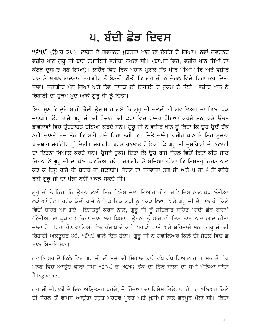### ਪ. ਬੰਦੀ ਛੋੜ ਦਿਵਸ

**੧੬੧੯** (ਉਮਰ ੨੯): ਲਾਹੌਰ ਦੇ ਗਵਰਨਰ ਮੁਰਤਜ਼ਾ ਖਾਨ ਦਾ ਦੇਹਾਂਤ ਹੋ ਗਿਆ। ਨਵਾਂ ਗਵਰਨਰ ਵਜ਼ੀਰ ਖਾਨ ਗੁਰੂ ਜੀ ਬਾਰੇ ਹਮਾਇਤੀ ਵਤੀਰਾ ਰਖਦਾ ਸੀ। (ਬਾਅਦ ਵਿਚ, ਵਜ਼ੀਰ ਖਾਨ ਸਿੱਖਾਂ ਦਾ ਕੱਟੜ ਦੁਸ਼ਮਣ ਬਣ ਗਿਆ)। ਲਾਹੌਰ ਵਿਚ ਇਕ ਮਹਾਨ ਮੁਗ਼ਲ ਸੰਤ ਪੀਰ ਮੀਆਂ ਮੀਰ ਅਤੇ ਵਜ਼ੀਰ ਖਾਨ ਨੇ ਮੁਗ਼ਲ ਬਾਦਸ਼ਾਹ ਜਹਾਂਗੀਰ ਨੂੰ ਬੇਨਤੀ ਕੀਤੀ ਕਿ ਗੁਰੂ ਜੀ ਨੂੰ ਜੇਹਲ ਵਿਚੋਂ ਰਿਹਾ ਕਰ ਦਿਤਾ ਜਾਵੇ। ਜਹਾਂਗੀਰ ਮੰਨ ਗਿਆ ਅਤੇ ਛੇਵੇਂ ਨਾਨਕ ਦੀ ਰਿਹਾਈ ਦੇ ਹਕਮ ਦੇ ਦਿਤੇ। ਵਜ਼ੀਰ ਖਾਨ ਨੇ ਰਿਹਾਈ ਦਾ ਹਕਮ ਖਦ ਆਕੇ ਗਰ ਜੀ ਨੰ ਦਿਤਾ।

ਇਹ ਸੁਣ ਕੇ ਦੂਜੇ ਸ਼ਾਹੀ ਕੈਦੀ ਉਦਾਸ ਹੋ ਗਏ ਕਿ ਗੁਰੂ ਜੀ ਜਲਦੀ ਹੀ ਗਵਾਲਿਅਰ ਦਾ ਕਿਲਾ ਛੱਡ ਜਾਣਗੇ। ਉਹ ਰਾਜੇ ਗੁਰੂ ਜੀ ਦੀ ਰੋਜ਼ਾਨਾ ਦੀ ਕਥਾ ਵਿਚ ਹਾਜ਼ਰ ਹੋਇਆ ਕਰਦੇ ਸਨ ਅਤੇ ਉਚ– ਭਾਵਨਾਵਾਂ ਵਿਚ ਉਤਸ਼ਾਹਤ ਹੋਇਆ ਕਰਦੇ ਸਨ। ਗੁਰੂ ਜੀ ਨੇ ਵਜ਼ੀਰ ਖਾਨ ਨੂੰ ਕਿਹਾ ਕਿ ਉਹ ਉਦੋਂ ਤੱਕ ਨਹੀਂ ਜਾਣਗੇ ਜਦ ਤੱਕ ਕਿ ਸਾਰੇ ਰਾਜੇ ਰਿਹਾ ਨਹੀਂ ਕਰ ਦਿਤੇ ਜਾਂਦੇ। ਵਜ਼ੀਰ ਖਾਨ ਨੇ ਇਹ ਸੁਚਨਾ ਬਾਦਸ਼ਾਹ ਜਹਾਂਗੀਰ ਨੂੰ ਦਿੱਤੀ। ਜਹਾਂਗੀਰ ਬਹੁਤ ਪ੍ਰਭਾਵਤ ਹੋਇਆ ਕਿ ਗੁਰੂ ਜੀ ਦੁਸਰਿਆਂ ਦੀ ਭਲਾਈ ਦਾ ਇਤਨਾ ਖਿਆਲ ਕਰਦੇ ਸਨ। ਉਸਨੇ ਹੁਕਮ ਦਿਤਾ ਕਿ ਉਹ ਰਾਜੇ ਜੇਹਲ ਵਿਚੋਂ ਰਿਹਾ ਕੀਤੇ ਜਾਣ ਜਿਹਨਾਂ ਨੇ ਗੁਰੂ ਜੀ ਦਾ ਪੱਲਾ ਪਕੜਿਆ ਹੋਵੇ। ਜਹਾਂਗੀਰ ਨੇ ਸੋਚਿਆ ਹੋਵੇਗਾ ਕਿ ਇਸਤਰ੍ਹਾਂ ਕਰਨ ਨਾਲ ਕੁਝ ਕੁ ਹਿੰਦੂ ਰਾਜੇ ਹੀ ਬਾਹਰ ਜਾ ਸਕਣਗੇ। ਜੇਹਲ ਦਾ ਦਰਵਾਜਾ ਤੰਗ ਸੀ ਅਤੇ ਪ ਜਾਂ ੬ ਤੋਂ ਵਧੇਰੇ ਰਾਜੇ ਗਰ ਜੀ ਦਾ ਪੱਲਾ ਨਹੀਂ ਪਕੜ ਸਕਦੇ ਸੀ।

ਗੁਰੂ ਜੀ ਨੇ ਕਿਹਾ ਕਿ ਉਹਨਾਂ ਲਈ ਇਕ ਵਿਸ਼ੇਸ ਚੋਲਾ ਤਿਆਰ ਕੀਤਾ ਜਾਵੇ ਜਿਸ ਨਾਲ ਪ੨ ਲੰਬੀਆਂ ਲੜੀਆਂ ਹੋਣ। ਹਰੇਕ ਕੈਦੀ ਰਾਜੇ ਨੇ ਇਕ ਇਕ ਲੜੀ ਨੂੰ ਪਕੜ ਲਿਆ ਅਤੇ ਗੁਰੂ ਜੀ ਦੇ ਨਾਲ ਹੀ ਕਿਲੇ ਵਿਚੋਂ ਬਾਹਰ ਆ ਗਏ। ਇਸਤਰ੍ਹਾਂ ਕਰਨ ਨਾਲ, ਗੁਰੂ ਜੀ ਨੂੰ ਸਤਿਕਾਰ ਸਹਿਤ 'ਬੰਦੀ ਛੋੜ ਬਾਬਾ' (ਕੈਦੀਆਂ ਦਾ ਛੁਡਾਵਾ) ਕਿਹਾ ਜਾਣ ਲਗ ਪਿਆ। ਉਹਨਾਂ ਨੂੰ ਅੱਜ ਵੀ ਇਸ ਨਾਮ ਨਾਲ ਯਾਦ ਕੀਤਾ ਜਾਦਾ ਹੈ। ਰਿਹਾ ਹੋਣ ਵਾਲਿਆਂ ਵਿਚ ਪੰਜਾਬ ਦੇ ਕਈ ਪਹਾੜੀ ਰਾਜੇ ਅਤੇ ਸ਼ਹਿਜ਼ਾਦੇ ਸਨ। ਗੁਰੂ ਜੀ ਦੀ ਰਿਹਾਈ ਅਕਤੂਬਰ ੨੬, ੧੬੧੯ ਵਾਲੇ ਦਿਨ ਹੋਈ। ਗੁਰੂ ਜੀ ਨੇ ਗਵਾਲਿਅਰ ਕਿਲੇ ਦੀ ਜੇਹਲ ਵਿਚ ਛੇ ਸਾਲ ਬਿਤਾਏ ਸਨ।

ਗਵਾਲਿਅਰ ਦੇ ਕਿਲੇ ਵਿਚ ਗੁਰੂ ਜੀ ਦੀ ਸਜ਼ਾ ਦੀ ਮਿਆਦ ਬਾਰੇ ਵੱਖ ਵੱਖ ਖਿਆਲ ਹਨ। ਸਭ ਤੋਂ ਵੱਧ ਮੰਨਣ ਵਿਚ ਆਉਣ ਵਾਲਾ ਸਮਾਂ ੧੬੦੯ ਤੋਂ ੧੬੧੨ ਤੱਕ ਦਾ ਤਿੰਨ ਸਾਲਾਂ ਦਾ ਸਮਾਂ ਮੰਨਿਆ ਜਾਂਦਾ ਹੈ। sgpc.net

ਗੁਰੂ ਜੀ ਦੀਵਾਲੀ ਦੇ ਦਿਨ ਅੰਮ੍ਰਿਤਸਰ ਪਹੁੰਚੇ, ਜੋ ਹਿੰਦੂਆ ਦਾ ਵਿਸ਼ੇਸ ਤਿਓਹਾਰ ਹੈ। ਗਵਾਲਿਅਰ ਕਿਲੇ ਦੀ ਜੇਹਲ ਤੋਂ ਵਾਪਸ ਆਉਣਾ ਬਹੁਤ ਮਹੱਤਵ ਪੂਰਣ ਅਤੇ ਖ਼ੁਸ਼ੀਆਂ ਨਾਲ ਭਰਪੂਰ ਮੌਕਾ ਸੀ। ਕਿਹਾ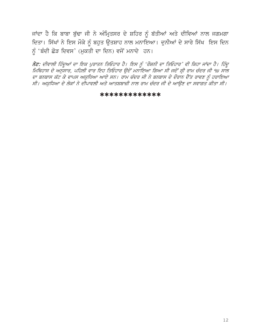ਜਾਂਦਾ ਹੈ ਕਿ ਬਾਬਾ ਬੁੱਢਾ ਜੀ ਨੇ ਅੰਮ੍ਰਿਤਸਰ ਦੇ ਸ਼ਹਿਰ ਨੂੰ ਬੱਤੀਆਂ ਅਤੇ ਦੀਵਿਆਂ ਨਾਲ ਜਗਮਗਾ ਦਿਤਾ। ਸਿੱਖਾਂ ਨੇ ਇਸ ਮੌਕੇ ਨੂੰ ਬਹੁਤ ਉਤਸ਼ਾਹ ਨਾਲ ਮਨਾਇਆ। ਦੁਨੀਆਂ ਦੇ ਸਾਰੇ ਸਿੱਖ ਇਸ ਦਿਨ ਨੂੰ 'ਬੰਦੀ ਛੋੜ ਦਿਵਸ' (ਮੁਕਤੀ ਦਾ ਦਿਨ) ਵਜੋਂ ਮਨਾਦੇ ਹਨ।

ਨੋਂਟ: ਦੀਵਾਲੀ ਹਿੰਦੂਆਂ ਦਾ ਇਕ ਪੁਰਾਤਨ ਤਿਓਹਾਰ ਹੈ। ਇਸ ਨੂੰ 'ਰੌਸ਼ਨੀ ਦਾ ਤਿਓਹਾਰ' ਵੀ ਕਿਹਾ ਜਾਂਦਾ ਹੈ। ਹਿੰਦੂ ।<br>ਸਿਥਿਹਾਸ ਦੇ ਅਨੁਸਾਰ, ਪਹਿਲੀ ਵਾਰ ਇਹ ਤਿਓਹਾਰ ਉਦੋਂ ਮਨਾਇਆ ਗਿਆ ਸੀ ਜਦੋਂ ਸ਼੍ਰੀ ਰਾਮ ਚੰਦਰ ਜੀ ੧੪ ਸਾਲ ਦਾ ਬਨਬਾਸ ਕੱਟ ਕੇ ਵਾਪਸ ਅਯੁਧਿਆ ਆਏ ਸਨ। ਰਾਮ ਚੰਦਰ ਜੀ ਨੇ ਬਨਬਾਸ ਦੇ ਦੌਰਾਨ ਦੈਂਤ ਰਾਵਣ ਨੂੰ ਹਰਾਇਆ ਸੀ। ਅਯੁਧਿਆ ਦੇ ਲੋਕਾਂ ਨੇ ਦੀਪਾਵਲੀ ਅਤੇ ਆਤਸ਼ਬਾਜ਼ੀ ਨਾਲ ਰਾਮ ਚੰਦਰ ਜੀ ਦੇ ਆਉਣ ਦਾ ਸਵਾਗਤ ਕੀਤਾ ਸੀ।

#### \*\*\*\*\*\*\*\*\*\*\*\*\*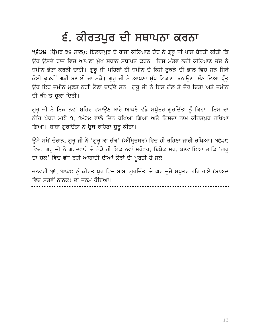### ੬. ਕੀਰਤਪੁਰ ਦੀ ਸਥਾਪਨਾ ਕਰਨਾ

9੬੨੪ (ਉਮਰ ੩੪ ਸਾਲ): ਬਿਲਾਸਪੁਰ ਦੇ ਰਾਜਾ ਕਲਿਆਣ ਚੰਦ ਨੇ ਗੁਰੂ ਜੀ ਪਾਸ ਬੇਨਤੀ ਕੀਤੀ ਕਿ ਉਹ ਉਸਦੇ ਰਾਜ ਵਿਚ ਆਪਣਾ ਮੁੱਖ ਸਥਾਨ ਸਥਾਪਤ ਕਰਨ। ਇਸ ਮੰਤਵ ਲਈ ਕਲਿਆਣ ਚੰਦ ਨੇ ਜ਼ਮੀਨ ਭੇਟਾ ਕਰਨੀ ਚਾਹੀ। ਗੁਰੂ ਜੀ ਪਹਿਲਾਂ ਹੀ ਜ਼ਮੀਨ ਦੇ ਕਿਸੇ ਟੁਕੜੇ ਦੀ ਭਾਲ ਵਿਚ ਸਨ ਜਿਥੇ ਕੋਈ ਢੁਕਵੀਂ ਗੜ੍ਹੀ ਬਣਾਈ ਜਾ ਸਕੇ। ਗੁਰੂ ਜੀ ਨੇ ਆਪਣਾ ਮੁੱਖ ਟਿਕਾਣਾ ਬਨਾਉਣਾ ਮੰਨ ਲਿਆ ਪ੍ਰੰਤੂ ਉਹ ਇਹ ਜ਼ਮੀਨ ਮੁਫ਼ਤ ਨਹੀਂ ਲੈਣਾ ਚਾਹੁੰਦੇ ਸਨ। ਗੁਰੂ ਜੀ ਨੇ ਇਸ ਗੱਲ ਤੇ ਜ਼ੋਰ ਦਿਤਾ ਅਤੇ ਜ਼ਮੀਨ ਦੀ ਕੀਮਤ ਚਕਾ ਦਿਤੀ।

ਗੁਰੂ ਜੀ ਨੇ ਇਕ ਨਵਾਂ ਸ਼ਹਿਰ ਵਸਾਉਣ ਬਾਰੇ ਆਪਣੇ ਵੱਡੇ ਸਪੁੱਤਰ ਗੁਰਦਿੱਤਾ ਨੂੰ ਕਿਹਾ। ਇਸ ਦਾ ਨੀਂਹ ਪੱਥਰ ਮਈ ੧, ੧੬੨੪ ਵਾਲੇ ਦਿਨ ਰਖਿਆ ਗਿਆ ਅਤੇ ਇਸਦਾ ਨਾਮ ਕੀਰਤਪਰ ਰਖਿਆ ਗਿਆ। ਬਾਬਾ ਗੁਰਦਿੱਤਾ ਨੇ ਉਥੇ ਰਹਿਣਾ ਸ਼ੁਰੂ ਕੀਤਾ।

ਉਸੇ ਸਮੇਂ ਦੌਰਾਨ, ਗੁਰੂ ਜੀ ਨੇ 'ਗੁਰੂ ਕਾ ਚੱਕ' (ਅੰਮ੍ਰਿਤਸਰ) ਵਿਚ ਹੀ ਰਹਿਣਾ ਜਾਰੀ ਰਖਿਆ। ੧੬੨੮ ਵਿਚ, ਗੁਰੂ ਜੀ ਨੇ ਗੁਰਦਵਾਰੇ ਦੇ ਨੇੜੇ ਹੀ ਇਕ ਨਵਾਂ ਸਰੋਵਰ, ਬਿਬੇਕ ਸਰ, ਬਣਵਾਇਆ ਤਾਕਿ 'ਗੁਰੂ ਦਾ ਚੱਕ' ਵਿਚ ਵੱਧ ਰਹੀ ਆਬਾਦੀ ਦੀਆਂ ਲੋੜਾਂ ਦੀ ਪੁਰਤੀ ਹੋ ਸਕੇ।

ਜਨਵਰੀ ੧੬, ੧੬੩੦ ਨੂੰ ਕੀਰਤ ਪੁਰ ਵਿਚ ਬਾਬਾ ਗੁਰਦਿੱਤਾ ਦੇ ਘਰ ਦੂਜੇ ਸਪੁਤਰ ਹਰਿ ਰਾਏ (ਬਾਅਦ ਵਿਚ ਸਤਵੇਂ ਨਾਨਕ) ਦਾ ਜਨਮ ਹੋਇਆ।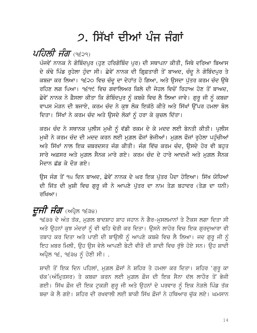### 2. ਸਿੱਖਾਂ ਦੀਆਂ ਪੰਜ ਜੰਗਾਂ

*ਪਹਿਲੀ ਜੰਗ (੧੬੨੧)* 

ਪੰਜਵੇਂ ਨਾਨਕ ਨੇ ਗੋਬਿੰਦਪੁਰ (ਹੁਣ ਹਰਿਗੋਬਿੰਦ ਪੁਰ) ਦੀ ਸਥਾਪਨਾ ਕੀਤੀ, ਜਿਥੇ ਦਰਿਆ ਬਿਆਸ ਦੇ ਕੰਢੇ ਪਿੰਡ ਰੁਹੇਲਾ ਹੁੰਦਾ ਸੀ। ਛੇਵੇਂ ਨਾਨਕ ਦੀ ਗ੍ਰਿਫ਼ਤਾਰੀ ਤੋਂ ਬਾਅਦ, ਚੰਦੂ ਨੇ ਗੋਬਿੰਦਪੁਰ ਤੇ ਕਬਜ਼ਾ ਕਰ ਲਿਆ। ੧੬੨੦ ਵਿਚ ਚੰਦੂ ਦਾ ਦੇਹਾਂਤ ਹੋ ਗਿਆ, ਅਤੇ ਉਸਦਾ ਪੁੱਤਰ ਕਰਮ ਚੰਦ ਉਥੇ ਰਹਿਣ ਲਗ ਪਿਆ। ੧੬੧੯ ਵਿਚ ਗਵਾਲਿਅਰ ਕਿਲੇ ਦੀ ਜੇਹਲ ਵਿਚੋਂ ਰਿਹਾਅ ਹੋਣ ਤੋਂ ਬਾਅਦ, ਛੇਵੇਂ ਨਾਨਕ ਨੇ ਫ਼ੈਸਲਾ ਕੀਤਾ ਕਿ ਗੋਬਿੰਦਪੁਰ ਨੂੰ ਕਬਜ਼ੇ ਵਿਚ ਲੈ ਲਿਆ ਜਾਵੇ। ਗੁਰੂ ਜੀ ਨੂੰ ਕਬਜ਼ਾ ਵਾਪਸ ਮੋੜਨ ਦੀ ਬਜਾਏ, ਕਰਮ ਚੰਦ ਨੇ ਕੁਝ ਲੋਕ ਇਕੱਠੇ ਕੀਤੇ ਅਤੇ ਸਿੱਖਾਂ ਉੱਪਰ ਹਮਲਾ ਬੋਲ ਦਿਤਾ। ਸਿੱਖਾਂ ਨੇ ਕਰਮ ਚੰਦ ਅਤੇ ਉਸਦੇ ਲੋਕਾਂ ਨੂੰ ਹਰਾ ਕੇ ਕੁਚਲ ਦਿੱਤਾ।

ਕਰਮ ਚੰਦ ਨੇ ਸਥਾਨਕ ਪੁਲੀਸ ਮੁਖੀ ਨੂੰ ਵੱਡੀ ਰਕਮ ਦੇ ਕੇ ਮਦਦ ਲਈ ਬੇਨਤੀ ਕੀਤੀ। ਪੁਲੀਸ ਮੁਖੀ ਨੇ ਕਰਮ ਚੰਦ ਦੀ ਮਦਦ ਕਰਨ ਲਈ ਮੁਗ਼ਲ ਫੌਜਾਂ ਭੇਜੀਆਂ। ਮੁਗ਼ਲ ਫੌਜਾਂ ਰੁਹੇਲਾ ਪਹੁੰਚੀਆਂ ਅਤੇ ਸਿੱਖਾਂ ਨਾਲ ਇਕ ਜ਼ਬਰਦਸਤ ਜੰਗ ਕੀਤੀ। ਜੰਗ ਵਿੱਚ ਕਰਮ ਚੰਦ, ਉਸਦੇ ਹੋਰ ਵੀ ਬਹਤ ਸਾਰੇ ਅਫ਼ਸਰ ਅਤੇ ਮਗ਼ਲ ਸੈਨਕ ਮਾਰੇ ਗਏ। ਕਰਮ ਚੰਦ ਦੇ ਹਾਰੇ ਆਦਮੀ ਅਤੇ ਮਗ਼ਲ ਸੈਨਕ ਮੈਦਾਨ ਛੱਡ ਕੇ ਦੌਤ ਗਏ।

ਉਸ ਜੰਗ ਤੋਂ ੧੫ ਦਿਨ ਬਾਅਦ, ਛੇਵੇਂ ਨਾਨਕ ਦੇ ਘਰ ਇਕ ਪੁੱਤਰ ਪੈਦਾ ਹੋਇਆ। ਸਿੱਖ ਯੋਧਿਆਂ ਦੀ ਜਿੱਤ ਦੀ ਖ਼ੁਸ਼ੀ ਵਿਚ ਗੁਰੂ ਜੀ ਨੇ ਆਪਣੇ ਪੁੱਤਰ ਦਾ ਨਾਮ ਤੇਗ਼ ਬਹਾਦਰ (ਤੇਗ਼ ਦਾ ਧਨੀ) ਰਖਿਆ।

### $\vec{E}$ ਸੀ ਸੰਗ (ਅਪ੍ਰੈਲ ੧੬੩੪)

9੬੩੩ ਦੇ ਅੰਤ ਤੱਕ, ਮੁਗ਼ਲ ਬਾਦਸ਼ਾਹ ਸ਼ਾਹ ਜਹਾਨ ਨੇ ਗੈਰ-ਮੁਸਲਮਾਨਾਂ ਤੇ ਟੈਕਸ ਲਗਾ ਦਿਤਾ ਸੀ ਅਤੇ ਉਹਨਾਂ ਕੁਝ ਮੰਦਰਾਂ ਨੂੰ ਵੀ ਢਹਿ ਢੇਰੀ ਕਰ ਦਿਤਾ। ਉਸਨੇ ਲਾਹੋਰ ਵਿਚ ਇਕ ਗੁਰਦੁਆਰਾ ਵੀ ਤਬਾਹ ਕਰ ਦਿਤਾ ਅਤੇ ਪਾਣੀ ਦੀ ਬਾਉਲੀ ਨੂੰ ਆਪਣੇ ਕਬਜ਼ੇ ਵਿਚ ਲੈ ਲਿਆ। ਜਦ ਗੁਰੂ ਜੀ ਨੂੰ ਇਹ ਖ਼ਬਰ ਮਿਲੀ, ਉਹ ਉਸ ਵੇਲੇ ਆਪਣੀ ਬੇਟੀ ਵੀਰੋਂ ਦੀ ਸ਼ਾਦੀ ਵਿਚ ਰੱਝੇ ਹੋਏ ਸਨ। ਉਹ ਸ਼ਾਦੀ  $m$ ਪ੍ਰੈਲ ੧੬, ੧੬੩੪ ਨੰ ਹੋਣੀ ਸੀ।.

ਸ਼ਾਦੀ ਤੋਂ ਇਕ ਦਿਨ ਪਹਿਲਾਂ, ਮਗ਼ਲ ਫ਼ੌਜਾਂ ਨੇ ਸ਼ਹਿਰ ਤੇ ਹਮਲਾ ਕਰ ਦਿਤਾ। ਸ਼ਹਿਰ 'ਗਰ ਕਾ ਚੱਕ'(ਅੰਮ੍ਰਿਤਸਰ) ਤੇ ਕਬਜ਼ਾ ਕਰਨ ਲਈ ਮੁਗ਼ਲ ਫ਼ੌਜ ਦੀ ਇਕ ਸੈਨਾ ਦੱਲ ਲਾਹੌਰ ਤੋਂ ਭੇਜੀ ਗਈ। ਸਿੱਖ ਫ਼ੌਜ ਦੀ ਇਕ ਟੁਕੜੀ ਗੁਰੂ ਜੀ ਅਤੇ ਉਹਨਾਂ ਦੇ ਪਰਵਾਰ ਨੂੰ ਇਕ ਨੇੜਲੇ ਪਿੰਡ ਤੱਕ ਬਚਾ ਕੇ ਲੈ ਗਏ। ਸ਼ਹਿਰ ਦੀ ਰਖਵਾਲੀ ਲਈ ਬਾਕੀ ਸਿੱਖ ਫ਼ੌਜਾਂ ਨੇ ਹਥਿਆਰ ਚੱਕ ਲਏ। ਘਮਸਾਨ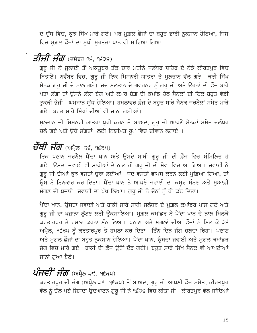ਦੇ ਯੁੱਧ ਵਿਚ, ਕੁਝ ਸਿੱਖ ਮਾਰੇ ਗਏ। ਪਰ ਮੁਗ਼ਲ ਫ਼ੌਜਾਂ ਦਾ ਬਹੁਤ ਭਾਰੀ ਨੁਕਸਾਨ ਹੋਇਆ, ਜਿਸ ਵਿਚ ਮਗ਼ਲ ਫ਼ੌਜਾਂ ਦਾ ਮਖੀ ਮਰਤਜ਼ਾ ਖਾਨ ਵੀ ਮਾਰਿਆ ਗਿਆ।

### $\overline{\mathcal{G}}$ ਸਿੰ $\overline{\mathcal{H}}$  ਸੰ $\overline{\mathcal{H}}$  (ਦਸੰਬਰ ੧੬, ੧੬੩੪)

ਗੁਰੂ ਜੀ ਨੇ ਜੁਲਾਈ ਤੋਂ ਅਕਤੂਬਰ ਤੱਕ ਚਾਰ ਮਹੀਨੇ ਜਲੰਧਰ ਸ਼ਹਿਰ ਦੇ ਨੇੜੇ ਕੀਰਤਪੁਰ ਵਿਚ ਬਿਤਾਏ। ਨਵੰਬਰ ਵਿਚ, ਗੁਰੂ ਜੀ ਇਕ ਮਿਸ਼ਨਰੀ ਯਾਤਰਾ ਤੇ ਮੁਲਤਾਨ ਵੱਲ ਗਏ। ਕਈ ਸਿੱਖ ਸੈਨਕ ਗੁਰੂ ਜੀ ਦੇ ਨਾਲ ਗਏ। ਜਦ ਮੁਲਤਾਨ ਦੇ ਗਵਰਨਰ ਨੂੰ ਗੁਰੂ ਜੀ ਅਤੇ ਉਹਨਾਂ ਦੀ ਫ਼ੌਜ ਬਾਰੇ ਪਤਾ ਲੱਗਾ ਤਾਂ ਉਸਨੇ ਲੱਲਾ ਬੇਗ਼ ਅਤੇ ਕਮਰ ਬੇਗ਼ ਦੀ ਕਮਾਂਡ ਹੇਠ ਸੈਨਕਾਂ ਦੀ ਇਕ ਬਹੁਤ ਵੱਡੀ ਟੁਕੜੀ ਭੇਜੀ। ਘਮਸਾਨ ਯੁੱਧ ਹੋਇਆ। ਹਮਲਾਵਰ ਫ਼ੌਜ ਦੇ ਬਹੁਤ ਸਾਰੇ ਸੈਨਕ ਜਰਨੈਲਾਂ ਸਮੇਤ ਮਾਰੇ ਗਏ। ਬਹੁਤ ਸਾਰੇ ਸਿੱਖਾਂ ਦੀਆਂ ਵੀ ਜਾਨਾਂ ਗਈਆਂ।

ਮੁਲਤਾਨ ਦੀ ਮਿਸ਼ਨਰੀ ਯਾਤਰਾ ਪੁਰੀ ਕਰਨ ਤੋਂ ਬਾਅਦ, ਗੁਰੂ ਜੀ ਆਪਣੇ ਸੈਨਕਾਂ ਸਮੇਤ ਜਲੰਧਰ ਚਲੇ ਗਏ ਅਤੇ ਉਥੇ ਸੰਗਤਾਂ ਲਈ ਨਿਯਮਿਤ ਰੂਪ ਵਿੱਚ ਦੀਵਾਨ ਲਗਾਏ ।

### $\vec{v}$ ਥੀ ਸੰਗ (ਅਪ੍ਰੈਲ ੨੬, ੧੬੩੫)

ਇਕ ਪਠਾਨ ਜਰਨੈਲ ਪੈਂਦਾ ਖਾਨ ਅਤੇ ਉਸਦੇ ਸਾਥੀ ਗੁਰੂ ਜੀ ਦੀ ਫ਼ੌਜ ਵਿਚ ਸੰਮਿਲਿਤ ਹੋ ਗਏ। ਉਸਦਾ ਜਵਾਈ ਵੀ ਸਾਥੀਆਂ ਦੇ ਨਾਲ ਹੀ ਗੁਰੂ ਜੀ ਦੀ ਸੇਵਾ ਵਿਚ ਆ ਗਿਆ। ਜਵਾਈ ਨੇ ਗੁਰੂ ਜੀ ਦੀਆਂ ਕੁਝ ਵਸਤਾਂ ਚੁਰਾ ਲਈਆਂ। ਜਦ ਵਸਤਾਂ ਵਾਪਸ ਕਰਨ ਲਈ ਪੁਛਿਆ ਗਿਆ, ਤਾਂ ਉਸ ਨੇ ਇਨਕਾਰ ਕਰ ਦਿਤਾ। ਪੈਂਦਾ ਖਾਨ ਨੇ ਆਪਣੇ ਜਵਾਈ ਦਾ ਕਸੁਰ ਮੰਨਣ ਅਤੇ ਮੁਆਫ਼ੀ ਮੰਗਣ ਦੀ ਬਜਾਏ ਜਵਾਈ ਦਾ ਪੱਖ ਲਿਆ। ਗੁਰੂ ਜੀ ਨੇ ਦੋਨਾਂ ਨੂੰ ਹੀ ਕੱਢ ਦਿਤਾ।

ਪੈਂਦਾ ਖਾਨ, ਉਸਦਾ ਜਵਾਈ ਅਤੇ ਬਾਕੀ ਸਾਰੇ ਸਾਥੀ ਜਲੰਧਰ ਦੇ ਮੁਗ਼ਲ ਕਮਾਂਡਰ ਪਾਸ ਗਏ ਅਤੇ ਗੁਰੂ ਜੀ ਦਾ ਖਜ਼ਾਨਾ ਲੁੱਟਣ ਲਈ ਉਕਸਾਇਆ। ਮੁਗ਼ਲ ਕਮਾਂਡਰ ਨੇ ਪੈਂਦਾ ਖਾਨ ਦੇ ਨਾਲ ਮਿਲਕੇ ਕਰਤਾਰਪੁਰ ਤੇ ਹਮਲਾ ਕਰਨਾ ਮੰਨ ਲਿਆ। ਪਠਾਣ ਅਤੇ ਮੁਗ਼ਲਾਂ ਦੀਆਂ ਫ਼ੌਜਾਂ ਨੇ ਮਿਲ ਕੇ ੨੬ ਅਪ੍ਰੈਲ, ੧੬੩੫ ਨੂੰ ਕਰਤਾਰਪੁਰ ਤੇ ਹਮਲਾ ਕਰ ਦਿਤਾ। ਤਿੰਨ ਦਿਨ ਜੰਗ ਚਲਦਾ ਰਿਹਾ। ਪਠਾਣ ਅਤੇ ਮਗ਼ਲ ਫ਼ੌਜਾਂ ਦਾ ਬਹੁਤ ਨਕਸਾਨ ਹੋਇਆ। ਪੈਂਦਾ ਖਾਨ, ਉਸਦਾ ਜਵਾਈ ਅਤੇ ਮਗ਼ਲ ਕਮਾਂਡਰ ਜੰਗ ਵਿਚ ਮਾਰੇ ਗਏ। ਬਾਕੀ ਦੀ ਫ਼ੌਜ ਉਥੋਂ ਦੌੜ ਗਈ। ਬਹਤ ਸਾਰੇ ਸਿੱਖ ਸੈਨਕ ਵੀ ਆਪਣੀਆਂ ਜਾਨਾਂ ਗਆ ਬੈਠੇ।

### *ਪੰਜਵੀਂ ਜੰਗ* (ਅਪ੍ਰੈਲ ੨੯, ੧੬੩੫)

ਕਰਤਾਰਪੁਰ ਦੀ ਜੰਗ (ਅਪ੍ਰੈਲ ੨੬, ੧੬੩੫) ਤੋਂ ਬਾਅਦ, ਗੁਰੂ ਜੀ ਆਪਣੀ ਫ਼ੌਜ ਸਮੇਤ, ਕੀਰਤਪੁਰ ਵੱਲ ਨੂੰ ਚੱਲ ਪਏ ਜਿਸਦਾ ਉਦਘਾਟਨ ਗੁਰੂ ਜੀ ਨੇ ੧੬੨੪ ਵਿਚ ਕੀਤਾ ਸੀ। ਕੀਰਤਪੁਰ ਵੱਲ ਜਾਂਦਿਆਂ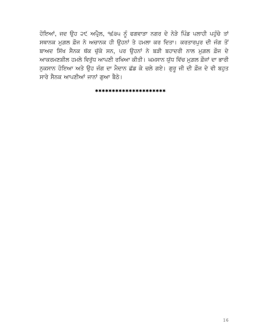ਹੋਇਆਂ, ਜਦ ਉਹ ੨੯ ਅਪ੍ਰੈਲ, ੧੬੩੫ ਨੂੰ ਫਗਵਾੜਾ ਨਗਰ ਦੇ ਨੇੜੇ ਪਿੰਡ ਪਲਾਹੀ ਪਹੁੰਚੇ ਤਾਂ ਸਥਾਨਕ ਮੁਗ਼ਲ ਫ਼ੌਜ ਨੇ ਅਚਾਨਕ ਹੀ ਉਹਨਾਂ ਤੇ ਹਮਲਾ ਕਰ ਦਿਤਾ। ਕਰਤਾਰਪੁਰ ਦੀ ਜੰਗ ਤੋਂ ਬਾਅਦ ਸਿੱਖ ਸੈਨਕ ਥੱਕ ਚੱਕੇ ਸਨ, ਪਰ ਉਹਨਾਂ ਨੇ ਬੜੀ ਬਹਾਦਰੀ ਨਾਲ ਮਗ਼ਲ ਫ਼ੌਜ ਦੇ ਆਕਰਮਣਸ਼ੀਲ ਹਮਲੇ ਵਿਰੁੱਧ ਆਪਣੀ ਰਖਿਆ ਕੀਤੀ। ਘਮਸਾਨ ਯੁੱਧ ਵਿੱਚ ਮੁਗ਼ਲ ਫ਼ੌਜਾਂ ਦਾ ਭਾਰੀ ਨੁਕਸਾਨ ਹੋਇਆ ਅਤੇ ਉਹ ਜੰਗ ਦਾ ਮੈਦਾਨ ਛੱਡ ਕੇ ਚਲੇ ਗਏ। ਗੁਰੂ ਜੀ ਦੀ ਫ਼ੌਜ ਦੇ ਵੀ ਬਹੁਤ ਸਾਰੇ ਸੈਨਕ ਆਪਣੀਆਂ ਜਾਨਾਂ ਗੁਆ ਬੈਠੇ।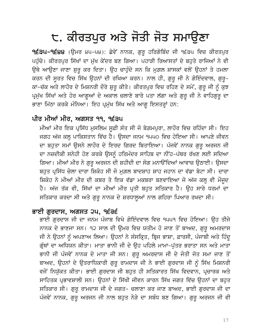## ੮. ਕੀਰਤਪੁਰ ਅਤੇ ਜੋਤੀ ਜੋਤ ਸਮਾਉਣਾ

**੧੬੩੫–੧੬੪੪** (ਉਮਰ ੪੫–੫੪): ਛੇਵੇਂ ਨਾਨਕ, ਗੁਰੂ ਹਰਿਗੋਬਿੰਦ ਜੀ ੧੬੩੫ ਵਿਚ ਕੀਰਤਪੁਰ ਪਹੁੰਚੇ। ਕੀਰਤਪੁਰ ਸਿੱਖਾਂ ਦਾ ਮੁੱਖ ਕੇਂਦਰ ਬਣ ਗਿਆ। ਪਹਾੜੀ ਰਿਆਸਤਾਂ ਦੇ ਬਹੁਤੇ ਰਾਜਿਆਂ ਨੇ ਵੀ ਉਥੇ ਆਉਣਾ ਜਾਣਾ ਸ਼ੁਰੂ ਕਰ ਦਿਤਾ। ਉਹ ਚਾਹੁੰਦੇ ਸਨ ਕਿ ਮੁਗ਼ਲ ਸ਼ਾਸਕਾਂ ਵਲੋਂ ਉਹਨਾਂ ਤੇ ਹਮਲਾ ਕਰਨ ਦੀ ਸੂਰਤ ਵਿਚ ਸਿੱਖ ਉਹਨਾਂ ਦੀ ਰਖਿਆ ਕਰਨ। ਨਾਲ ਹੀ, ਗੁਰੂ ਜੀ ਨੇ ਗੋਇੰਦਵਾਲ, ਗੁਰੂ– ਕਾ-ਚੱਕ ਅਤੇ ਲਾਹੌਰ ਦੇ ਮਿਸ਼ਨਰੀ ਦੌਰੇ ਸ਼ੁਰੂ ਕੀਤੇ। ਕੀਰਤਪੁਰ ਵਿਚ ਰਹਿਣ ਦੇ ਸਮੇਂ, ਗੁਰੂ ਜੀ ਨੂੰ ਕੁਝ ਪ੍ਰਮੁੱਖ ਸਿੱਖਾਂ ਅਤੇ ਹੋਰ ਆਗੂਆਂ ਦੇ ਅਕਾਲ ਚਲਾਣੇ ਬਾਰੇ ਪਤਾ ਲੱਗਾ ਅਤੇ ਗੁਰੂ ਜੀ ਨੇ ਵਾਹਿਗੁਰੂ ਦਾ ਭਾਣਾ ਮਿੱਠਾ ਕਰਕੇ ਮੰਨਿਆ। ਇਹ ਪ੍ਰਮੁੱਖ ਸਿੱਖ ਅਤੇ ਆਗੂ ਇਸਤਰ੍ਹਾਂ ਹਨ:

### ਪੀਰ ਮੀਆਂ ਮੀਰ, ਅਗਸਤ ੧੧, ੧੬੩੫

ਮੀਆਂ ਮੀਰ ਇਕ ਪ੍ਰਸਿੱਧ ਮੁਸਲਿਮ ਸੁਫ਼ੀ ਸੰਤ ਸੀ ਜੋ ਬੇਗ਼ਮਪੁਰਾ, ਲਾਹੌਰ ਵਿਚ ਰਹਿੰਦਾ ਸੀ। ਇਹ ਜਗਹ ਅੱਜ ਕਲ੍ਹ ਪਾਕਿਸਤਾਨ ਵਿੱਚ ਹੈ। ਉਸਦਾ ਜਨਮ ੧੫੫੦ ਵਿਚ ਹੋਇਆ ਸੀ। ਆਪਣੇ ਜੀਵਨ ਦਾ ਬਹੁਤਾ ਸਮਾਂ ਉਸਨੇ ਲਾਹੌਰ ਦੇ ਇਰਦ ਗਿਰਦ ਬਿਤਾਇਆ। ਪੰਜਵੇਂ ਨਾਨਕ ਗੁਰੁ ਅਰਜਨ ਜੀ ਦਾ ਨਜ਼ਦੀਕੀ ਸਨੇਹੀ ਹੋਣ ਕਰਕੇ ਉਸਨੂੰ ਹਰਿਮੰਦਰ ਸਾਹਿਬ ਦਾ ਨੀਂਹ-ਪੱਥਰ ਰੱਖਣ ਲਈ ਸਦਿਆ ਗਿਆ। ਮੀਆਂ ਮੀਰ ਨੇ ਗੁਰੂ ਅਰਜਨ ਦੀ ਸ਼ਹੀਦੀ ਦਾ ਸੋਗ ਮਨਾੳਂਦਿਆਂ ਆਵਾਜ਼ ਉਠਾਈ। ਉਸਦਾ ਬਹੁਤ ਪ੍ਰਸਿੱਧ ਚੇਲਾ ਦਾਰਾ ਸ਼ਿਕੋਹ ਸੀ ਜੋ ਮੁਗ਼ਲ ਬਾਦਸ਼ਾਹ ਸ਼ਾਹ ਜਹਾਨ ਦਾ ਵੱਡਾ ਬੇਟਾ ਸੀ। ਦਾਰਾ ਸ਼ਿਕੋਹ ਨੇ ਮੀਆਂ ਮੀਰ ਦੀ ਕਬਰ ਤੇ ਇਕ ਵੱਡਾ ਮਕਬਰਾ ਬਣਵਾਇਆ ਜੋ ਅੱਜ ਕਲ੍ਹ ਵੀ ਮੌਜੂਦ ਹੈ। ਅੱਜ ਤੱਕ ਵੀ, ਸਿੱਖਾਂ ਦਾ ਮੀਆਂ ਮੀਰ ਪ੍ਰਤੀ ਬਹੁਤ ਸਤਿਕਾਰ ਹੈ। ਉਹ ਸਾਰੇ ਧਰਮਾਂ ਦਾ ਸਤਿਕਾਰ ਕਰਦਾ ਸੀ ਅਤੇ ਗੁਰੁ ਨਾਨਕ ਦੇ ਸ਼ਰਧਾਲੁਆਂ ਨਾਲ ਗਹਿਰਾ ਪਿਆਰ ਰਖਦਾ ਸੀ।

### ਭਾਈ ਗਰਦਾਸ, ਅਗਸਤ ੨੫, ੧੬੩੬

ਭਾਈ ਗੁਰਦਾਸ ਜੀ ਦਾ ਜਨਮ ਪੰਜਾਬ ਵਿਖੇ ਗੋਇੰਦਵਾਲ ਵਿਚ ੧੫੫੧ ਵਿਚ ਹੋਇਆ। ਉਹ ਤੀਜੇ ਨਾਨਕ ਦੇ ਭਾਣਜਾ ਸਨ। ੧੨ ਸਾਲ ਦੀ ਉਮਰ ਵਿਚ ਯਤੀਮ ਹੋ ਜਾਣ ਤੋਂ ਬਾਅਦ, ਗੁਰੁ ਅਮਰਦਾਸ ਜੀ ਨੇ ਉਹਨਾਂ ਨੂੰ ਅਪਣਾਅ ਲਿਆ। ਉਹਨਾਂ ਨੇ ਸੰਸਕ੍ਰਿਤ, ਬ੍ਰਿਜ ਭਾਸ਼ਾ, ਫ਼ਾਰਸੀ, ਪੰਜਾਬੀ ਅਤੇ ਹਿੰਦੂ ਗ੍ਰੰਥਾਂ ਦਾ ਅਧਿਯਨ ਕੀਤਾ। ਮਾਤਾ ਭਾਨੀ ਜੀ ਦੇ ਉਹ ਪਹਿਲੇ ਮਾਮਾ-ਪੁੱਤਰ ਭਰਾਤਾ ਸਨ ਅਤੇ ਮਾਤਾ ਭਾਨੀ ਜੀ ਪੰਜਵੇਂ ਨਾਨਕ ਦੇ ਮਾਤਾ ਜੀ ਸਨ। ਗੁਰੂ ਅਮਰਦਾਸ ਜੀ ਦੇ ਜੋਤੀ ਜੋਤ ਸਮਾ ਜਾਣ ਤੋਂ ਬਾਅਦ, ਉਹਨਾਂ ਦੇ ਉਤਰਾਧਿਕਾਰੀ ਗੁਰੂ ਰਾਮਦਾਸ ਜੀ ਨੇ ਭਾਈ ਗੁਰਦਾਸ ਜੀ ਨੂੰ ਸਿੱਖ ਮਿਸ਼ਨਰੀ ਵਜੋਂ ਨਿਯੁੱਕਤ ਕੀਤਾ। ਭਾਈ ਗੁਰਦਾਸ ਜੀ ਬਹੁਤ ਹੀ ਸਤਿਕਾਰਤ ਸਿੱਖ ਵਿਦਵਾਨ, ਪ੍ਰਚਾਰਕ ਅਤੇ ਸਾਹਿਤਕ ਪ੍ਰਭਾਵਸ਼ਾਲੀ ਸਨ। ਉਹਨਾਂ ਦੇ ਸਿੱਖੀ ਜੀਵਨ ਕਾਰਨ ਸਿੱਖ ਜਗਤ ਵਿੱਚ ਉਹਨਾਂ ਦਾ ਬਹੁਤ ਸਤਿਕਾਰ ਸੀ। ਗੁਰੂ ਰਾਮਦਾਸ ਜੀ ਦੇ ਜਗਤ- ਚਲਾਣਾ ਕਰ ਜਾਣ ਬਾਅਦ, ਭਾਈ ਗੁਰਦਾਸ ਜੀ ਦਾ ਪੰਜਵੇਂ ਨਾਨਕ, ਗੁਰੂ ਅਰਜਨ ਜੀ ਨਾਲ ਬਹੁਤ ਨੇੜੇ ਦਾ ਸਬੰਧ ਬਣ ਗਿਆ। ਗੁਰੂ ਅਰਜਨ ਜੀ ਵੀ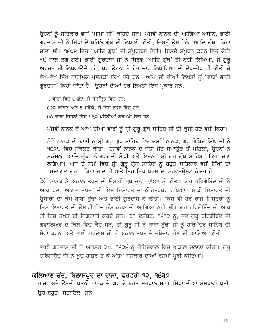ਉਹਨਾਂ ਨੂੰ ਸਤਿਕਾਰ ਵਜੋਂ 'ਮਾਮਾ ਜੀ' ਕਹਿੰਦੇ ਸਨ। ਪੰਜਵੇਂ ਨਾਨਕ ਦੀ ਆਗਿਆ ਅਧੀਨ, ਭਾਈ ਗੁਰਦਾਸ ਜੀ ਨੇ ਸਿੱਖਾਂ ਦੇ ਪਹਿਲੇ ਗ੍ਰੰਥ ਦੀ ਲਿਖਾਈ ਕੀਤੀ, ਜਿਸਨੂੰ ਉਸ ਵੇਲੇ 'ਆਦਿ ਗ੍ਰੰਥ' ਕਿਹਾ ਜਾਂਦਾ ਸੀ। ੧੬੦੪ ਵਿਚ 'ਆਦਿ ਗ੍ਰੰਥ' ਦੀ ਸੰਪੁਰਨਤਾ ਹੋਈ। ਇਸਦੇ ਸੰਪੁਰਨ ਕਰਨ ਵਿਚ ਕੋਈ ੧੯ ਸਾਲ ਲਗ ਗਏ। ਭਾਈ ਗੁਰਦਾਸ ਜੀ ਨੇ ਸਿਰਫ਼ 'ਆਦਿ ਗ੍ਰੰਥ' ਹੀ ਨਹੀਂ ਲਿਖਿਆ, ਜੋ ਗੁਰੁ ਅਰਜਨ ਜੀ ਲਿਖਵਾਉਂਦੇ ਰਹੇ, ਪਰ ਉਹਨਾਂ ਨੇ ਹੋਰ ਚਾਰ ਲਿਖਾਰਿਆਂ ਦੀ ਦੇਖ-ਰੇਖ ਵੀ ਕੀਤੀ ਜੋ ਵੱਖ-ਵੱਖ ਸਿੱਖ ਧਾਰਮਿਕ ਪੁਸਤਕਾਂ ਲਿਖ ਰਹੇ ਹਨ। ਆਪ ਜੀ ਦੀਆਂ ਲਿਖਤਾਂ ਨੂੰ 'ਵਾਰਾਂ ਭਾਈ ਗੁਰਦਾਸ' ਕਿਹਾ ਜਾਂਦਾ ਹੈ। ਉਹਨਾਂ ਦੀਆਂ ਹੋਰ ਲਿਖਤਾਂ ਇਸ ਪ੍ਰਕਾਰ ਸਨ:

੮ ਵਾਰਾਂ ਵਿਚ ੬ ਛੰਦ, ਜੋ ਸੰਸਕ੍ਰਿਤ ਵਿਚ ਹਨ; £22 ਕਬਿਤ ਅਤੇ ੩ ਸਵੈਯੇ, ਜੋ ਬ੍ਰਿਜ ਭਾਸ਼ਾ ਵਿਚ ਹਨ; ੪੦ ਵਾਰਾਂ ਜਿਹਨਾਂ ਵਿਚ ੯੧੨ ਪੳੜੀਆਂ ਗਰਮਖੀ ਵਿਚ ਹਨ।

ਪੰਜਵੇਂ ਨਾਨਕ ਨੇ ਆਪ ਦੀਆਂ ਵਾਰਾਂ ਨੂੰ ਸ੍ਰੀ ਗੁਰੂ ਗ੍ਰੰਥ ਸਾਹਿਬ ਜੀ ਦੀ ਕੁੰਜੀ ਹੋਣ ਵਜੋਂ ਕਿਹਾ।

ਨੌਵੇਂ ਨਾਨਕ ਦੀ ਬਾਣੀ ਨੂੰ ਸ੍ਰੀ ਗੁਰੂ ਗ੍ਰੰਥ ਸਾਹਿਬ ਵਿਚ ਦਸਵੇਂ ਨਾਨਕ, ਗੁਰੂ ਗੋਬਿੰਦ ਸਿੰਘ ਜੀ ਨੇ ੧੬੭੮ ਵਿਚ ਸੰਕਲਤ ਕੀਤਾ। ਦਸਵੇਂ ਨਾਨਕ ਦੇ ਜੋਤੀ ਜੋਤ ਸਮਾੳਣ ਤੋਂ ਪਹਿਲਾਂ, ੳਹਨਾਂ ਨੇ ਮੁਕੰਮਲ 'ਆਦਿ ਗ੍ਰੰਥ' ਨੂੰ ਗੁਰਗੱਦੀ ਸੌਂਪੀ ਅਤੇ ਇਸਨੂੰ "ਸ੍ਰੀ ਗੁਰੂ ਗ੍ਰੰਥ ਸਾਹਿਬ" ਕਿਹਾ ਜਾਣ ਤ<br>ਲਗਿਆ। ਅੱਜ ਦੇ ਸਮੇਂ ਵਿਚ ਸ੍ਰੀ ਗੁਰੂ ਗ੍ਰੰਥ ਸਾਹਿਬ ਨੂੰ ਬਹੁਤ ਸਤਿਕਾਰ ਵਜੋਂ ਸਿੱਖਾਂ ਦਾ 'ਸਦਾਕਾਲ ਗੁਰੂ', ਕਿਹਾ ਜਾਂਦਾ ਹੈ ਅਤੇ ਇਹ ਸਿੱਖ ਧਰਮ ਦਾ ਸਰਵ-ਸੇਸ਼ਟ ਕੇਂਦਰ ਹੈ।

ਛੇਵੇਂ ਨਾਨਕ ਨੇ ਅਕਾਲ ਤਖ਼ਤ ਦੀ ਉਸਾਰੀ ੧੫ ਜੂਨ, ੧੬੦੬ ਨੂੰ ਕੀਤਾ। ਗੁਰੂ ਹਰਿਗੋਬਿੰਦ ਜੀ ਨੇ ਆਪ ਖੁਦ 'ਅਕਾਲ ਤਖ਼ਤ' ਦੀ ਇਸ ਇਮਾਰਤ ਦਾ ਨੀਂਹ-ਪੱਥਰ ਰਖਿਆ। ਬਾਕੀ ਇਮਾਰਤ ਦੀ ਉਸਾਰੀ ਦਾ ਕੰਮ ਬਾਬਾ ਬੁੱਢਾ ਅਤੇ ਭਾਈ ਗੁਰਦਾਸ ਨੇ ਕੀਤਾ। ਕਿਸੇ ਵੀ ਹੋਰ ਰਾਜ-ਮਿਸਤਰੀ ਨੂੰ ਇਸ ਇਮਾਰਤ ਦੀ ਉਸਾਰੀ ਵਿਚ ਕੰਮ ਕਰਨ ਦੀ ਆਗਿਆ ਨਹੀਂ ਸੀ। ਗੁਰੂ ਹਰਿਗੋਬਿੰਦ ਜੀ ਆਪ ਹੀ ਇਸ ਤਖ਼ਤ ਦੀ ਨਿਗਰਾਨੀ ਕਰਦੇ ਸਨ। ੩੧ ਦਸੰਬਰ, ੧੬੧੨ ਨੂੰ, ਜਦ ਗੁਰੂ ਹਰਿਗੋਬਿੰਦ ਜੀ ਗਵਾਲਿਅਰ ਦੇ ਕਿਲੇ ਵਿਚ ਕੈਦ ਸਨ, ਤਾਂ ਗੁਰੂ ਜੀ ਨੇ ਬਾਬਾ ਬੁੱਢਾ ਜੀ ਨੂੰ ਹਰਿਮੰਦਰ ਸਾਹਿਬ ਦੀ ਸੇਵਾ ਕਰਨਾ ਅਤੇ ਭਾਈ ਗੁਰਦਾਸ ਜੀ ਨੂੰ ਅਕਾਲ ਤਖ਼ਤ ਦੇ ਜਥੇਦਾਰ ਹੋਣ ਦੀ ਆਗਿਆ ਕੀਤੀ।

ਭਾਈ ਗੁਰਦਾਸ ਜੀ ਨੇ ਅਗਸਤ ੨੫, ੧੬੩੬ ਨੂੰ ਗੋਇੰਦਵਾਲ ਵਿਚ ਅਕਾਲ ਚਲਾਣਾ ਕੀਤਾ। ਗੁਰੂ ਹਰਿਗੋਬਿੰਦ ਜੀ ਨੇ ਖੁਦ ਹਾਜ਼ਰ ਹੋ ਕੇ ਅੰਤਮ ਸਸਕਾਰ ਦੀਆਂ ਰਸਮਾਂ ਪੂਰੀ ਕੀਤਿਆਂ।

### ਕਲਿਆਣ ਚੰਦ, ਬਿਲਾਸਪੁਰ ਦਾ ਰਾਜਾ, ਫਰਵਰੀ ੧੨, ੧੬੩੭

ਰਾਜਾ ਅਤੇ ਉਸਦੀ ਪਤਨੀ ਨਾਨਕ ਦੇ ਘਰ ਦੇ ਬਹੁਤ ਸ਼ਰਧਾਲੂ ਸਨ। ਸਿੱਖਾਂ ਦੀਆਂ ਸੰਸਥਾਵਾਂ ਪ੍ਰਤੀ ਉਹ ਬਹੁਤ ਸਹਾਇਕ ਸਨ।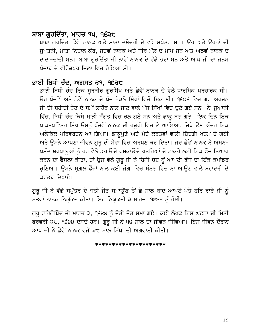### ਬਾਬਾ ਗਰਦਿੱਤਾ, ਮਾਰਚ ੧੫, ੧੬੩੮

ਬਾਬਾ ਗੁਰਦਿੱਤਾ ਛੇਵੇਂ ਨਾਨਕ ਅਤੇ ਮਾਤਾ ਦਮੋਦਰੀ ਦੇ ਵੱਡੇ ਸਪੁੱਤਰ ਸਨ। ਉਹ ਅਤੇ ਉਹਨਾਂ ਦੀ ਸਪਤਨੀ, ਮਾਤਾ ਨਿਹਾਲ ਕੌਰ, ਸਤਵੇਂ ਨਾਨਕ ਅਤੇ ਧੀਰ ਮੱਲ ਦੇ ਮਾਪੇ ਸਨ ਅਤੇ ਅਠਵੇਂ ਨਾਨਕ ਦੇ ਦਾਦਾ-ਦਾਦੀ ਸਨ। ਬਾਬਾ ਗਰਦਿੱਤਾ ਜੀ ਨਾਵੇਂ ਨਾਨਕ ਦੇ ਵੱਡੇ ਭਰਾ ਸਨ ਅਤੇ ਆਪ ਜੀ ਦਾ ਜਨਮ ਪੰਜਾਬ ਦੇ ਫੀਰੋਜ਼ਪਰ ਜਿਲਾ ਵਿਚ ਹੋਇਆ ਸੀ।

### ਭਾਈ ਬਿਧੀ ਚੰਦ, ਅਗਸਤ ੩੧, ੧੬੩੮

ਭਾਈ ਬਿਧੀ ਚੰਦ ਇਕ ਸੁਰਬੀਰ ਗੁਰਸਿੱਖ ਅਤੇ ਛੇਵੇਂ ਨਾਨਕ ਦੇ ਵੇਲੇ ਧਾਰਮਿਕ ਪਰਚਾਰਕ ਸੀ। ਉਹ ਪੰਜਵੇਂ ਅਤੇ ਛੇਵੇਂ ਨਾਨਕ ਦੇ ਪੰਜ ਨੇੜਲੇ ਸਿੱਖਾਂ ਵਿਚੋਂ ਇਕ ਸੀ। ੧੬੦੬ ਵਿਚ ਗੁਰੂ ਅਰਜਨ ਜੀ ਦੀ ਸ਼ਹੀਦੀ ਹੋਣ ਦੇ ਸਮੇਂ ਲਾਹੌਰ ਨਾਲ ਜਾਣ ਵਾਲੇ ਪੰਜ ਸਿੱਖਾਂ ਵਿਚ ਚੁਣੇ ਗਏ ਸਨ। ਨੌ-ਜੁਆਨੀ ਵਿੱਚ, ਬਿਧੀ ਚੰਦ ਕਿਸੇ ਮਾੜੀ ਸੰਗਤ ਵਿਚ ਰਲ ਗਏ ਸਨ ਅਤੇ ਡਾਕੁ ਬਣ ਗਏ। ਇਕ ਦਿਨ ਇਕ ਪਾਕ-ਪਵਿੱਤਰ ਸਿੱਖ ਉਸਨੂੰ ਪੰਜਵੇਂ ਨਾਨਕ ਦੀ ਹਜ਼ੂਰੀ ਵਿਚ ਲੇ ਆਇਆ, ਜਿਥੇ ਉਸ ਅੰਦਰ ਇਕ ਅਲੋਕਿਕ ਪਰਿਵਰਤਨ ਆ ਗਿਆ। ਡਾਕੁਪੁਣੇ ਅਤੇ ਮੰਦੇ ਕਰਤਵਾਂ ਵਾਲੀ ਜ਼ਿੰਦਗੀ ਖਤਮ ਹੋ ਗਈ ਅਤੇ ਉਸਨੇ ਆਪਣਾ ਜੀਵਨ ਗੁਰੂ ਦੀ ਸੇਵਾ ਵਿਚ ਅਰਪਣ ਕਰ ਦਿਤਾ। ਜਦ ਛੇਵੇਂ ਨਾਨਕ ਨੇ ਅਮਨ-ਪਸੰਦ ਸ਼ਰਧਾਲੂਆਂ ਨੂੰ ਹਰ ਵੇਲੇ ਡਰਾਉਂਦੇ ਧਮਕਾਉਂਦੇ ਖਤਰਿਆਂ ਦੇ ਟਾਕਰੇ ਲਈ ਇਕ ਫੌਜ ਤਿਆਰ ਕਰਨ ਦਾ ਫੈਸਲਾ ਕੀਤਾ, ਤਾਂ ਉਸ ਵੇਲੇ ਗੁਰੂ ਜੀ ਨੇ ਬਿਧੀ ਚੰਦ ਨੂੰ ਆਪਣੀ ਫੌਜ ਦਾ ਇੱਕ ਕਮਾਂਡਰ ਚੁਣਿਆ। ਉਸਨੇ ਮੁਗ਼ਲ ਫ਼ੌਜਾਂ ਨਾਲ ਕਈ ਜੰਗਾਂ ਵਿਚ ਮੰਨਣ ਵਿਚ ਨਾ ਆਉਣ ਵਾਲੇ ਬਹਾਦਰੀ ਦੇ ਕਰਤਬ ਦਿਖਾਏ।

ਗੁਰੂ ਜੀ ਨੇ ਵੱਡੇ ਸਪੁੱਤਰ ਦੇ ਜੋਤੀ ਜੋਤ ਸਮਾਉਂਣ ਤੋਂ ਛੇ ਸਾਲ ਬਾਦ ਆਪਣੇ ਪੋਤੇ ਹਰਿ ਰਾਏ ਜੀ ਨੂੰ ਸਤਵਾਂ ਨਾਨਕ ਨਿਯੁੱਕਤ ਕੀਤਾ। ਇਹ ਨਿਯੁਕਤੀ ੩ ਮਾਰਚ, ੧੬੪੪ ਨੂੰ ਹੋਈ।

ਗੁਰੂ ਹਰਿਗੋਬਿੰਦ ਜੀ ਮਾਰਚ ੩, ੧੬੪੪ ਨੂੰ ਜੋਤੀ ਜੋਤ ਸਮਾ ਗਏ। ਕਈ ਲੇਖਕ ਇਸ ਘਟਨਾ ਦੀ ਮਿਤੀ ਫਰਵਰੀ ੨੮, ੧੬੪੪ ਦਸਦੇ ਹਨ। ਗੁਰੂ ਜੀ ਨੇ ੫੪ ਸਾਲ ਦਾ ਜੀਵਨ ਜੀਵਿਆ। ਇਸ ਜੀਵਨ ਦੌਰਾਨ <u>ਆਪ ਜੀ ਨੇ ਛੇਵੇਂ ਨਾਨਕ ਵਜੋਂ ੩੮ ਸਾਲ ਸਿੱਖਾਂ ਦੀ ਅਗਵਾਈ ਕੀਤੀ।</u>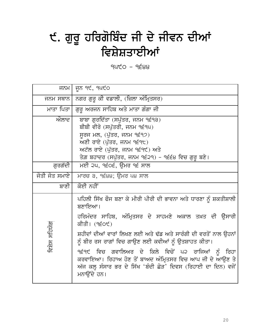### ੯. ਗੁਰੂ ਹਰਿਗੋਬਿੰਦ ਜੀ ਦੇ ਜੀਵਨ ਦੀਆਂ ਵਿਸ਼ੇਸ਼ਤਾਈਆਂ

 $940 - 9688$ 

| ਜਨਮ                                                                                                                                                                                                                          | ਜੂਨ ੧੯, ੧੫੯੦                                                                                                                                                                                                                                                                                                                                                                                                                                                                         |
|------------------------------------------------------------------------------------------------------------------------------------------------------------------------------------------------------------------------------|--------------------------------------------------------------------------------------------------------------------------------------------------------------------------------------------------------------------------------------------------------------------------------------------------------------------------------------------------------------------------------------------------------------------------------------------------------------------------------------|
| ਜਨਮ ਸਥਾਨ                                                                                                                                                                                                                     | ਨਗਰ ਗੁਰੂ ਕੀ ਵਡਾਲੀ, (ਜ਼ਿਲਾ ਅੰਮ੍ਰਿਤਸਰ)                                                                                                                                                                                                                                                                                                                                                                                                                                                 |
| ਮਾਤਾ ਪਿਤਾ                                                                                                                                                                                                                    | ਗੁਰੂ ਅਰਜਨ ਸਾਹਿਬ ਅਤੇ ਮਾਤਾ ਗੰਗਾ ਜੀ                                                                                                                                                                                                                                                                                                                                                                                                                                                     |
| ਔਲਾਦ<br>ਬਾਬਾ ਗੁਰਦਿੱਤਾ (ਸਪੁੱਤਰ, ਜਨਮ ੧੬੧੩)<br>ਬੀਬੀ ਵੀਰੋ (ਸਪੁੱਤਰੀ, ਜਨਮ ੧੬੧੫)<br>ਸੂਰਜ ਮਲ, (ਪੁੱਤਰ, ਜਨਮ ੧੬੧੭)<br>ਅਣੀ ਰਾਏ (ਪੁੱਤਰ, ਜਨਮ ੧੬੧੮)<br>ਅਟੱਲ ਰਾਏ (ਪੁੱਤਰ, ਜਨਮ ੧੬੧੯) ਅਤੇ<br>ਤੇਗ਼ ਬਹਾਦਰ (ਸਪੁੱਤਰ, ਜਨਮ ੧੬੨੧) – ੧੬੬੪ ਵਿਚ ਗੁਰੂ ਬਣੇ। |                                                                                                                                                                                                                                                                                                                                                                                                                                                                                      |
| ਗੁਰਗੱਦੀ                                                                                                                                                                                                                      | ਮਈ ੨੫, ੧੬੦੬, ਉਮਰ ੧੬ ਸਾਲ                                                                                                                                                                                                                                                                                                                                                                                                                                                              |
| ਜੋਤੀ ਜੋਤ ਸਮਾਏ                                                                                                                                                                                                                | ਮਾਰਚ ੩, ੧੬੪੪; ਉਮਰ ੫੪ ਸਾਲ                                                                                                                                                                                                                                                                                                                                                                                                                                                             |
| ਬਾਣੀ                                                                                                                                                                                                                         | ਕੋਈ ਨਹੀਂ                                                                                                                                                                                                                                                                                                                                                                                                                                                                             |
| ਵਿਸ਼ੇਸ ਸਹਿਯੋਗ                                                                                                                                                                                                                | ਪਹਿਲੀ ਸਿੱਖ ਫੌਜ ਬਣਾ ਕੇ ਮੀਰੀ ਪੀਰੀ ਦੀ ਭਾਵਨਾ ਅਤੇ ਧਾਰਣਾ ਨੂੰ ਸ਼ਕਤੀਸ਼ਾਲੀ<br>ਬਣਾਇਆ।<br>ਹਰਿਮੰਦਰ ਸਾਹਿਬ, ਅੰਮ੍ਰਿਤਸਰ ਦੇ ਸਾਹਮਣੇ ਅਕਾਲ ਤਖ਼ਤ ਦੀ ਉਸਾਰੀ<br>ਕੀਤੀ। (੧੬੦੯)<br>ਸ਼ਹੀਦਾਂ ਦੀਆਂ ਵਾਰਾਂ ਲਿਖਣ ਲਈ ਅਤੇ ਢੱਡ ਅਤੇ ਸਾਰੰਗੀ ਦੀ ਵਰਤੋਂ ਨਾਲ ਉਹਨਾਂ<br>ਨੂੰ ਬੀਰ ਰਸ ਰਾਗਾਂ ਵਿਚ ਗਾਉਣ ਲਈ ਕਵੀਆਂ ਨੂੰ ਉਤਸ਼ਾਹਤ ਕੀਤਾ।<br>੧੬੧੯ ਵਿਚ ਗਵਾਲਿਅਰ ਦੇ ਕਿਲੇ ਵਿਚੋਂ ਪ੨ ਰਾਜਿਆਂ ਨੂੰ<br>ਰਿਹਾ<br>ਕਰਵਾਇਆ। ਰਿਹਾਅ ਹੋਣ ਤੋਂ ਬਾਅਦ ਅੰਮ੍ਰਿਤਸਰ ਵਿਚ ਆਪ ਜੀ ਦੇ ਆਉਣ ਤੇ<br>ਅੱਜ ਕਲ੍ਹ ਸੰਸਾਰ ਭਰ ਦੇ ਸਿੱਖ 'ਬੰਦੀ ਛੋੜ' ਦਿਵਸ (ਰਿਹਾਈ ਦਾ ਦਿਨ) ਵਜੋਂ<br>ਮਨਾੳਂਦੇ ਹਨ। |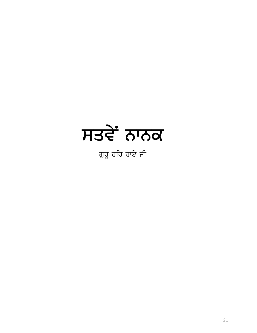# ਸਤਵੇਂ ਨਾਨਕ

ਗੁਰੂ ਹਰਿ ਰਾਏ ਜੀ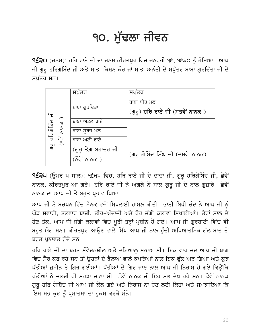### ੧੦. ਮੱਢਲਾ ਜੀਵਨ

੧੬੩੦ (ਜਨਮ): ਹਰਿ ਰਾਏ ਜੀ ਦਾ ਜਨਮ ਕੀਰਤਪੁਰ ਵਿਚ ਜਨਵਰੀ ੧੬, ੧੬੩੦ ਨੂੰ ਹੋਇਆ। ਆਪ ਜੀ ਗੁਰੂ ਹਰਿਗੋਬਿੰਦ ਜੀ ਅਤੇ ਮਾਤਾ ਕਿਸ਼ਨ ਕੌਰ ਜਾਂ ਮਾਤਾ ਅਨੰਤੀ ਦੇ ਸਪੁੱਤਰ ਬਾਬਾ ਗੁਰਦਿੱਤਾ ਜੀ ਦੇ ਸਪੱਤਰ ਸਨ।

| (ਗੁਰੂ) <b>ਹਰਿ ਰਾਏ ਜੀ (ਸਤਵੇਂ ਨਾਨਕ )</b> |
|----------------------------------------|
|                                        |
|                                        |
|                                        |
| (ਗੁਰੂ ਗੋਬਿੰਦ ਸਿੰਘ ਜੀ (ਦਸਵੇਂ ਨਾਨਕ)      |
|                                        |
|                                        |

9੬੩੫ (ਉਮਰ ਪ ਸਾਲ): ੧੬੩੫ ਵਿਚ, ਹਰਿ ਰਾਏ ਜੀ ਦੇ ਦਾਦਾ ਜੀ, ਗੁਰੂ ਹਰਿਗੋਬਿੰਦ ਜੀ, ਛੇਵੇਂ ਨਾਨਕ, ਕੀਰਤਪੁਰ ਆ ਗਏ। ਹਰਿ ਰਾਏ ਜੀ ਨੇ ਅਗਲੇ ਨੌ ਸਾਲ ਗੁਰੂ ਜੀ ਦੇ ਨਾਲ ਗੁਜ਼ਾਰੇ। ਛੇਵੇਂ ਨਾਨਕ ਦਾ ਆਪ ਜੀ ਤੇ ਬਹਤ ਪੁਭਾਵ ਪਿਆ।

ਆਪ ਜੀ ਨੇ ਬਚਪਨ ਵਿੱਚ ਸੈਨਕ ਵਜੋਂ ਸਿਖਲਾਈ ਹਾਸਲ ਕੀਤੀ। ਭਾਈ ਬਿਧੀ ਚੰਦ ਨੇ ਆਪ ਜੀ ਨੂੰ ਘੋੜ ਸਵਾਰੀ, ਤਲਵਾਰ ਬਾਜ਼ੀ, ਤੀਰ-ਅੰਦਾਜ਼ੀ ਅਤੇ ਹੋਰ ਜੰਗੀ ਕਲਾਵਾਂ ਸਿਖਾਈਆਂ। ਤੇਰਾਂ ਸਾਲ ਦੇ ਹੋਣ ਤੱਕ, ਆਪ ਜੀ ਜੰਗੀ ਕਲਾਵਾਂ ਵਿਚ ਪੂਰੀ ਤਰ੍ਹਾਂ ਪ੍ਰਬੀਨ ਹੋ ਗਏ। ਆਪ ਜੀ ਗੁਰਬਾਣੀ ਵਿੱਚ ਵੀ ਬਹੁਤ ਯੋਗ ਸਨ। ਕੀਰਤਪੁਰ ਆਉਣ ਵਾਲੇ ਸਿੱਖ ਆਪ ਜੀ ਨਾਲ ਹੁੰਦੀ ਅਧਿਆਤਮਿਕ ਗੱਲ ਬਾਤ ਤੋਂ ਬਹਤ ਪੁਭਾਵਤ ਹੰਦੇ ਸਨ।

ਹਰਿ ਰਾਏ ਜੀ ਦਾ ਬਹੁਤ ਸੰਵੇਦਨਸ਼ੀਲ ਅਤੇ ਦਇਆਲੂ ਸੁਭਾਅ ਸੀ। ਇਕ ਵਾਰ ਜਦ ਆਪ ਜੀ ਬਾਗ ਵਿਚ ਸੈਰ ਕਰ ਰਹੇ ਸਨ ਤਾਂ ੳਹਨਾਂ ਦੇ ਫੈਲਾਅ ਵਾਲੇ ਕਪੜਿਆਂ ਨਾਲ ਇਕ ਫੱਲ ਅੜ ਗਿਆ ਅਤੇ ਕਝ ਪੱਤੀਆਂ ਜ਼ਮੀਨ ਤੇ ਗਿਰ ਗਈਆਂ। ਪੱਤੀਆਂ ਦੇ ਗਿਰ ਜਾਣ ਨਾਲ ਆਪ ਜੀ ਨਿਰਾਸ ਹੋ ਗਏ ਕਿੳਂਕਿ ਪੱਤੀਆਂ ਨੇ ਜਲਦੀ ਹੀ ਮੁਰਝਾ ਜਾਣਾ ਸੀ। ਛੇਵੇਂ ਨਾਨਕ ਜੀ ਇਹ ਸਭ ਦੇਖ ਰਹੇ ਸਨ। ਛੇਵੇਂ ਨਾਨਕ ਗੁਰੂ ਹਰਿ ਗੋਬਿੰਦ ਜੀ ਆਪ ਜੀ ਕੋਲ ਗਏ ਅਤੇ ਨਿਰਾਸ ਨਾ ਹੋਣ ਲਈ ਕਿਹਾ ਅਤੇ ਸਮਝਾਇਆ ਕਿ ਇਸ ਸਭ ਕੁਝ ਨੂੰ ਪ੍ਰਮਾਤਮਾ ਦਾ ਹੁਕਮ ਕਰਕੇ ਮੰਨੋ।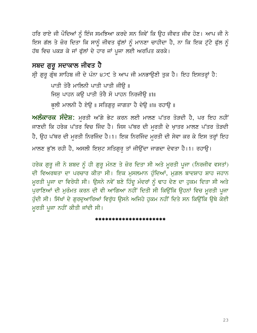ਹਰਿ ਰਾਏ ਜੀ ਪੌਦਿਆਂ ਨੂੰ ਇੰਜ ਸਮਝਿਆ ਕਰਦੇ ਸਨ ਜਿਵੇਂ ਕਿ ਉਹ ਜੀਵਤ ਜੀਵ ਹੋਣ। ਆਪ ਜੀ ਨੇ ਇਸ ਗੱਲ ਤੇ ਜ਼ੋਰ ਦਿਤਾ ਕਿ ਸਾਨੂੰ ਜੀਵਤ ਫੁੱਲਾਂ ਨੂੰ ਮਾਨਣਾ ਚਾਹੀਦਾ ਹੈ, ਨਾ ਕਿ ਇਕ ਟੁੱਟੇ ਫੁੱਲ ਨੂੰ ਹੱਥ ਵਿਚ ਪਕੜ ਕੇ ਜਾਂ ਫੁੱਲਾਂ ਦੇ ਹਾਰ ਜਾਂ ਪੁਜਾ ਲਈ ਅਰਪਿਤ ਕਰਕੇ।

### ਸਬਦ ਗੁਰੂ ਸਦਾਕਾਲ ਜੀਵਤ ਹੈ

ਸ੍ਰੀ ਗੁਰੁ ਗ੍ਰੰਥ ਸਾਹਿਬ ਜੀ ਦੇ ਪੰਨਾ ੪੭੯ ਤੇ ਆਪ ਜੀ ਮਨਭਾਉਣੀ ਤੁਕ ਹੈ। ਇਹ ਇਸਤਰ੍ਹਾਂ ਹੈ:

ਪਾਤੀ ਤੋਰੈ ਮਾਲਿਨੀ ਪਾਤੀ ਪਾਤੀ ਜੀੳ ॥

ਜਿਸੁ ਪਾਹਨ ਕਉ ਪਾਤੀ ਤੋਰੈ ਸੋ ਪਾਹਨ ਨਿਰਜੀਉ ॥1॥

ਭਲੀ ਮਾਲਨੀ ਹੈ ਏਉੁ॥ ਸਤਿਗੁਰੂ ਜਾਗਤਾ ਹੈ ਦੇਉੁ॥1॥ ਰਹਾਉੁ॥

ਅਲੰਕਾਰਕ ਸੰਦੇਸ਼: ਮੁਰਤੀ ਅੱਗੇ ਭੇਟ ਕਰਨ ਲਈ ਮਾਲਣ ਪੱਤਰ ਤੋੜਦੀ ਹੈ, ਪਰ ਇਹ ਨਹੀਂ ਜਾਣਦੀ ਕਿ ਹਰੇਕ ਪੱਤਰ ਵਿਚ ਜਿੰਦ ਹੈ। ਜਿਸ ਪੱਥਰ ਦੀ ਮੁਰਤੀ ਦੇ ਖ਼ਾਤਰ ਮਾਲਣ ਪੱਤਰ ਤੋੜਦੀ ਹੈ, ਉਹ ਪੱਥਰ ਦੀ ਮੁਰਤੀ ਨਿਰਜਿੰਦ ਹੈ।1। ਇਕ ਨਿਰਜਿੰਦ ਮੁਰਤੀ ਦੀ ਸੇਵਾ ਕਰ ਕੇ ਇਸ ਤਰ੍ਹਾਂ ਇਹ

ਮਾਲਣ ਭੁੱਲ ਰਹੀ ਹੈ, ਅਸਲੀ ਇਸ਼ਟ ਸਤਿਗੁਰ ਤਾਂ ਜੀਉਂਦਾ ਜਾਗਦਾ ਦੇਵਤਾ ਹੈ।1। ਰਹਾਉ।

ਹਰੇਕ ਗੁਰੂ ਜੀ ਨੇ ਸ਼ਬਦ ਨੂੰ ਹੀ ਗੁਰੂ ਮੰਨਣ ਤੇ ਜ਼ੋਰ ਦਿਤਾ ਸੀ ਅਤੇ ਮੂਰਤੀ ਪੂਜਾ (ਨਿਰਜੀਵ ਵਸਤਾਂ) ਦੀ ਵਿਅਰਥਤਾ ਦਾ ਪਰਚਾਰ ਕੀਤਾ ਸੀ। ਇਕ ਮੁਸਲਮਾਨ ਹੁੰਦਿਆਂ, ਮੁਗ਼ਲ ਬਾਦਸ਼ਾਹ ਸ਼ਾਹ ਜਹਾਨ ਮੁਰਤੀ ਪੂਜਾ ਦਾ ਵਿਰੋਧੀ ਸੀ। ਉਸਨੇ ਨਵੇਂ ਬਣੇ ਹਿੰਦੂ ਮੰਦਰਾਂ ਨੂੰ ਢਾਹ ਦੇਣ ਦਾ ਹੁਕਮ ਦਿਤਾ ਸੀ ਅਤੇ ਪੁਰਾਣਿਆਂ ਦੀ ਮੁਰੰਮਤ ਕਰਨ ਦੀ ਵੀ ਆਗਿਆ ਨਹੀਂ ਦਿਤੀ ਸੀ ਕਿਉਂਕਿ ਉਹਨਾਂ ਵਿਚ ਮੁਰਤੀ ਪੁਜਾ ਹੁੰਦੀ ਸੀ। ਸਿੱਖਾਂ ਦੇ ਗੁਰਦੁਆਰਿਆਂ ਵਿਰੁੱਧ ਉਸਨੇ ਅਜਿਹੇ ਹੁਕਮ ਨਹੀਂ ਦਿਤੇ ਸਨ ਕਿਉਂਕਿ ਉਥੇ ਕੋਈ ਮੁਰਤੀ ਪੁਜਾ ਨਹੀਂ ਕੀਤੀ ਜਾਂਦੀ ਸੀ।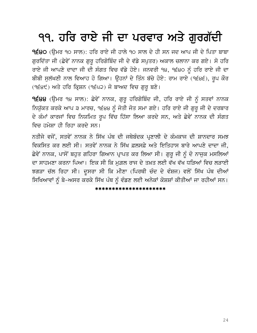## ੧੧. ਹਰਿ ਰਾਏ ਜੀ ਦਾ ਪਰਵਾਰ ਅਤੇ ਗੁਰਗੱਦੀ

੧੬੪੦ (ਉਮਰ ੧੦ ਸਾਲ): ਹਰਿ ਰਾਏ ਜੀ ਹਾਲੇ ੧੦ ਸਾਲ ਦੇ ਹੀ ਸਨ ਜਦ ਆਪ ਜੀ ਦੇ ਪਿਤਾ ਬਾਬਾ ਗੁਰਦਿੱਤਾ ਜੀ (ਛੇਵੇਂ ਨਾਨਕ ਗੁਰੂ ਹਰਿਗੋਬਿੰਦ ਜੀ ਦੇ ਵੱਡੇ ਸਪੁਤਰ) ਅਕਾਲ ਚਲਾਨਾ ਕਰ ਗਏ। ਸੋ ਹਰਿ ਰਾਏ ਜੀ ਆਪਣੇ ਦਾਦਾ ਜੀ ਦੀ ਸੰਗਤ ਵਿਚ ਵੱਡੇ ਹੋਏ। ਜਨਵਰੀ ੧੪, ੧੬੪੦ ਨੂੰ ਹਰਿ ਰਾਏ ਜੀ ਦਾ ਬੀਬੀ ਸੁਲੱਖਣੀ ਨਾਲ ਵਿਆਹ ਹੋ ਗਿਆ। ਉਹਨਾਂ ਦੇ ਤਿੰਨ ਬੱਚੇ ਹੋਏ: ਰਾਮ ਰਾਏ (੧੬੪੬), ਰੂਪ ਕੌਰ (੧੬੪੯) ਅਤੇ ਹਰਿ ਕ੍ਰਿਸ਼ਨ (੧੬੫੨) ਜੋ ਬਾਅਦ ਵਿਚ ਗੁਰੂ ਬਣੇ।

9੬੪੪ (ਉਮਰ ੧੪ ਸਾਲ): ਛੇਵੇਂ ਨਾਨਕ, ਗੁਰੂ ਹਰਿਗੋਬਿੰਦ ਜੀ, ਹਰਿ ਰਾਏ ਜੀ ਨੂੰ ਸਤਵਾਂ ਨਾਨਕ ਨਿਯੁੱਕਤ ਕਰਕੇ ਆਪ ੩ ਮਾਰਚ, ੧੬੪੪ ਨੂੰ ਜੋਤੀ ਜੋਤ ਸਮਾ ਗਏ। ਹਰਿ ਰਾਏ ਜੀ ਗੁਰੂ ਜੀ ਦੇ ਦਰਬਾਰ ਦੇ ਕੰਮਾਂ ਕਾਰਜਾਂ ਵਿਚ ਨਿਯਮਿਤ ਰੂਪ ਵਿੱਚ ਹਿੱਸਾ ਲਿਆ ਕਰਦੇ ਸਨ, ਅਤੇ ਛੇਵੇਂ ਨਾਨਕ ਦੀ ਸੰਗਤ ਵਿਚ ਹਮੇਸ਼ਾ ਹੀ ਰਿਹਾ ਕਰਦੇ ਸਨ।

ਨਤੀਜੇ ਵਜੋਂ, ਸਤਵੇਂ ਨਾਨਕ ਨੇ ਸਿੱਖ ਪੰਥ ਦੀ ਜਥੇਬੰਦਕ ਪ੍ਰਣਾਲੀ ਦੇ ਕੰਮਕਾਜ ਦੀ ਸ਼ਾਨਦਾਰ ਸਮਝ ਵਿਕਸਿਤ ਕਰ ਲਈ ਸੀ। ਸਤਵੇਂ ਨਾਨਕ ਨੇ ਸਿੱਖ ਫ਼ਲਸਫ਼ੇ ਅਤੇ ਇਤਿਹਾਸ ਬਾਰੇ ਆਪਣੇ ਦਾਦਾ ਜੀ, ਛੇਵੇਂ ਨਾਨਕ, ਪਾਸੋਂ ਬਹੁਤ ਗਹਿਰਾ ਗਿਆਨ ਪ੍ਰਾਪਤ ਕਰ ਲਿਆ ਸੀ। ਗੁਰੂ ਜੀ ਨੂੰ ਦੋ ਨਾਜੁਕ ਮਸਲਿਆਂ ਦਾ ਸਾਹਮਣਾ ਕਰਨਾ ਪਿਆ। ਇਕ ਸੀ ਕਿ ਮਗ਼ਲ ਰਾਜ ਦੇ ਤਖ਼ਤ ਲਈ ਵੱਖ ਵੱਖ ਧੜਿਆਂ ਵਿਚ ਲੜਾਈ ਝਗੜਾ ਚੱਲ ਰਿਹਾ ਸੀ। ਦੁਸਰਾ ਸੀ ਕਿ ਮੀਣਾ (ਪਿਰਥੀ ਚੰਦ ਦੇ ਵੰਸ਼ਜ) ਵਲੋਂ ਸਿੱਖ ਪੰਥ ਦੀਆਂ ਸਿਖਿਆਵਾਂ ਨੰ ਬੇ-ਅਸਰ ਕਰਕੇ ਸਿੱਖ ਪੰਥ ਨੰ ਵੰਡਣ ਲਈ ਅਨੇਕਾਂ ਕੋਸ਼ਸ਼ਾਂ ਕੀਤੀਆਂ ਜਾ ਰਹੀਆਂ ਸਨ।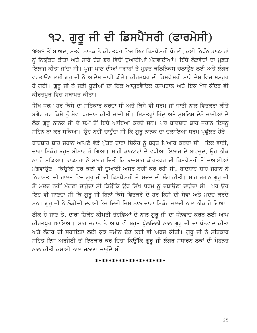# ੧੨. ਗੁਰੂ ਜੀ ਦੀ ਡਿਸਪੈਂਸਰੀ (ਫਾਰਮੇਸੀ)

੧੬੪੪ ਤੋਂ ਬਾਅਦ, ਸਤਵੇਂ ਨਾਨਕ ਨੇ ਕੀਰਤਪੁਰ ਵਿਚ ਇਕ ਡਿਸਪੈਂਸਰੀ ਖੋਹਲੀ, ਕਈ ਨਿਪੁੰਨ ਡਾਕਟਰਾਂ ਨੂੰ ਨਿਯੁੱਕਤ ਕੀਤਾ ਅਤੇ ਸਾਰੇ ਦੇਸ਼ ਭਰ ਵਿਚੋਂ ਦੁਆਈਆਂ ਮੰਗਵਾਈਆਂ। ਇੱਥੇ ਲੋੜਵੰਦਾਂ ਦਾ ਮੁਫ਼ਤ ਇਲਾਜ ਕੀਤਾ ਜਾਂਦਾ ਸੀ। ਪੁਜਾ ਪਾਠ ਦੀਆਂ ਜਗਾਹਾਂ ਤੇ ਮੁਫ਼ਤ ਕਲਿਨਿਕਸ ਚਲਾਉਣ ਲਈ ਅਤੇ ਲੰਗਰ ਵਰਤਾਉਣ ਲਈ ਗੁਰੂ ਜੀ ਨੇ ਆਦੇਸ਼ ਜਾਰੀ ਕੀਤੇ। ਕੀਰਤਪੁਰ ਦੀ ਡਿਸਪੈਂਸਰੀ ਸਾਰੇ ਦੇਸ਼ ਵਿਚ ਮਸ਼ਹੂਰ ਹੋ ਗਈ। ਗੁਰੂ ਜੀ ਨੇ ਜੜੀ ਬੂਟੀਆਂ ਦਾ ਇਕ ਆਯੁਰਵੈਦਿਕ ਹਸਪਤਾਲ ਅਤੇ ਇਕ ਖੋਜ ਕੇਂਦਰ ਵੀ ਕੀਰਤਪਰ ਵਿਚ ਸਥਾਪਤ ਕੀਤਾ।

ਸਿੱਖ ਧਰਮ ਹਰ ਕਿਸੇ ਦਾ ਸਤਿਕਾਰ ਕਰਦਾ ਸੀ ਅਤੇ ਕਿਸੇ ਵੀ ਧਰਮ ਜਾਂ ਜਾਤੀ ਨਾਲ ਵਿਤਕਰਾ ਕੀਤੇ ਬਗੈਰ ਹਰ ਕਿਸੇ ਨੂੰ ਸੇਵਾ ਪਰਦਾਨ ਕੀਤੀ ਜਾਂਦੀ ਸੀ। ਇਸਤਰ੍ਹਾਂ ਹਿੰਦੂ ਅਤੇ ਮੁਸਲਿਮ ਦੋਨੋ ਜਾਤੀਆਂ ਦੇ ਲੋਕ ਗੁਰੂ ਨਾਨਕ ਜੀ ਦੇ ਸਮੇਂ ਤੋਂ ਇਥੇ ਆਇਆ ਕਰਦੇ ਸਨ। ਪਰ ਬਾਦਸ਼ਾਹ ਸ਼ਾਹ ਜਹਾਨ ਇਸਨੂੰ ਸਹਿਨ ਨਾ ਕਰ ਸਕਿਆ। ਉਹ ਨਹੀਂ ਚਾਹੁੰਦਾ ਸੀ ਕਿ ਗੁਰੁ ਨਾਨਕ ਦਾ ਚਲਾਇਆ ਧਰਮ ਪ੍ਰਫੁੱਲਤ ਹੋਏ।

ਬਾਦਸ਼ਾਹ ਸ਼ਾਹ ਜਹਾਨ ਆਪਣੇ ਵੱਡੇ ਪੁੱਤਰ ਦਾਰਾ ਸ਼ਿਕੋਹ ਨੂੰ ਬਹੁਤ ਪਿਆਰ ਕਰਦਾ ਸੀ। ਇਕ ਵਾਰੀ, ਦਾਰਾ ਸ਼ਿਕੋਹ ਬਹੁਤ ਬੀਮਾਰ ਹੋ ਗਿਆ। ਸ਼ਾਹੀ ਡਾਕਟਰਾਂ ਦੇ ਵਧੀਆ ਇਲਾਜ ਦੇ ਬਾਵਜੂਦ, ਉਹ ਠੀਕ ਨਾ ਹੋ ਸਕਿਆ। ਡਾਕਟਰਾਂ ਨੇ ਸਲਾਹ ਦਿਤੀ ਕਿ ਬਾਦਸ਼ਾਹ ਕੀਰਤਪਰ ਦੀ ਡਿਸਪੈਂਸਰੀ ਤੋਂ ਦਆਈਆਂ ਮੰਗਵਾਉਣ। ਕਿਉਂਕੀ ਹੋਰ ਕੋਈ ਵੀ ਦੁਆਈ ਅਸਰ ਨਹੀਂ ਕਰ ਰਹੀ ਸੀ, ਬਾਦਸ਼ਾਹ ਸ਼ਾਹ ਜਹਾਨ ਨੇ ਨਿਰਾਸਤਾ ਦੀ ਹਾਲਤ ਵਿਚ ਗੁਰੂ ਜੀ ਦੀ ਡਿਸਪੈਂਸਰੀ ਤੋਂ ਮਦਦ ਦੀ ਮੰਗ ਕੀਤੀ। ਸ਼ਾਹ ਜਹਾਨ ਗੁਰੂ ਜੀ ਤੋਂ ਮਦਦ ਨਹੀਂ ਮੰਗਣਾ ਚਾਹੁੰਦਾ ਸੀ ਕਿਉਂਕਿ ਉਹ ਸਿੱਖ ਧਰਮ ਨੂੰ ਦਬਾਉਣਾ ਚਾਹੁੰਦਾ ਸੀ। ਪਰ ਉਹ ਇਹ ਵੀ ਜਾਣਦਾ ਸੀ ਕਿ ਗੁਰੂ ਜੀ ਬਿਨਾਂ ਕਿਸੇ ਵਿਤਕਰੇ ਦੇ ਹਰ ਕਿਸੇ ਦੀ ਸੇਵਾ ਅਤੇ ਮਦਦ ਕਰਦੇ ਸਨ। ਗੁਰੁ ਜੀ ਨੇ ਲੋੜੀਂਦੀ ਦਵਾਈ ਭੇਜ ਦਿਤੀ ਜਿਸ ਨਾਲ ਦਾਰਾ ਸ਼ਿਕੋਹ ਜਲਦੀ ਨਾਲ ਠੀਕ ਹੋ ਗਿਆ। ਠੀਕ ਹੋ ਜਾਣ ਤੇ, ਦਾਰਾ ਸ਼ਿਕੋਹ ਕੀਮਤੀ ਤੋਹਫ਼ਿਆਂ ਦੇ ਨਾਲ ਗੁਰੂ ਜੀ ਦਾ ਧੰਨਵਾਦ ਕਰਨ ਲਈ ਆਪ ਕੀਰਤਪੁਰ ਆਇਆ। ਸ਼ਾਹ ਜਹਾਨ ਨੇ ਆਪ ਵੀ ਬਹੁਤ ਖੁੱਲਦਿਲੀ ਨਾਲ ਗੁਰੂ ਜੀ ਦਾ ਧੰਨਵਾਦ ਕੀਤਾ ਅਤੇ ਲੰਗਰ ਦੀ ਸਹਾਇਤਾ ਲਈ ਕੁਝ ਜ਼ਮੀਨ ਦੇਣ ਲਈ ਵੀ ਅਰਜ ਕੀਤੀ। ਗੁਰੂ ਜੀ ਨੇ ਸਤਿਕਾਰ ਸਹਿਤ ਇਸ ਅਰਜੋਈ ਤੋਂ ਇਨਕਾਰ ਕਰ ਦਿਤਾ ਕਿਉਂਕਿ ਗੁਰੂ ਜੀ ਲੰਗਰ ਸਧਾਰਨ ਲੋਕਾਂ ਦੀ ਮੇਹਨਤ

\*\*\*\*\*\*\*\*\*\*\*\*\*\*\*\*\*\*\*\*\*

ਨਾਲ ਕੀਤੀ ਕਮਾਈ ਨਾਲ ਚਲਾਣਾ ਚਾਹੁੰਦੇ ਸੀ।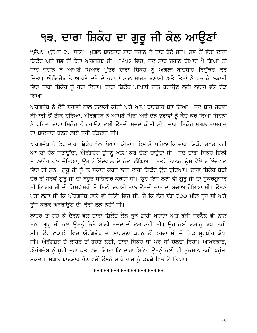## ੧੩. ਦਾਰਾ ਸ਼ਿਕੋਹ ਦਾ ਗੁਰੂ ਜੀ ਕੋਲ ਆਉਣਾਂ

੧੬੫੮ (ਉਮਰ ੨੮ ਸਾਲ): ਮੁਗ਼ਲ ਬਾਦਸ਼ਾਹ ਸ਼ਾਹ ਜਹਾਨ ਦੇ ਚਾਰ ਬੇਟੇ ਸਨ। ਸਭ ਤੋਂ ਵੱਡਾ ਦਾਰਾ ਸ਼ਿਕੋਹ ਅਤੇ ਸਭ ਤੋਂ ਛੋਟਾ ਔਰੰਗਜ਼ੇਬ ਸੀ। ੧੬੫੭ ਵਿਚ, ਜਦ ਸ਼ਾਹ ਜਹਾਨ ਬੀਮਾਰ ਪੈ ਗਿਆ ਤਾਂ ਸ਼ਾਹ ਜਹਾਨ ਨੇ ਆਪਣੇ ਪਿਆਰੇ ਪੁੱਤਰ ਦਾਰਾ ਸ਼ਿਕੋਹ ਨੂੰ ਅਗਲਾ ਬਾਦਸ਼ਾਹ ਨਿਯੁੱਕਤ ਕਰ ਦਿਤਾ। ਔਰੰਗਜ਼ੇਬ ਨੇ ਆਪਣੇ ਦੂਜੇ ਦੋ ਭਰਾਵਾਂ ਨਾਲ ਸਾਜ਼ਸ਼ ਬਣਾਈ ਅਤੇ ਤਿਨਾਂ ਨੇ ਰਲ ਕੇ ਲੜਾਈ ਵਿਚ ਦਾਰਾ ਸ਼ਿਕੋਹ ਨੂੰ ਹਰਾ ਦਿਤਾ। ਦਾਰਾ ਸ਼ਿਕੋਹ ਆਪਣੀ ਜਾਨ ਬਚਾਉਣ ਲਈ ਲਾਹੌਰ ਵੱਲ ਦੌੜ ਗਿਆ।

ਔਰੰਗਜ਼ੇਬ ਨੇ ਦੋਨੋ ਭਰਾਵਾਂ ਨਾਲ ਚਲਾਕੀ ਕੀਤੀ ਅਤੇ ਆਪ ਬਾਦਸ਼ਾਹ ਬਣ ਗਿਆ। ਜਦ ਸ਼ਾਹ ਜਹਾਨ ਬੀਮਾਰੀ ਤੋਂ ਠੀਕ ਹੋਇਆ, ਔਰੰਗਜ਼ੇਬ ਨੇ ਆਪਣੇ ਪਿਤਾ ਅਤੇ ਦੋਨੋ ਭਰਾਵਾਂ ਨੂੰ ਕੈਦ ਕਰ ਲਿਆ ਜਿਹਨਾਂ ਨੇ ਪਹਿਲਾਂ ਦਾਰਾ ਸ਼ਿਕੋਹ ਨੂੰ ਹਰਾਉਣ ਲਈ ਉਸਦੀ ਮਦਦ ਕੀਤੀ ਸੀ। ਦਾਰਾ ਸ਼ਿਕੋਹ ਮੁਗ਼ਲ ਸਾਮਰਾਜ ਦਾ ਬਾਦਸਾਹ ਬਣਨ ਲਈ ਸਹੀ ਹੱਕਦਾਰ ਸੀ।

ਔਰੰਗਜ਼ੇਬ ਨੇ ਫਿਰ ਦਾਰਾ ਸ਼ਿਕੋਹ ਵੱਲ ਧਿਆਨ ਕੀਤਾ। ਇਸ ਤੋਂ ਪਹਿਲਾ ਕਿ ਦਾਰਾ ਸ਼ਿਕੋਹ ਤਖ਼ਤ ਲਈ ਆਪਣਾ ਹੱਕ ਜਤਾਉਂਦਾ, ਔਰੰਗਜ਼ੇਬ ਉਸਨੂੰ ਖਤਮ ਕਰ ਦੇਣਾ ਚਾਹੁੰਦਾ ਸੀ। ਜਦ ਦਾਰਾ ਸ਼ਿਕੋਹ ਦਿੱਲੀ ਤੋਂ ਲਾਹੌਰ ਵੱਲ ਦੌੜਿਆ, ਉਹ ਗੋਇੰਦਵਾਲ ਦੇ ਕੋਲੋਂ ਲੰਘਿਆ। ਸਤਵੇ ਨਾਨਕ ਉਸ ਵੇਲੇ ਗੋਇੰਦਵਾਲ ਵਿਚ ਹੀ ਸਨ। ਗੁਰੂ ਜੀ ਨੂੰ ਨਮਸਕਾਰ ਕਰਨ ਲਈ ਦਾਰਾ ਸ਼ਿਕੋਹ ਉਥੇ ਰੁਕਿਆ। ਦਾਰਾ ਸ਼ਿਕੋਹ ਬੜੀ ਦੇਰ ਤੋਂ ਸਤਵੇਂ ਗੁਰੂ ਜੀ ਦਾ ਬਹੁਤ ਸਤਿਕਾਰ ਕਰਦਾ ਸੀ। ਉਹ ਇਸ ਲਈ ਵੀ ਗੁਰੂ ਜੀ ਦਾ ਸ਼ੁਕਰਗੁਜ਼ਾਰ ਸੀ ਕਿ ਗੁਰੂ ਜੀ ਦੀ ਡਿਸਪੈਂਸਰੀ ਤੋਂ ਮਿਲੀ ਦਵਾਈ ਨਾਲ ਉਸਦੀ ਜਾਨ ਦਾ ਬਚਾਅ ਹੋਇਆ ਸੀ। ਉਸਨੂੰ ਪਤਾ ਲੱਗਾ ਸੀ ਕਿ ਔਰੰਗਜ਼ੇਬ ਹਾਲੇ ਵੀ ਦਿੱਲੀ ਵਿਚ ਸੀ, ਜੋ ਕਿ ਲੱਗ ਭੱਗ ੩੦੦ ਮੀਲ ਦੂਰ ਸੀ ਅਤੇ ਉਸ ਕਰਕੇ ਘਬਰਾਉਣ ਦੀ ਕੋਈ ਲੋੜ ਨਹੀਂ ਸੀ।

ਲਾਹੌਰ ਤੋਂ ਬਚ ਕੇ ਦੌੜਨ ਵੇਲੇ ਦਾਰਾ ਸ਼ਿਕੋਹ ਕੋਲ ਕੁਝ ਸ਼ਾਹੀ ਖਜ਼ਾਨਾ ਅਤੇ ਫੌਜੀ ਜਰਨੈਲ ਵੀ ਨਾਲ ਸਨ। ਗੁਰੂ ਜੀ ਕੋਲੋਂ ਉਸਨੂੰ ਕਿਸੇ ਮਾਲੀ ਮਦਦ ਦੀ ਲੋੜ ਨਹੀਂ ਸੀ। ਉਹ ਕੋਈ ਲੜਾਕੂ ਯੋਧਾ ਨਹੀਂ ਸੀ। ਉਹ ਲੜਾਈ ਵਿਚ ਔਰੰਗਜ਼ੇਬ ਦਾ ਸਾਹਮਣਾ ਕਰਨ ਤੋਂ ਡਰਦਾ ਸੀ ਜੋ ਇਕ ਸੁਰਬੀਰ ਯੋਧਾ ਸੀ। ਔਰੰਗਜ਼ੇਬ ਦੇ ਕਹਿਰ ਤੋਂ ਬਚਣ ਲਈ, ਦਾਰਾ ਸ਼ਿਕੋਹ ਥਾਂ-ਪਰ-ਥਾਂ ਚਲਦਾ ਰਿਹਾ। ਆਖਰਕਾਰ, ਅੌਰੰਗਜ਼ੇਬ ਨੂੰ ਪੂਰੀ ਤਰ੍ਹਾਂ ਪਤਾ ਲੱਗ ਗਿਆ ਕਿ ਦਾਰਾ ਸ਼ਿਕੋਹ ਉਸਨੂੰ ਕੋਈ ਵੀ ਨੁਕਸਾਨ ਨਹੀਂ ਪਹੁੰਚਾ ਸਕਦਾ। ਮਗ਼ਲ ਬਾਦਸ਼ਾਹ ਹੋਣ ਵਜੋਂ ਉਸਨੇ ਸਾਰੇ ਰਾਜ ਨੂੰ ਕਬਜ਼ੇ ਵਿਚ ਲੈ ਲਿਆ।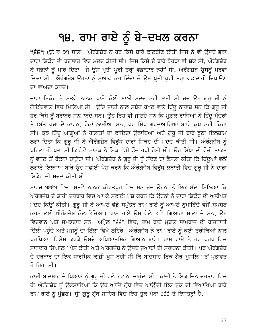## 98. ਰਾਮ ਰਾਏ ਨੂੰ ਬੇ–ਦਖਲ ਕਰਨਾ

੧੬੬੧ (ਉਮਰ ੩੧ ਸਾਲ): ਔਰੰਗਜ਼ੇਬ ਨੇ ਹਰ ਕਿਸੇ ਬਾਰੇ ਛਾਣਬੀਣ ਕੀਤੀ ਜਿਸ ਨੇ ਵੀ ਉਸਦੇ ਭਰਾ ਦਾਰਾ ਸ਼ਿਕੋਹ ਦੀ ਬਗ਼ਾਵਤ ਵਿਚ ਮਦਦ ਕੀਤੀ ਸੀ। ਜਿਸ ਕਿਸੇ ਦੇ ਬਾਰੇ ਥੋਹੜਾ ਵੀ ਸ਼ੱਕ ਸੀ, ਔਰੰਗਜ਼ੇਬ ਨੇ ਸਭਨਾਂ ਨੂੰ ਮਾਰ ਦਿਤਾ। ਜੋ ਉਸ ਪ੍ਰਤੀ ਪੂਰੀ ਤਰ੍ਹਾਂ ਵਫ਼ਾਦਾਰ ਨਹੀਂ ਸੀ, ਔਰੰਗਜ਼ੇਬ ਉਸਨੂੰ ਮਰਵਾ ਦਿੰਦਾ ਸੀ। ਔਰੰਗਜ਼ੇਬ ਉਹਨਾਂ ਨੂੰ ਮੁਆਫ਼ ਕਰ ਦਿੰਦਾ ਜੋ ਉਸ ਪ੍ਰਤੀ ਪੂਰੀ ਤਰ੍ਹਾਂ ਵਫ਼ਾਦਾਰੀ ਦਿਖਾੳਣ ਦਾ ਵਾਅਦਾ ਕਰਦੇ।

ਦਾਰਾ ਸ਼ਿਕੋਹ ਨੇ ਸਤਵੇਂ ਨਾਨਕ ਪਾਸੋਂ ਕੋਈ ਮਾਲੀ ਮਦਦ ਨਹੀਂ ਲਈ ਸੀ ਜਦ ਉਹ ਗੁਰੂ ਜੀ ਨੂੰ ਗੋਇਂਦਵਾਲ ਵਿਚ ਮਿਲਿਆ ਸੀ। ਉੱਚ ਜਾਤੀ ਨਾਲ ਸਬੰਧ ਰਖਣ ਵਾਲੇ ਹਿੰਦੂ ਨਾਰਾਜ਼ ਸਨ ਕਿ ਗੁਰੂ ਜੀ ਹਰ ਕਿਸੇ ਨੂੰ ਬਰਾਬਰ ਸਨਮਾਨਦੇ ਸਨ। ਉਹ ਇਹ ਵੀ ਜਾਣਦੇ ਸਨ ਕਿ ਮੁਗ਼ਲ ਰਾਜਿਆਂ ਨੇ ਹਿੰਦੂ ਮੰਦਰਾਂ ਤੇ (ਬੁੱਤ ਪੂਜਾ ਦੇ ਕਾਰਨ) ਰੋਕਾਂ ਲਾਈਆਂ ਸਨ, ਪਰ ਸਿੱਖ ਗੁਰਦੁਆਰਿਆਂ ਬਾਾਰੇ ਕੁਝ ਨਹੀਂ ਕਿਹਾ ਸੀ। ਕੁਝ ਹਿੰਦੂ ਆਗੂਆਂ ਨੇ ਹਾਲਾਤਾਂ ਦਾ ਫਾਇਦਾ ਉਠਾਇਆ ਅਤੇ ਗੁਰੂ ਜੀ ਬਾਰੇ ਝੁਠਾ ਇਲਜ਼ਾਮ ਲਗਾ ਦਿਤਾ ਕਿ ਗੁਰੂ ਜੀ ਨੇ ਔਰੰਗਜ਼ੇਬ ਵਿਰੁੱਧ ਦਾਰਾ ਸ਼ਿਕੋਹ ਦੀ ਮਦਦ ਕੀਤੀ ਸੀ। ਔਰੰਗਜ਼ੇਬ ਨੂੰ ਪਹਿਲਾ ਹੀ ਪਤਾ ਸੀ ਕਿ ਛੇਵੇਂ ਨਾਨਕ ਨੇ ਇਕ ਵੱਡੀ ਫੌਜ ਰਖੀ ਹੋਈ ਸੀ। ਉਹ ਸਿੱਖਾਂ ਦੀ ਫੌਜੀ ਤਾਕਤ ਨੂੰ ਵਧਣ ਤੋਂ ਰੋਕਨਾ ਚਾਹੁੰਦਾ ਸੀ। ਔਰੰਗਜ਼ੇਬ ਨੇ ਗੁਰੂ ਜੀ ਨੂੰ ਸੱਦਣ ਦਾ ਫੈਸਲਾ ਕੀਤਾ ਕਿ ਹਿੰਦੂਆਂ ਵਲੋਂ ਲਗਾਏ ਇਲਜ਼ਾਮ ਬਾਰੇ ਉਹ ਸਫਾਈ ਪੇਸ਼ ਕਰਨ ਕਿ ਔਰੰਗਜ਼ੇਬ ਵਿਰੁੱਧ ਲੜਾਈ ਵਿਚ ਗੁਰੂ ਜੀ ਨੇ ਦਾਰਾ ਸ਼ਿਕੋਹ ਦੀ ਮਦਦ ਕੀਤੀ ਸੀ।

ਮਾਰਚ ੧੬੬੧ ਵਿਚ, ਸਤਵੇਂ ਨਾਨਕ ਕੀਰਤਪੁਰ ਵਿਚ ਸਨ ਜਦ ਉਹਨਾਂ ਨੂੰ ਇਕ ਸੱਦਾ ਮਿਲਿਆ ਕਿ ਔਰੰਗਜ਼ੇਬ ਦੇ ਸ਼ਾਹੀ ਦਰਬਾਰ ਵਿਚ ਆ ਕੇ ਸਫ਼ਾਈ ਪੇਸ਼ ਕਰਨ ਕਿ ਉਹਨਾਂ ਨੇ ਦਾਰਾ ਸ਼ਿਕੋਹ ਦੀ ਆਰੋਪਤ ਮਦਦ ਕਿਉਂ ਕੀਤੀ। ਗੁਰੂ ਜੀ ਨੇ ਆਪਣੇ ਵੱਡੇ ਸਪੁੱਤਰ ਰਾਮ ਰਾਏ ਨੂੰ ਆਪਣੇ ਨੁਮਾਇੰਦੇ ਵਜੋਂ ਸਪਸ਼ਟ ਕਰਨ ਲਈ ਔਰੰਗਜ਼ੇਬ ਕੋਲ ਭੇਜਿਆ। ਰਾਮ ਰਾਏ ਉਸ ਵੇਲੇ ਭਾਵੇਂ ਗਿਆਰਾਂ ਸਾਲਾਂ ਦੇ ਸਨ, ਉਹ ਵਿਦਵਾਨ ਅਤੇ ਸਮਝਦਾਰ ਸਨ। ਅਪ੍ਰੈਲ ੧੬੬੧ ਵਿਚ, ਰਾਮ ਰਾਏ ਮਗ਼ਲ ਸਾਮਰਾਜ ਦੀ ਰਾਜਧਾਨੀ ਦਿੱਲੀ ਪਹੁੰਚੇ ਅਤੇ ਮਜਨੂੰ ਦਾ ਟਿੱਲਾ ਵਿਖੇ ਠਹਿਰੇ। ਔਰੰਗਜ਼ੇਬ ਨੇ ਰਾਮ ਰਾਏ ਨੂੰ ਕਈ ਤਰੀਕਿਆਂ ਨਾਲ ਪਰਖਿਆ, ਵਿਸ਼ੇਸ ਕਰਕੇ ਉਸਦੇ ਅਧਿਆਤਮਿਕ ਗਿਆਨ ਬਾਰੇ। ਰਾਮ ਰਾਏ ਨੇ ਹਰ ਪਰਖ ਵਿਚ ਸ਼ਾਨਦਾਰ ਸਿਆਣਪ ਪੇਸ ਕੀਤੀ ਅਤੇ ਔਰੰਗਜ਼ੇਬ ਨੇ ਉਸਦੇ ਜਆਬਾਂ ਦੀ ਸਰਾਹਨਾ ਕੀਤੀ। ਪਰ ਔਰੰਗਜ਼ੇਬ ਦੇ ਦਰਬਾਰ ਦਾ ਇਕ ਧਾਰਮਿਕ ਕਾਜ਼ੀ ਖ਼ਸ਼ ਨਹੀਂ ਸੀ ਕਿ ਬਾਦਸ਼ਾਹ ਇਕ ਗੈਰ-ਮਸਲਿਮ ਤੋਂ ਪਭਾਵਤ ਹੋ ਰਿਹਾ ਸੀ।

ਕਾਜ਼ੀ ਬਾਦਸ਼ਾਹ ਦੇ ਧਿਆਨ ਨੂੰ ਗੁਰੂ ਜੀ ਵਲੋਂ ਹਟਾਨਾ ਚਾਹੁੰਦਾ ਸੀ। ਕਾਜ਼ੀ ਨੇ ਇਕ ਦਿਨ ਦਰਬਾਰ ਵਿਚ ਹੀ ਔਰੰਗਜ਼ੇਬ ਨੂੰ ਉਕਸਾਇਆ ਕਿ ਉਹ ਆਦਿ ਗ੍ਰੰਥ ਵਿਚ ਆਉਂਦੀ ਇਕ ਤੁਕ ਦੀ ਵਿਆਖਿਆ ਬਾਰੇ ਰਾਮ ਰਾਏ ਨੂੰ ਪੁੱਛਣ। ਸ੍ਰੀ ਗੁਰੂ ਗ੍ਰੰਥ ਸਾਹਿਬ ਵਿਚ ਇਹ ਤੁਕ ਪੰਨਾ ੪੬੬ ਤੇ ਇਸਤਰ੍ਹਾਂ ਹੈ: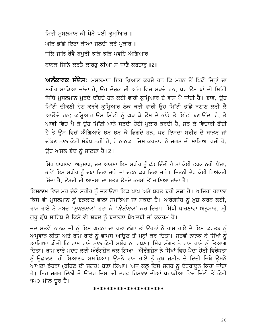ਮਿਟੀ ਮੁਸਲਮਾਨ ਕੀ ਪੇੜੈ ਪਈ ਕੁਮ੍ਹਆਿਰ ॥ ਘੜਿ ਭਾਂਡੇ ਇਟਾ ਕੀਆ ਜਲਦੀ ਕਰੇ ਪੁਕਾਰ ॥ ਜਲਿ ਜਲਿ ਰੋਵੈ ਬਪੜੀ ਝੜਿ ਝੜਿ ਪਵਹਿ ਅੰਗਿਆਰ ॥ ਨਾਨਕ ਜਿਨਿ ਕਰਤੈ ਕਾਰਣ ਕੀਆ ਸੋ ਜਾਣੈ ਕਰਤਾਰ ॥2॥

ਅਲੰਕਾਰਕ ਸੰਦੇਸ਼: ਮੁਸਲਮਾਨ ਇਹ ਖ਼ਿਆਲ ਕਰਦੇ ਹਨ ਕਿ ਮਰਨ ਤੋਂ ਪਿਛੋਂ ਜਿਨ੍ਹਾਂ ਦਾ ਸਰੀਰ ਸਾੜਿਆ ਜਾਂਦਾ ਹੈ, ਉਹ ਦੋਜ਼ਕ ਦੀ ਅੱਗ ਵਿਚ ਸੜਦੇ ਹਨ, ਪਰ ਉਸ ਥਾਂ ਦੀ ਮਿੱਟੀ ਜਿੱਥੇ ਮੁਸਲਮਾਨ ਮੁਰਦੇ ਦੱਬਦੇ ਹਨ ਕਈ ਵਾਰੀ ਕੁਮ੍ਹਿਆਰ ਦੇ ਵੱਸ ਪੈ ਜਾਂਦੀ ਹੈ। ਭਾਵ, ਉਹ ਮਿੱਟੀ ਚੀਕਣੀ ਹੋਣ ਕਰਕੇ ਕੁਮ੍ਹਿਆਰ ਲੋਕ ਕਈ ਵਾਰੀ ਉਹ ਮਿੱਟੀ ਭਾਂਡੇ ਬਣਾਣ ਲਈ ਲੈ ਆਉਂਦੇ ਹਨ; ਕੁਮ੍ਹਿਆਰ ਉਸ ਮਿੱਟੀ ਨੂੰ ਘੜ ਕੇ ਉਸ ਦੇ ਭਾਂਡੇ ਤੇ ਇੱਟਾਂ ਬਣਾਉਂਦਾ ਹੈ, ਤੇ ਆਵੀ ਵਿਚ ਪੈ ਕੇ ਉਹ ਮਿੱਟੀ ਮਾਨੋ ਸੜਦੀ ਹੋਈ ਪੁਕਾਰ ਕਰਦੀ ਹੈ, ਸੜ ਕੇ ਵਿਚਾਰੀ ਰੋਂਦੀ ਹੈ ਤੇ ਉਸ ਵਿਚੋਂ ਅੰਗਿਆਰੇ ਝੜ ਝੜ ਕੇ ਡਿਗਦੇ ਹਨ, ਪਰ ਇਸਦਾ ਸਰੀਰ ਦੇ ਸਾੜਨ ਜਾਂ ਦੱਬਣ ਨਾਲ ਕੋਈ ਸੰਬੰਧ ਨਹੀਂ ਹੈ, ਹੇ ਨਾਨਕ! ਜਿਸ ਕਰਤਾਰ ਨੇ ਜਗਤ ਦੀ ਮਾਇਆ ਰਚੀ ਹੈ, ਉਹ ਅਸਲ ਭੇਦ ਨੂੰ ਜਾਣਦਾ ਹੈ।2।

ਸਿੱਖ ਧਾਰਣਾਵਾਂ ਅਨੁਸਾਰ, ਜਦ ਆਤਮਾ ਇਸ ਸਰੀਰ ਨੂੰ ਛੱਡ ਦਿੰਦੀ ਹੈ ਤਾਂ ਕੋਈ ਫਰਕ ਨਹੀਂ ਪੈਂਦਾ, ਭਾਵੇਂ ਇਸ ਸਰੀਰ ਨੂੰ ਦਬਾ ਦਿਤਾ ਜਾਵੇ ਜਾਂ ਦਫ਼ਨ ਕਰ ਦਿਤਾ ਜਾਵੇ। ਜਿਤਨੀ ਦੇਰ ਕੋਈ ਵਿਅੱਕਤੀ ਜ਼ਿੰਦਾ ਹੈ, ਉਸਦੀ ਦੀ ਆਤਮਾ ਦਾ ਸਤਰ ਉਸਦੇ ਕਰਮਾਂ ਤੋਂ ਜਾਣਿਆ ਜਾਂਦਾ ਹੈ।

ਇਸਲਾਮ ਵਿਚ ਮਰ ਚੁੱਕੇ ਸਰੀਰ ਨੂੰ ਜਲਾਉਣਾ ਇਕ ਪਾਪ ਅਤੇ ਬਹੁਤ ਬੁਰੀ ਸਜ਼ਾ ਹੈ। ਅਜਿਹਾ ਹਵਾਲਾ ਕਿਸੇ ਵੀ ਮੁਸਲਮਾਨ ਨੂੰ ਭੜਕਾਣ ਵਾਲਾ ਸਮਝਿਆ ਜਾ ਸਕਦਾ ਹੈ। ਔਰੰਗਜ਼ੇਬ ਨੂੰ ਖ਼ੁਸ਼ ਕਰਨ ਲਈ, ਰਾਮ ਰਾਏ ਨੇ ਸ਼ਬਦ '*ਮਸਲਮਾਨ*' ਹਟਾ ਕੇ '*ਬੇਈਮਾਨ*' ਕਰ ਦਿਤਾ। ਸਿੱਖੀ ਧਾਰਣਾਵਾ ਅਨਸਾਰ, ਸ੍ਰੀ ਗੁਰੂ ਗ੍ਰੰਥ ਸਾਹਿਬ ਦੇ ਕਿਸੇ ਵੀ ਸ਼ਬਦ ਨੂੰ ਬਦਲਣਾ ਬੇਅਦਬੀ ਜਾਂ ਕੁਕਰਮ ਹੈ।

ਜਦ ਸਤਵੇਂ ਨਾਨਕ ਜੀ ਨੂੰ ਇਸ ਘਟਨਾ ਦਾ ਪਤਾ ਲੱਗਾ ਤਾਂ ਉਹਨਾਂ ਨੇ ਰਾਮ ਰਾਏ ਦੇ ਇਸ ਕਰਤਬ ਨੂੰ ਅਪ੍ਰਵਾਨ ਕੀਤਾ ਅਤੇ ਰਾਮ ਰਾਏ ਨੂੰ ਵਾਪਸ ਆਉਣ ਤੋਂ ਮਨ੍ਹਾਂ ਕਰ ਦਿਤਾ। ਸਤਵੇਂ ਨਾਨਕ ਨੇ ਸਿੱਖਾਂ ਨੂੰ ਆਗਿਆ ਕੀਤੀ ਕਿ ਰਾਮ ਰਾਏ ਨਾਲ ਕੋਈ ਸਬੰਧ ਨਾ ਰਖਣ। ਸਿੱਖ ਸੰਗਤ ਨੇ ਰਾਮ ਰਾਏ ਨੂੰ ਤਿਆਗ ਦਿਤਾ। ਰਾਮ ਰਾਏ ਮਦਦ ਲਈ ਔਰੰਗਜ਼ੇਬ ਕੋਲ ਗਿਆ। ਔਰੰਗਜ਼ੇਬ ਨੇ ਸਿੱਖਾਂ ਵਿਚ ਪੈਦਾ ਹੋਈ ਵਿਰੋਧਤਾ ਨੂੰ ਉਛਾਲਣਾ ਹੀ ਸਿਆਣਪ ਸਮਝਿਆ। ਉਸਨੇ ਰਾਮ ਰਾਏ ਨੂੰ ਕੁਝ ਜ਼ਮੀਨ ਦੇ ਦਿਤੀ ਜਿਥੇ ਉਸਨੇ ਆਪਣਾ ਡੇਹਰਾ (ਰਹਿਣ ਦੀ ਜਗਹ) ਬਣਾ ਲਿਆ। ਅੱਜ ਕਲ੍ਹ ਇਸ ਜਗਹ ਨੂੰ ਦੇਹਰਾਦੂਨ ਕਿਹਾ ਜਾਂਦਾ ਹੈ। ਇਹ ਜਗਹ ਦਿੱਲੀ ਤੋਂ ਉੱਤਰ ਦਿਸ਼ਾ ਦੀ ਤਰਫ਼ ਹਿਮਾਲਾ ਦੀਆਂ ਪਹਾੜੀਆ ਵਿਚ ਦਿੱਲੀ ਤੋਂ ਕੋਈ ੧੫੦ ਮੀਲ ਦੂਰ ਹੈ।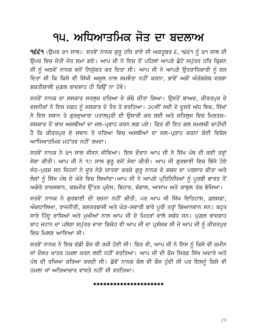### ੧੫. ਅਧਿਆਤਮਿਕ ਜੋਤ ਦਾ ਬਦਲਾਅ

੧੬੬੧ (ਉਮਰ ੩੧ ਸਾਲ): ਸਤਵੇਂ ਨਾਨਕ ਗੁਰੂ ਹਰਿ ਰਾਏ ਜੀ ਅਕਤੂਬਰ ੬, ੧੬੬੧ ਨੂੰ ੩੧ ਸਾਲ ਦੀ ਉਮਰ ਵਿਚ ਜੋਤੀ ਜੋਤ ਸਮਾ ਗਏ। ਆਪ ਜੀ ਨੇ ਇਸ ਤੋਂ ਪਹਿਲਾਂ ਆਪਣੇ ਛੋਟੇ ਸਪੁੱਤਰ ਹਰਿ ਕ੍ਰਿਸ਼ਨ ਜੀ ਨੂੰ ਅਠਵੇਂ ਨਾਨਕ ਵਜੋਂ ਨਿਯੁੱਕਤ ਕਰ ਦਿਤਾ ਸੀ। ਆਪ ਜੀ ਨੇ ਆਪਣੇ ਉਤਰਾਧਿਕਾਰੀ ਨੂੰ ਦਸ ਦਿਤਾ ਸੀ ਕਿ ਕਿਸੇ ਵੀ ਸਿੱਖੀ ਅਸੁਲ ਨਾਲ ਸਮਝੌਤਾ ਨਹੀਂ ਕਰਨਾ, ਭਾਵੇਂ ਅਗੋਂ ਔਰੰਗਜ਼ੇਬ ਵਰਗਾ ਸ਼ਕਤੀਸ਼ਾਲੀ ਮਗ਼ਲ ਬਾਦਸ਼ਾਹ ਹੀ ਕਿਉਂ ਨਾ ਹੋਵੇ।

ਸਤਵੇਂ ਨਾਨਕ ਦਾ ਸਸਕਾਰ ਸਤਲੁਜ ਦਰਿਆ ਦੇ ਕੰਢੇ ਕੀਤਾ ਗਿਆ। ਉਸਤੋਂ ਬਾਅਦ, ਕੀਰਤਪੁਰ ਦੇ ਵਸਨੀਕਾਂ ਨੇ ਇਸ ਜਗਹ ਨੂੰ ਸਸਕਾਰ ਦੇ ਤੌਰ ਤੇ ਵਰਤਿਆ। ੨੦ਵੀਂ ਸਦੀ ਦੇ ਦੂਸਰੇ ਅੱਧ ਵਿਚ, ਸਿੱਖਾਂ ਨੇ ਇਸ ਸਥਾਨ ਤੇ ਗਰਦਆਰਾ ਪਤਾਲਪਰੀ ਦੀ ਉਸਾਰੀ ਕਰ ਲਈ ਅਤੇ ਸਤਿਲਜ ਵਿਚ ਮਿਰਤਕ– ਸਸਕਾਰ ਤੋਂ ਬਾਦ ਅਸਥੀਆਂ ਦਾ ਜਲ-ਪ੍ਰਵਾਹ ਕਰਨ ਲਗ ਪਏ। ਫਿਰ ਵੀ ਇਹ ਗਲ ਸਮਝਚੀ ਚਾਹੀਦੀ ਹੈ ਕਿ ਕੀਰਤਪੁਰ ਦੇ ਸਥਾਨ ਤੇ ਦਰਿਆ ਵਿਚ ਅਸਥੀਆਂ ਦਾ ਜਲ-ਪ੍ਰੜਾਹ ਕਰਨਾ ਕੋਈ ਵਿਸ਼ੇਸ ਆਧਿਆਤਮਿਕ ਮਹੱਤਵ ਨਹੀਂ ਰਖਦਾ।

ਸਤਵੇਂ ਨਾਨਕ ਨੇ ੩੧ ਸਾਲ ਜੀਵਨ ਜੀਵਿਆ। ਇਸ ਦੌਰਾਨ ਆਪ ਜੀ ਨੇ ਸਿੱਖ ਪੰਥ ਦੀ ਕਈ ਤਰ੍ਹਾਂ ਸੇਵਾ ਕੀਤੀ। ਆਪ ਜੀ ਨੇ ੧੭ ਸਾਲ ਗੁਰੁ ਵਜੋਂ ਸੇਵਾ ਕੀਤੀ। ਆਪ ਜੀ ਗੁਰਬਾਣੀ ਵਿਚ ਭਿੱਜੇ ਹੋਏ ਸੰਤ-ਪੂਰਸ਼ ਸਨ ਜਿਹਨਾਂ ਨੇ ਦੂਰ ਨੇੜੇ ਯਾਤਰਾ ਕਰਕੇ ਗੁਰੂ ਨਾਨਕ ਦੇ ਸ਼ਬਦ ਦਾ ਪਰਸਾਰ ਕੀਤਾ ਅਤੇ ਲੋਕਾਂ ਨੂੰ ਸਿੱਖ ਪੰਥ ਦੇ ਘੇਰੇ ਵਿਚ ਲਿਆਂਦਾ।ਆਪ ਜੀ ਨੇ ਆਪਣੇ ਪ੍ਰਤਿਨਿਧਿਆਂ ਨੂੰ ਪੂਰਬੀ ਭਾਰਤ ਤੋਂ ਅਗੇਰੇ ਰਾਜਸਥਾਨ, ਕਸ਼ਮੀਰ ਉੱਤਰ ਪ੍ਰਦੇਸ, ਬਿਹਾਰ, ਬੰਗਾਲ, ਆਸਾਮ ਅਤੇ ਕਾਬੁਲ ਤੱਕ ਭੇਜਿਆ।

ਸਤਵੇਂ ਨਾਨਕ ਨੇ ਗਰਬਾਣੀ ਦੀ ਰਚਨਾ ਨਹੀਂ ਕੀਤੀ, ਪਰ ਆਪ ਜੀ ਸਿੱਖ ਇਤਿਹਾਸ, ਫ਼ਲਸਫ਼ਾ, ਔਸ਼ਧਾਲਿਆ, ਰਾਜਨੀਤੀ, ਸ਼ਸਤਰਬਾਜੀ ਅਤੇ ਘੋੜ-ਸਵਾਰੀ ਬਾਰੇ ਪੂਰੀ ਤਰ੍ਹਾਂ ਗਿਆਨਵਾਨ ਸਨ। ਬਹੁਤ ਸਾਰੇ ਹਿੰਦੂ ਰਾਜਿਆਂ ਅਤੇ ਮੁਖੀਆਂ ਨਾਲ ਆਪ ਜੀ ਦੇ ਮਿਤਰਾਂ ਵਾਲੇ ਸਬੰਧ ਸਨ। ਮੁਗ਼ਲ ਬਾਦਸ਼ਾਹ ਸ਼ਾਹ ਜਹਾਨ ਦਾ ਪਲੇਠਾ ਸਪੁੱਤਰ ਦਾਰਾ ਸ਼ਿਕੋਹ ਵੀ ਆਪ ਜੀ ਦਾ ਪ੍ਰਸੰਸਕ ਸੀ ਜੋ ਆਪ ਜੀ ਨੂੰ ਕੀਰਤਪੁਰ ਵਿਚ ਮਿਲਣ ਆਇਆ ਸੀ।

ਸਤਵੇਂ ਨਾਨਕ ਨੇ ਇਕ ਵੱਡੀ ਫੌਜ ਵੀ ਰਖੀ ਹੋਈ ਸੀ। ਫਿਰ ਵੀ, ਆਪ ਜੀ ਨੇ ਇਸ ਨੂੰ ਕਿਸੇ ਵੀ ਜ਼ਮੀਨ ਜਾਂ ਦੌਲਤ ਖਾਤਰ ਹਮਲਾ ਕਰਨ ਲਈ ਨਹੀਂ ਵਰਤਿਆ। ਆਪ ਜੀ ਦੀ ਫੌਜ ਸਿਰਫ਼ ਸਿੱਖ ਅਦਾਰੇ ਅਤੇ ਪੰਥ ਦੀ ਰਖਿਆ ਕਰਿਆ ਕਰਦੀ ਸੀ। ਛੇਵੇਂ ਨਾਨਕ ਕੋਲ ਵੀ ਫੌਜ ਹੁੰਦੀ ਸੀ ਪਰ ਇਸਨੂੰ ਕਿਸੇ ਵੀ ਹਮਲਾ ਜਾਂ ਅਤਿਆਚਾਰ ਵਾਸਤੇ ਨਹੀਂ ਸੀ ਵਰਤਿਆ।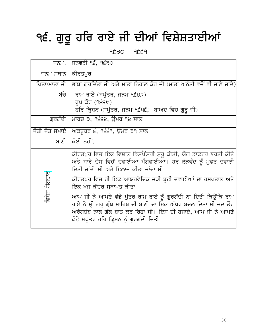# ੧੬. ਗੁਰੂ ਹਰਿ ਰਾਏ ਜੀ ਦੀਆਂ ਵਿਸ਼ੇਸ਼ਤਾਈਆਂ

 $9\xi30 - 9\xi49$ 

| ਜਨਮ:             | ਜਨਵਰੀ ੧੬, ੧੬੩੦                                                                                                                                                                                                                                  |
|------------------|-------------------------------------------------------------------------------------------------------------------------------------------------------------------------------------------------------------------------------------------------|
| ਜਨਮ ਸਥਾਨ  ਕੀਰਤਪਰ |                                                                                                                                                                                                                                                 |
|                  | ਪਿਤਾ/ਮਾਤਾ ਜੀ│ ਭਾਬਾ ਗਰਦਿੱਤਾ ਜੀ ਅਤੇ ਮਾਤਾ ਨਿਹਾਲ ਕੌਰ ਜੀ (ਮਾਤਾ ਅਨੰਤੀ ਵਜੋਂ ਵੀ ਜਾਣੇ ਜਾਂਦੇ)                                                                                                                                                             |
| ਬੱਚੇ             | ਰਾਮ ਰਾਏ (ਸਪੁੱਤਰ, ਜਨਮ ੧੬੪੭)<br>ਰੂਪ ਕੌਰ $(9E8t)$<br>ਹਰਿ ਕ੍ਰਿਸ਼ਨ (ਸਪੁੱਤਰ, ਜਨਮ ੧੬੫੬; ਬਾਅਦ ਵਿਚ ਗੁਰੂ ਜੀ)                                                                                                                                              |
| ਗਰਗੱਦੀ           | ਮਾਰਚ ੩, ੧੬੪੪, ਉਮਰ ੧੪ ਸਾਲ                                                                                                                                                                                                                        |
| ਜੋਤੀ ਜੋਤ ਸਮਾਏ    | ਅਕਤੂਬਰ ੬, ੧੬੬੧, ਉਮਰ ੩੧ ਸਾਲ                                                                                                                                                                                                                      |
| ਬਾਣੀ             | ਕੋਈ ਨਹੀਂ.                                                                                                                                                                                                                                       |
|                  | ਕੀਰਤਪੁਰ ਵਿਚ ਇਕ ਵਿਸ਼ਾਲ ਡਿਸਪੈਂਸਰੀ ਸ਼ੁਰੂ ਕੀਤੀ, ਯੋਗ ਡਾਕਟਰ ਭਰਤੀ ਕੀਤੇ<br>ਅਤੇ ਸਾਰੇ ਦੇਸ ਵਿਚੋਂ ਦਵਾਈਆ ਮੰਗਵਾਈਆ। ਹਰ ਲੋੜਵੰਦ ਨੂੰ ਮੁਫ਼ਤ ਦਵਾਈ<br>ਦਿਤੀ ਜਾਂਦੀ ਸੀ ਅਤੇ ਇਲਾਜ ਕੀਤਾ ਜਾਂਦਾ ਸੀ।                                                                          |
| ਵਿਸ਼ੇਸ਼ ਯੋਗਦਾਨ   | ਕੀਰਤਪੁਰ ਵਿਚ ਹੀ ਇਕ ਆਯੁਰਵੈਦਿਕ ਜੜੀ ਬੂਟੀ ਦਵਾਈਆਂ ਦਾ ਹਸਪਤਾਲ ਅਤੇ<br>ਇਕ ਖੋਜ ਕੇਂਦਰ ਸਥਾਪਤ ਕੀਤਾ।                                                                                                                                                           |
|                  | ਆਪ ਜੀ ਨੇ ਆਪਣੇ ਵੱਡੇ ਪੁੱਤਰ ਰਾਮ ਰਾਏ ਨੂੰ ਗੁਰਗੱਦੀ ਨਾ ਦਿਤੀ ਕਿਉਂਕਿ ਰਾਮ<br>ਰਾਏ ਨੇ ਸ੍ਰੀ ਗੁਰੂ ਗ੍ਰੰਥ ਸਾਹਿਬ ਦੀ ਬਾਣੀ ਦਾ ਇਕ ਅੱਖਰ ਬਦਲ ਦਿਤਾ ਸੀ ਜਦ ਉਹ<br>ਔਰੰਗਜ਼ੇਬ ਨਾਲ ਗੱਲ ਬਾਤ ਕਰ ਰਿਹਾ ਸੀ। ਇਸ ਦੀ ਬਜਾਏ, ਆਪ ਜੀ ਨੇ ਆਪਣੇ<br>ਛੋਟੇ ਸਪੁੱਤਰ ਹਰਿ ਕ੍ਰਿਸ਼ਨ ਨੂੰ ਗੁਰਗੱਦੀ ਦਿਤੀ। |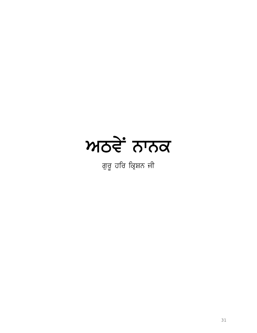

ਗੁਰੂ ਹਰਿ ਕ੍ਰਿਸ਼ਨ ਜੀ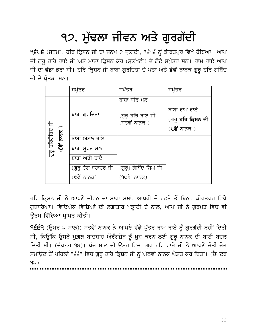## ੧੭. ਮੁੱਢਲਾ ਜੀਵਨ ਅਤੇ ਗੁਰਗੱਦੀ

 $9$ ੬੫੬ (ਜਨਮ): ਹਰਿ ਕ੍ਰਿਸ਼ਨ ਜੀ ਦਾ ਜਨਮ ੭ ਜੁਲਾਈ, ੧੬੫੬ ਨੂੰ ਕੀਰਤਪੁਰ ਵਿਖੇ ਹੋਇਆ। ਆਪ ਜੀ ਗੁਰੂ ਹਰਿ ਰਾਏ ਜੀ ਅਤੇ ਮਾਤਾ ਕ੍ਰਿਸ਼ਨ ਕੌਰ (ਸੁਲੱਖਣੀ) ਦੇ ਛੋਟੇ ਸਪੁੱਤਰ ਸਨ। ਰਾਮ ਰਾਏ ਆਪ ਜੀ ਦਾ ਵੱਡਾ ਭਰਾ ਸੀ। ਹਰਿ ਕ੍ਰਿਸ਼ਨ ਜੀ ਬਾਬਾ ਗੁਰਦਿਤਾ ਦੇ ਪੋਤਾ ਅਤੇ ਛੇਵੇਂ ਨਾਨਕ ਗੁਰੂ ਹਰਿ ਗੋਬਿੰਦ ਜੀ ਦੇ ਪੋਤੜਾ ਸਨ।

|                                               | ਸਪੱਤਰ              | ਸਪੱਤਰ                             | ਸਪੱਤਰ                                |
|-----------------------------------------------|--------------------|-----------------------------------|--------------------------------------|
| ਗੁਰੂ ਹਰਿਗੋਬਿੰਦ ਜੀ<br>$\overline{\sigma}$<br>他 |                    | ਬਾਬਾ ਧੀਰ ਮਲ                       |                                      |
|                                               | ਬਾਬਾ ਗੁਰਦਿਤਾ       | (ਗੁਰੂ ਹਰਿ ਰਾਏ ਜੀ<br>(ਸਤਵੇਂ ਨਾਨਕ ) | ਬਾਬਾ ਰਾਮ ਰਾਏ                         |
|                                               |                    |                                   | (ਗੁਰੁ <b>ਹਰਿ ਕ੍ਰਿਸ਼ਨ ਜੀ</b>          |
|                                               |                    |                                   | $(\mathbf{t} \mathbf{d} \mathbf{r})$ |
|                                               | ਬਾਬਾ ਅਟਲ ਰਾਏ       |                                   |                                      |
|                                               | ਬਾਬਾ ਸਰਜ ਮਲ        |                                   |                                      |
|                                               | ਬਾਬਾ ਅਣੀ ਰਾਏ       |                                   |                                      |
|                                               | (ਗੁਰੂ ਤੇਗ ਬਹਾਦਰ ਜੀ | (ਗੁਰੂ) ਗੋਬਿੰਦ ਸਿੰਘ ਜੀ             |                                      |
|                                               | (੯ਵੇਂ ਨਾਨਕ)        | (੧੦ਵੇਂ ਨਾਨਕ)                      |                                      |

ਹਰਿ ਕ੍ਰਿਸ਼ਨ ਜੀ ਨੇ ਆਪਣੇ ਜੀਵਨ ਦਾ ਸਾਰਾ ਸਮਾਂ, ਆਖਰੀ ਦੋ ਹਫ਼ਤੇ ਤੋਂ ਬਿਨਾਂ, ਕੀਰਤਪੁਰ ਵਿਖੇ ਗੁਜ਼ਾਰਿਆ। ਵਿਦਿਅੱਕ ਵਿਸ਼ਿਆਂ ਦੀ ਲਗਾਤਾਰ ਪੜ੍ਹਾਈ ਦੇ ਨਾਲ, ਆਪ ਜੀ ਨੇ ਗੁਰਮਤ ਵਿਚ ਵੀ ਓਤਮ ਵਿੱਦਿਆ ਪਾਪਤ ਕੀਤੀ।

੧੬੬੧ (ਉਮਰ ੫ ਸਾਲ): ਸਤਵੇਂ ਨਾਨਕ ਨੇ ਆਪਣੇ ਵੱਡੇ ਪੁੱਤਰ ਰਾਮ ਰਾਏ ਨੂੰ ਗੁਰਗੱਦੀ ਨਹੀਂ ਦਿਤੀ ਸੀ, ਕਿਉਂਕਿ ਉਸਨੇ ਮੁਗ਼ਲ ਬਾਦਸ਼ਾਹ ਔਰੰਗਜ਼ੇਬ ਨੂੰ ਖ਼ੁਸ਼ ਕਰਨ ਲਈ ਗੁਰੂ ਨਾਨਕ ਦੀ ਬਾਣੀ ਬਦਲ ਦਿਤੀ ਸੀ। (ਚੈਪਟਰ ੧੪)। ਪੰਜ ਸਾਲ ਦੀ ਉਮਰ ਵਿਚ, ਗੁਰੂ ਹਰਿ ਰਾਏ ਜੀ ਨੇ ਆਪਣੇ ਜੋਤੀ ਜੋਤ ਸਮਾਉਣ ਤੋਂ ਪਹਿਲਾਂ ੧੬੬੧ ਵਿਚ ਗੁਰੂ ਹਰਿ ਕ੍ਰਿਸ਼ਨ ਜੀ ਨੂੰ ਅੱਠਵਾਂ ਨਾਨਕ ਘੋਸ਼ਤ ਕਰ ਦਿਤਾ। (ਚੈਪਟਰ ૧ય)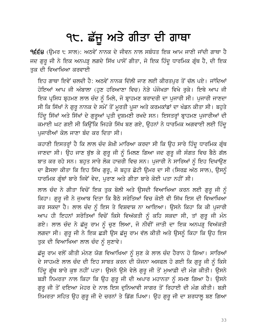## ੧੮. ਛੱਜੂ ਅਤੇ ਗੀਤਾ ਦੀ ਗਾਥਾ

੧੬੬੪ (ਉਮਰ ੮ ਸਾਲ): ਅਠਵੇਂ ਨਾਨਕ ਦੇ ਜੀਵਨ ਨਾਲ ਸਬੰਧਤ ਇਕ ਆਮ ਜਾਣੀ ਜਾਂਦੀ ਗਾਥਾ ਹੈ ਜਦ ਗੁਰੂ ਜੀ ਨੇ ਇਕ ਅਨਪੜ੍ਹ ਲਗਦੇ ਸਿੱਖ ਪਾਸੋਂ ਗੀਤਾ, ਜੋ ਇਕ ਹਿੰਦੂ ਧਾਰਮਿਕ ਗ੍ਰੰਥ ਹੈ, ਦੀ ਇਕ ਤਕ ਦੀ ਵਿਆਖਿਆ ਕਰਵਾਈ

ਇਹ ਗਾਥਾ ਇਵੇਂ ਚਲਦੀ ਹੈ: ਅਠਵੇਂ ਨਾਨਕ ਦਿੱਲੀ ਜਾਣ ਲਈ ਕੀਰਤਪਰ ਤੋਂ ਚੱਲ ਪਏ। ਜਾਂਦਿਆਂ ਹੋਇਆਂ ਆਪ ਜੀ ਅੰਬਾਲਾ (ਹੁਣ ਹਰਿਆਣਾ ਵਿਚ) ਨੇੜੇ ਪੰਜੋਖੜਾ ਵਿਖੇ ਰੁਕੇ। ਇਥੇ ਆਪ ਜੀ ਇਕ ਪ੍ਰਸਿਧ ਬ੍ਰਹਮਣ ਲਾਲ ਚੰਦ ਨੂੰ ਮਿਲੇ, ਜੋ ਬ੍ਰਾਹਮਣ ਬਰਾਦਰੀ ਦਾ ਪੁਜਾਰੀ ਸੀ। ਪੁਜਾਰੀ ਜਾਣਦਾ ਸੀ ਕਿ ਸਿੱਖਾਂ ਨੇ ਗੁਰੂ ਨਾਨਕ ਦੇ ਸਮੇਂ ਤੋਂ ਮੁਰਤੀ ਪੁਜਾ ਅਤੇ ਕਰਮਕਾਂਡਾਂ ਦਾ ਖੰਡਨ ਕੀਤਾ ਸੀ। ਬਹੁਤੇ ਹਿੰਦੂ ਸਿੱਖਾਂ ਅਤੇ ਸਿੱਖਾਂ ਦੇ ਗੁਰੂਆਂ ਪ੍ਰਤੀ ਦੁਸ਼ਮਣੀ ਰਖਦੇ ਸਨ। ਇਸਤਰ੍ਹਾਂ ਬ੍ਰਾਹਮਣ ਪੁਜਾਰੀਆਂ ਦੀ ਕਮਾਈ ਘਟ ਗਈ ਸੀ ਕਿਉਂਕਿ ਜਿਹੜੇ ਸਿੱਖ ਬਣ ਗਏ, ਉਹਨਾਂ ਨੇ ਧਾਰਮਿਕ ਅਗਵਾਈ ਲਈ ਹਿੰਦੂ ਪਜਾਰੀਆਂ ਕੋਲ ਜਾਣਾ ਬੰਦ ਕਰ ਦਿਤਾ ਸੀ।

ਕਹਾਣੀ ਇਸਤਰ੍ਹਾਂ ਹੈ ਕਿ ਲਾਲ ਚੰਦ ਸ਼ੇਖ਼ੀ ਮਾਰਿਆ ਕਰਦਾ ਸੀ ਕਿ ਉਹ ਸਾਰੇ ਹਿੰਦੂ ਧਾਰਮਿਕ ਗ੍ਰੰਥ ਜਾਣਦਾ ਸੀ। ਉਹ ਜਾਣ ਬੁੱਝ ਕੇ ਗੁਰੂ ਜੀ ਨੂੰ ਮਿਲਣ ਗਿਆ ਜਦ ਗੁਰੂ ਜੀ ਸੰਗਤ ਵਿਚ ਬੈਠੇ ਗੱਲ ਬਾਤ ਕਰ ਰਹੇ ਸਨ। ਬਹਤ ਸਾਰੇ ਲੋਕ ਹਾਜ਼ਰੀ ਵਿਚ ਸਨ। ਪਜਾਰੀ ਨੇ ਸਾਰਿਆਂ ਨੰ ਇਹ ਦਿਖਾੳਣ ਦਾ ਫ਼ੈਸਲਾ ਕੀਤਾ ਕਿ ਇਹ ਸਿੱਖ ਗੁਰੂ, ਜੋ ਬਹੁਤ ਛੋਟੀ ਉਮਰ ਦਾ ਸੀ (ਸਿਰਫ਼ ਅੱਠ ਸਾਲ), ਉਸਨੂੰ ਧਾਰਮਿਕ ਗ੍ਰੰਥਾਂ ਬਾਰੇ ਜਿਵੇਂ ਵੇਦ, ਪੁਰਾਣ ਅਤੇ ਗੀਤਾ ਬਾਰੇ ਕੋਈ ਪਤਾ ਨਹੀਂ ਸੀ।

ਲਾਲ ਚੰਦ ਨੇ ਗੀਤਾ ਵਿਚੋਂ ਇਕ ਤੁਕ ਬੋਲੀ ਅਤੇ ਉਸਦੀ ਵਿਆਖਿਆ ਕਰਨ ਲਈ ਗੁਰੂ ਜੀ ਨੂੰ ਕਿਹਾ। ਗੁਰੂ ਜੀ ਨੇ ਜੁਆਬ ਦਿਤਾ ਕਿ ਬੈਠੇ ਸਰੋਤਿਆਂ ਵਿਚ ਕੋਈ ਵੀ ਸਿੱਖ ਇਸ ਦੀ ਵਿਆਖਿਆ ਕਰ ਸਕਦਾ ਹੈ। ਲਾਲ ਚੰਦ ਨੂੰ ਇਸ ਤੇ ਵਿਸ਼ਵਾਸ਼ ਨਾ ਆਇਆ। ਉਸਨੇ ਕਿਹਾ ਕਿ ਕੀ ਪੁਜਾਰੀ ਆਪ ਹੀ ਇਹਨਾਂ ਸਰੋਤਿਆਂ ਵਿਚੋਂ ਕਿਸੇ ਵਿਅੱਕਤੀ ਨੂੰ ਕਹਿ ਸਕਦਾ ਸੀ, ਤਾਂ ਗੁਰੂ ਜੀ ਮੰਨ ਗਏ। ਲਾਲ ਚੰਦ ਨੇ ਛੱਜੂ ਰਾਮ ਨੂੰ ਚੁਣ ਲਿਆ, ਜੋ ਨੀਵੀਂ ਜਾਤੀ ਦਾ ਇਕ ਅਨਪੜ੍ਹ ਵਿਅੱਕਤੀ ਲਗਦਾ ਸੀ। ਗੁਰੂ ਜੀ ਨੇ ਇਕ ਛੜੀ ਉਸ ਛੱਜੂ ਰਾਮ ਵੱਲ ਕੀਤੀ ਅਤੇ ਉਸਨੂੰ ਕਿਹਾ ਕਿ ਉਹ ਇਸ ਤੁਕ ਦੀ ਵਿਆਖਿਆ ਲਾਲ ਚੰਦ ਨੂੰ ਸੁਣਾਵੇ।

ਛੱਜੂ ਰਾਮ ਵਲੋਂ ਕੀਤੀ ਮੰਨਣ ਯੋਗ ਵਿਆਖਿਆ ਨੂੰ ਸੁਣ ਕੇ ਲਾਲ ਚੰਦ ਹੈਰਾਨ ਹੋ ਗਿਆ। ਸਾਰਿਆਂ ਦੇ ਸਾਹਮਣੇ ਲਾਲ ਚੰਦ ਦੀ ਇਹ ਸਾਬਤ ਕਰਨ ਦੀ ਯੋਜਨਾ ਅਸਫਲ ਹੋ ਗਈ ਕਿ ਗੁਰੂ ਜੀ ਨੂੰ ਕਿਸੇ ਹਿੰਦੂ ਗ੍ਰੰਥ ਬਾਰੇ ਕੁਝ ਨਹੀਂ ਪਤਾ। ਉਸਨੇ ਉਸੇ ਵੇਲੇ ਗੁਰੂ ਜੀ ਤੋਂ ਮੁਆਫ਼ੀ ਦੀ ਮੰਗ ਕੀਤੀ। ਉਸਨੇ ਬੜੀ ਨਿਮਰਤਾ ਨਾਲ ਕਿਹਾ ਕਿ ਉਹ ਗੁਰੂ ਜੀ ਦੀ ਅਪਾਰ ਮਹਾਨਤਾ ਨੂੰ ਸਮਝ ਗਿਆ ਹੈ। ਉਸਨੇ ਗੁਰੂ ਜੀ ਤੋਂ ਦਇਆ ਮੇਹਰ ਦੇ ਨਾਲ ਇਸ ਦੁਨਿਆਵੀ ਸਾਗਰ ਤੋਂ ਰਿਹਾਈ ਦੀ ਮੰਗ ਕੀਤੀ। ਬੜੀ ਨਿਮਰਤਾ ਸਹਿਤ ਉਹ ਗੁਰੂ ਜੀ ਦੇ ਚਰਨਾਂ ਤੇ ਡਿੱਗ ਪਿਆ। ਉਹ ਗੁਰੂ ਜੀ ਦਾ ਸ਼ਰਧਾਲੂ ਬਣ ਗਿਆ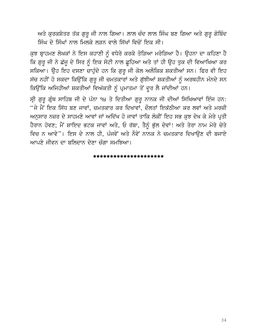ਅਤੇ ਕੁਰਕਸ਼ੇਤਰ ਤੱਕ ਗੁਰੂ ਜੀ ਨਾਲ ਗਿਆ। ਲਾਲ ਚੰਦ ਲਾਲ ਸਿੰਘ ਬਣ ਗਿਆ ਅਤੇ ਗੁਰੂ ਗੋਬਿੰਦ ਸਿੰਘ ਦੇ ਸਿੰਘਾਂ ਨਾਲ ਮਿਲਕੇ ਲੜਨ ਵਾਲੇ ਸਿੱਖਾਂ ਵਿਚੋਂ ਇਕ ਸੀ।

ਕੁਝ ਬ੍ਰਾਹਮਣ ਲੇਖਕਾਂ ਨੇ ਇਸ ਕਹਾਣੀ ਨੂੰ ਵਧੇਰੇ ਕਰਕੇ ਤੋੜਿਆ ਮਰੋੜਿਆ ਹੈ। ਉਹਨਾ ਦਾ ਕਹਿਣਾ ਹੈ ਕਿ ਗੁਰੂ ਜੀ ਨੇ ਛੱਜੂ ਦੇ ਸਿਰ ਨੂੰ ਇਕ ਸੋਟੀ ਨਾਲ ਛੁਹਿਆ ਅਤੇ ਤਾਂ ਹੀ ਉਹ ਤੁਕ ਦੀ ਵਿਆਖਿਆ ਕਰ ਸਕਿਆ। ਉਹ ਇਹ ਦਸਣਾ ਚਾਹੁੰਦੇ ਹਨ ਕਿ ਗੁਰੂ ਜੀ ਕੋਲ ਅਲੌਕਿਕ ਸ਼ਕਤੀਆਂ ਸਨ। ਫਿਰ ਵੀ ਇਹ ਸੱਚ ਨਹੀਂ ਹੋ ਸਕਦਾ ਕਿਉਂਕਿ ਗੁਰੂ ਜੀ ਚਮਤਕਾਰਾਂ ਅਤੇ ਗੁੱਝੀਆਂ ਸ਼ਕਤੀਆਂ ਨੂੰ ਅਰਥਹੀਨ ਮੰਨਦੇ ਸਨ ਕਿਉਂਕਿ ਅਜਿਹੀਆਂ ਸ਼ਕਤੀਆਂ ਵਿਅੱਕਤੀ ਨੂੰ ਪ੍ਰਮਾਤਮਾ ਤੋਂ ਦੂਰ ਲੈ ਜਾਂਦੀਆਂ ਹਨ।

ਸ੍ਰੀ ਗੁਰੂ ਗ੍ਰੰਥ ਸਾਹਿਬ ਜੀ ਦੇ ਪੰਨਾ ੧੪ ਤੇ ਦਿਤੀਆ ਗੁਰੂ ਨਾਨਕ ਜੀ ਦੀਆਂ ਸਿਖਿਆਵਾਂ ਇੰਜ ਹਨ: "ਜੇ ਮੈਂ ਇਕ ਸਿੱਧ ਬਣ ਜਾਵਾਂ, ਚਮਤਕਾਰ ਕਰ ਦਿਖਾਵਾਂ, ਦੌਲਤਾਂ ਇਕੱਠੀਆ ਕਰ ਲਵਾਂ ਅਤੇ ਮਰਜ਼ੀ ਅਨੁਸਾਰ ਨਜ਼ਰ ਦੇ ਸਾਹਮਣੇ ਆਵਾਂ ਜਾਂ ਅਦਿੱਖ ਹੋ ਜਾਵਾਂ ਤਾਕਿ ਲੋਕੀਂ ਇਹ ਸਭ ਕੁਝ ਦੇਖ ਕੇ ਮੇਰੇ ਪ੍ਰਤੀ ਹੈਰਾਨ ਹੋਵਣ; ਮੈਂ ਸ਼ਾਇਦ ਭਟਕ ਜਾਵਾਂ ਅਤੇ, ਓ ਰੱਬਾ, ਤੈਨੂੰ ਭੁੱਲ ਦੇਵਾਂ! ਅਤੇ ਤੇਰਾ ਨਾਮ ਮੇਰੇ ਚੇਤੇ ਵਿਚ ਨ ਆਵੇ"। ਇਸ ਦੇ ਨਾਲ ਹੀ, ਪੰਜਵੇਂ ਅਤੇ ਨੌਵੇਂ ਨਾਨਕ ਨੇ ਚਮਤਕਾਰ ਦਿਖਾਉਣ ਦੀ ਬਜਾਏ ਆਪਣੇ ਜੀਵਨ ਦਾ ਬਲਿਦਾਨ ਦੇਣਾ ਚੰਗਾ ਸਮਝਿਆ।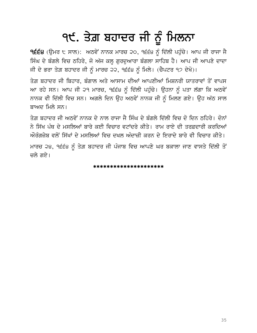# ੧੯. ਤੇਗ਼ ਬਹਾਦਰ ਜੀ ਨੂੰ ਮਿਲਨਾ

੧੬੬੪ (ਉਮਰ ੮ ਸਾਲ): ਅਠਵੇਂ ਨਾਨਕ ਮਾਰਚ ੨੦, ੧੬੬੪ ਨੂੰ ਦਿੱਲੀ ਪਹੁੰਚੇ। ਆਪ ਜੀ ਰਾਜਾ ਜੈ ਸਿੰਘ ਦੇ ਬੰਗਲੇ ਵਿਚ ਠਹਿਰੇ, ਜੋ ਅੱਜ ਕਲ੍ਹ ਗੁਰਦੁਆਰਾ ਬੰਗਲਾ ਸਾਹਿਬ ਹੈ। ਆਪ ਜੀ ਆਪਣੇ ਦਾਦਾ ਜੀ ਦੇ ਭਰਾ ਤੇਗ਼ ਬਹਾਦਰ ਜੀ ਨੂੰ ਮਾਰਚ ੨੨, ੧੬੬੪ ਨੂੰ ਮਿਲੇ। (ਚੈਪਟਰ ੧੭ ਦੇਖੋ)।

ਤੇਗ਼ ਬਹਾਦਰ ਜੀ ਬਿਹਾਰ, ਬੰਗਾਲ ਅਤੇ ਆਸਾਮ ਦੀਆਂ ਆਪਣੀਆਂ ਮਿਸ਼ਨਰੀ ਯਾਤਰਾਵਾਂ ਤੋਂ ਵਾਪਸ ਆ ਰਹੇ ਸਨ। ਆਪ ਜੀ ੨੧ ਮਾਰਚ, ੧੬੬੪ ਨੂੰ ਦਿੱਲੀ ਪਹੁੰਚੇ। ਉਹਨਾ ਨੂੰ ਪਤਾ ਲੱਗਾ ਕਿ ਅਠਵੇਂ ਨਾਨਕ ਵੀ ਦਿੱਲੀ ਵਿਚ ਸਨ। ਅਗਲੇ ਦਿਨ ਉਹ ਅਠਵੇਂ ਨਾਨਕ ਜੀ ਨੂੰ ਮਿਲਣ ਗਏ। ਉਹ ਅੱਠ ਸਾਲ ਬਾਅਦ ਮਿਲੇ ਸਨ।

ਤੇਗ ਬਹਾਦਰ ਜੀ ਅਨਵੇਂ ਨਾਨਕ ਦੇ ਨਾਲ ਰਾਜਾ ਜੈ ਸਿੰਘ ਦੇ ਬੰਗਲੇ ਦਿੱਲੀ ਵਿਚ ਦੋ ਦਿਨ ਨਹਿਰੇ। ਦੋਨਾਂ ਨੇ ਸਿੱਖ ਪੰਥ ਦੇ ਮਸਲਿਆਂ ਬਾਰੇ ਕਈ ਵਿਚਾਰ ਵਟਾਂਦਰੇ ਕੀਤੇ। ਰਾਮ ਰਾਏ ਦੀ ਤਰਫ਼ਦਾਰੀ ਕਰਦਿਆਂ ਔਰੰਗਜੇਬ ਵਲੋਂ ਸਿੱਖਾਂ ਦੇ ਮਸਲਿਆਂ ਵਿਚ ਦਖਲ ਅੰਦਾਜ਼ੀ ਕਰਨ ਦੇ ਇਰਾਦੇ ਬਾਰੇ ਵੀ ਵਿਚਾਰ ਕੀਤੇ।

ਮਾਰਚ ੨੪, ੧੬੬੪ ਨੂੰ ਤੇਗ਼ ਬਹਾਦਰ ਜੀ ਪੰਜਾਬ ਵਿਚ ਆਪਣੇ ਘਰ ਬਕਾਲਾ ਜਾਣ ਵਾਸਤੇ ਦਿੱਲੀ ਤੋਂ ਚਲੇ ਗਏ।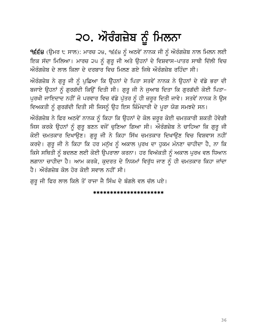## ੨੦. ਔਰੰਗਜ਼ੇਬ ਨੂੰ ਮਿਲਨਾ

੧੬੬੪ (ਉਮਰ ੮ ਸਾਲ): ਮਾਰਚ ੨੪, ੧੬੬੪ ਨੂੰ ਅਠਵੇਂ ਨਾਨਕ ਜੀ ਨੂੰ ਔਰੰਗਜ਼ੇਬ ਨਾਲ ਮਿਲਨ ਲਈ ਇਕ ਸੱਦਾ ਮਿਲਿਆ। ਮਾਰਚ ੨੫ ਨੂੰ ਗੁਰੂ ਜੀ ਅਤੇ ਉਹਨਾਂ ਦੇ ਵਿਸ਼ਵਾਸ-ਪਾਤਰ ਸਾਥੀ ਦਿੱਲੀ ਵਿਚ  $\tilde{\mathcal{W}}$ ਰੰਗਜ਼ੇਬ ਦੇ ਲਾਲ ਕਿਲਾ ਦੇ ਦਰਬਾਰ ਵਿਚ ਮਿਲਣ ਗਏ ਜਿਥੇ ਔਰੰਗਜ਼ੇਬ ਰਹਿੰਦਾ ਸੀ।

ਅੌਰੰਗਜ਼ੇਬ ਨੇ ਗੁਰੂ ਜੀ ਨੂੰ ਪੁਛਿਆ ਕਿ ਉਹਨਾਂ ਦੇ ਪਿਤਾ ਸਤਵੇਂ ਨਾਨਕ ਨੇ ਉਹਨਾਂ ਦੇ ਵੱਡੇ ਭਰਾ ਦੀ ਬਜਾਏ ਉਹਨਾਂ ਨੂੰ ਗੁਰਗੱਦੀ ਕਿਉਂ ਦਿਤੀ ਸੀ। ਗੁਰੂ ਜੀ ਨੇ ਜੁਆਬ ਦਿਤਾ ਕਿ ਗੁਰਗੱਦੀ ਕੋਈ ਪਿਤਾ-ਪੁਰਖੀ ਜਾਇਦਾਦ ਨਹੀਂ ਜੋ ਪਰਵਾਰ ਵਿਚ ਵੱਡੇ ਪੁੱਤਰ ਨੂੰ ਹੀ ਜ਼ਰੂਰ ਦਿਤੀ ਜਾਵੇ। ਸਤਵੇਂ ਨਾਨਕ ਨੇ ਉਸ ਵਿਅਕਤੀ ਨੂੰ ਗੁਰਗੱਦੀ ਦਿਤੀ ਸੀ ਜਿਸਨੂੰ ਉਹ ਇਸ ਜ਼ਿੰਮੇਦਾਰੀ ਦੇ ਪੂਰਾ ਯੋਗ ਸਮਝਦੇ ਸਨ।

ਅੌਰੰਗਜ਼ੇਬ ਨੇ ਫਿਰ ਅਠਵੇਂ ਨਾਨਕ ਨੂੰ ਕਿਹਾ ਕਿ ਉਹਨਾਂ ਦੇ ਕੋਲ ਜ਼ਰੂਰ ਕੋਈ ਚਮਤਕਾਰੀ ਸ਼ਕਤੀ ਹੋਵੇਗੀ ਜਿਸ ਕਰਕੇ ਉਹਨਾਂ ਨੂੰ ਗੁਰੂ ਬਣਨ ਵਜੋਂ ਚੁਣਿਆ ਗਿਆ ਸੀ। ਔਰੰਗਜ਼ੇਬ ਨੇ ਚਾਹਿਆ ਕਿ ਗੁਰੂ ਜੀ ਕੋਈ ਚਮਤਕਾਰ ਦਿਖਾਉਣ। ਗੁਰੁ ਜੀ ਨੇ ਕਿਹਾ ਸਿੱਖ ਚਮਤਕਾਰ ਦਿਖਾਉਣ ਵਿਚ ਵਿਸ਼ਵਾਸ ਨਹੀਂ ਕਰਦੇ। ਗੁਰੂ ਜੀ ਨੇ ਕਿਹਾ ਕਿ ਹਰ ਮਨੁੱਖ ਨੂੰ ਅਕਾਲ ਪੁਰਖ ਦਾ ਹੁਕਮ ਮੰਨਣਾ ਚਾਹੀਦਾ ਹੈ, ਨਾ ਕਿ ਕਿਸੇ ਸਥਿਤੀ ਨੂੰ ਬਦਲਣ ਲਈ ਕੋਈ ਉਪਰਾਲਾ ਕਰਨਾ। ਹਰ ਵਿਅੱਕਤੀ ਨੂੰ ਅਕਾਲ ਪੂਰਖ ਵਲ ਧਿਆਨ ਲਗਾਨਾ ਚਾਹੀਦਾ ਹੈ। ਆਮ ਕਰਕੇ, ਕੁਦਰਤ ਦੇ ਨਿਯਮਾਂ ਵਿਰੁੱਧ ਜਾਣ ਨੂੰ ਹੀ ਚਮਤਕਾਰ ਕਿਹਾ ਜਾਂਦਾ ਹੈ। ਔਰੰਗਜੇਬ ਕੋਲ ਹੋਰ ਕੋਈ ਸਵਾਲ ਨਹੀਂ ਸੀ।

ਗੁਰੂ ਜੀ ਫਿਰ ਲਾਲ ਕਿਲੇ ਤੋਂ ਰਾਜਾ ਜੈ ਸਿੰਘ ਦੇ ਬੰਗਲੇ ਵਲ ਚੱਲ ਪਏ।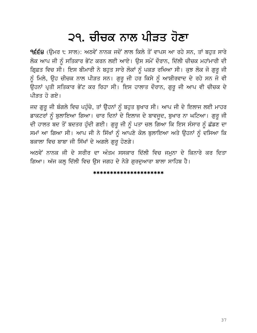### ੨੧. ਚੀਚਕ ਨਾਲ ਪੀੜਤ ਹੋਣਾ

**੧੬੬੪** (ਉਮਰ ੮ ਸਾਲ): ਅਠਵੇਂ ਨਾਨਕ ਜਦੋਂ ਲਾਲ ਕਿਲੇ ਤੋਂ ਵਾਪਸ ਆ ਰਹੇ ਸਨ, ਤਾਂ ਬਹੁਤ ਸਾਰੇ ਲੋਕ ਆਪ ਜੀ ਨੂੰ ਸਤਿਕਾਰ ਭੇਂਟ ਕਰਨ ਲਈ ਆਏ। ਉਸ ਸਮੇਂ ਦੌਰਾਨ, ਦਿੱਲੀ ਚੀਚਕ ਮਹਾਂਮਾਰੀ ਦੀ ਗ੍ਰਿਫ਼ਤ ਵਿਚ ਸੀ। ਇਸ ਬੀਮਾਰੀ ਨੇ ਬਹੁਤ ਸਾਰੇ ਲੋਕਾਂ ਨੂੰ ਪਕੜ ਰਖਿਆ ਸੀ। ਕੁਝ ਲੋਕ ਜੋ ਗੁਰੂ ਜੀ ਨੂੰ ਮਿਲੇ, ਉਹ ਚੀਚਕ ਨਾਲ ਪੀੜਤ ਸਨ। ਗੁਰੂ ਜੀ ਹਰ ਕਿਸੇ ਨੂੰ ਆਸ਼ੀਰਵਾਦ ਦੇ ਰਹੇ ਸਨ ਜੋ ਵੀ ਉਹਨਾਂ ਪ੍ਰਤੀ ਸਤਿਕਾਰ ਭੇਂਟ ਕਰ ਰਿਹਾ ਸੀ। ਇਸ ਹਾਲਾਤ ਦੌਰਾਨ, ਗੁਰੂ ਜੀ ਆਪ ਵੀ ਚੀਚਕ ਦੇ ਪੀਤਤ ਹੋ ਗਏ।

ਜਦ ਗੁਰੂ ਜੀ ਬੰਗਲੇ ਵਿਚ ਪਹੁੰਚੇ, ਤਾਂ ਉਹਨਾਂ ਨੂੰ ਬਹੁਤ ਬੁਖਾਰ ਸੀ। ਆਪ ਜੀ ਦੇ ਇਲਾਜ ਲਈ ਮਾਹਰ ਡਾਕਟਰਾਂ ਨੂੰ ਬੁਲਾਇਆ ਗਿਆ। ਚਾਰ ਦਿਨਾਂ ਦੇ ਇਲਾਜ ਦੇ ਬਾਵਜੂਦ, ਬੁਖਾਰ ਨਾ ਘਟਿਆ। ਗੁਰੂ ਜੀ ਦੀ ਹਾਲਤ ਬਦ ਤੋਂ ਬਦਤਰ ਹੁੰਦੀ ਗਈ। ਗੁਰੂ ਜੀ ਨੂੰ ਪਤਾ ਚਲ ਗਿਆ ਕਿ ਇਸ ਸੰਸਾਰ ਨੂੰ ਛੱਡਣ ਦਾ ਸਮਾਂ ਆ ਗਿਆ ਸੀ। ਆਪ ਜੀ ਨੇ ਸਿੱਖਾਂ ਨੂੰ ਆਪਣੇ ਕੋਲ ਬੁਲਾਇਆ ਅਤੇ ਉਹਨਾਂ ਨੂੰ ਦਸਿਆ ਕਿ ਬਕਾਲਾ ਵਿਚ ਬਾਬਾ ਜੀ ਸਿੱਖਾਂ ਦੇ ਅਗਲੇ ਗੁਰੂ ਹੋਣਗੇ।

ਅਠਵੇਂ ਨਾਨਕ ਜੀ ਦੇ ਸਰੀਰ ਦਾ ਅੰਤਮ ਸਸਕਾਰ ਦਿੱਲੀ ਵਿਚ ਜਮੁਨਾ ਦੇ ਕਿਨਾਰੇ ਕਰ ਦਿਤਾ ਗਿਆ। ਅੱਜ ਕਲ੍ਹ ਦਿੱਲੀ ਵਿਚ ਉਸ ਜਗਹ ਦੇ ਨੇੜੇ ਗਰਦਆਰਾ ਬਾਲਾ ਸਾਹਿਬ ਹੈ।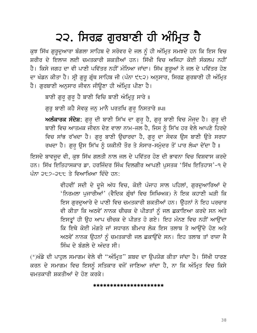## ੨੨. ਸਿਰਫ਼ ਗੁਰਬਾਣੀ ਹੀ ਅੰਮ੍ਰਿਤ ਹੈ

ਕੁਝ ਸਿੱਖ ਗੁਰਦੁਆਰਾ ਬੰਗਲਾ ਸਾਹਿਬ ਦੇ ਸਰੋਵਰ ਦੇ ਜਲ ਨੂੰ ਹੀ ਅੰਮ੍ਰਿਤ ਸਮਝਦੇ ਹਨ ਕਿ ਇਸ ਵਿਚ ਸ਼ਰੀਰ ਦੇ ਇਲਾਜ ਲਈ ਚਮਤਕਾਰੀ ਸ਼ਕਤੀਆਂ ਹਨ। ਸਿੱਖੀ ਵਿਚ ਅਜਿਹਾ ਕੋਈ ਸੰਕਲਪ ਨਹੀਂ ਹੈ। ਕਿਸੇ ਜਗਹ ਦਾ ਵੀ ਪਾਣੀ ਪਵਿੱਤਰ ਨਹੀਂ ਮੰਨਿਆ ਜਾਂਦਾ। ਸਿੱਖ ਗੁਰੂਆਂ ਨੇ ਜਲ ਦੇ ਪਵਿੱਤਰ ਹੋਣ ਦਾ ਖੰਡਨ ਕੀਤਾ ਹੈ। ਸ੍ਰੀ ਗੁਰੂ ਗ੍ਰੰਥ ਸਾਹਿਬ ਜੀ (ਪੰਨਾ ੯੮੨) ਅਨੁਸਾਰ, ਸਿਰਫ਼ ਗੁਰਬਾਣੀ ਹੀ ਅੰਮ੍ਰਿਤ ਹੈ। ਗੁਰਬਾਣੀ ਅਨੁਸਾਰ ਜੀਵਨ ਜੀਉਣਾ ਹੀ ਅੰਮ੍ਰਿਤ ਪੀਣਾ ਹੈ।

ਬਾਣੀ ਗੁਰ ਗੁਰ ਹੈ ਬਾਣੀ ਵਿਚਿ ਬਾਣੀ ਅੰਮ੍ਰਿਤੁ ਸਾਰੇ ॥

ਗੁਰੂ ਬਾਣੀ ਕਹੈ ਸੇਵਕੁ ਜਨੁ ਮਾਨੈ ਪਰਤਖਿ ਗੁਰ ਨਿਸਤਾਰੇ ॥੫॥

ਅਲੰਕਾਰਕ ਸੰਦੇਸ਼: ਗੁਰ ਦੀ ਬਾਣੀ ਸਿੱਖ ਦਾ ਗੁਰ ਹੈ, ਗੁਰ ਬਾਣੀ ਵਿਚ ਮੌਜਦ ਹੈ। ਗੁਰ ਦੀ ਬਾਣੀ ਵਿਚ ਆਤਮਕ ਜੀਵਨ ਦੇਣ ਵਾਲਾ ਨਾਮ−ਜਲ ਹੈ, ਜਿਸ ਨੂੰ ਸਿੱਖ ਹਰ ਵੇਲੇ ਆਪਣੇ ਹਿਰਦੇ ਵਿਚ ਸਾਂਭ ਰੱਖਦਾ ਹੈ। ਗੁਰੂ ਬਾਣੀ ਉਚਾਰਦਾ ਹੈ, ਗੁਰੂ ਦਾ ਸੇਵਕ ਉਸ ਬਾਣੀ ਉਤੇ ਸਰਧਾ ਰਖਦਾ ਹੈ। ਗੁਰੁ ਉਸ ਸਿੱਖ ਨੂੰ ਯਕੀਨੀ ਤੌਰ ਤੇ ਸੰਸਾਰ-ਸਮੁੰਦਰ ਤੋਂ ਪਾਰ ਲੰਘਾ ਦੇਂਦਾ ਹੈ ॥

ਇਸਦੇ ਬਾਵਜੂਦ ਵੀ, ਕੁਝ ਸਿੱਖ ਗਲਤੀ ਨਾਲ ਜਲ ਦੇ ਪਵਿੱਤਰ ਹੋਣ ਦੀ ਭਾਵਨਾ ਵਿਚ ਵਿਸ਼ਵਾਸ ਕਰਦੇ ਹਨ। ਸਿੱਖ ਇਤਿਹਾਸਕਾਰ ਡਾ. ਹਰਜਿੰਦਰ ਸਿੰਘ ਦਿਲਗੀਰ ਆਪਣੀ ਪਸਤਕ 'ਸਿੱਖ ਇਤਿਹਾਸ'-੧ ਦੇ ਪੰਨਾ ੨੮੭-੨੮੮ ਤੇ ਵਿਆਖਿਆ ਦਿੰਦੇ ਹਨ:

> ਵੀਹਵੀਂ ਸਦੀ ਦੇ ਦੂਜੇ ਅੱਧ ਵਿਚ, ਕੋਈ ਪੰਜਾਹ ਸਾਲ ਪਹਿਲਾਂ, ਗੁਰਦੁਆਰਿਆਂ ਦੇ 'ਨਿਰਮਲਾ ਪੁਜਾਰੀਆਂ' (ਵੈਦਿਕ ਗੁੰਥਾਂ ਵਿਚ ਸਿਖਿਅਕ) ਨੇ ਇਕ ਕਹਾਣੀ ਘੜੀ ਕਿ ਇਸ ਗਰਦਆਰੇ ਦੇ ਪਾਣੀ ਵਿਚ ਚਮਤਕਾਰੀ ਸ਼ਕਤੀਆਂ ਹਨ। ਉਹਨਾਂ ਨੇ ਇਹ ਪਰਚਾਰ ਵੀ ਕੀਤਾ ਕਿ ਅਠਵੇਂ ਨਾਨਕ ਚੀਚਕ ਦੇ ਪੀੜਤਾਂ ਨੂੰ ਜਲ ਛਕਾਇਆ ਕਰਦੇ ਸਨ ਅਤੇ ਇਸਤ੍ਰਾਂ ਹੀ ਉਹ ਆਪ ਚੀਚਕ ਦੇ ਪੀੜਤ ਹੋ ਗਏ। ਇਹ ਮੰਨਣ ਵਿਚ ਨਹੀਂ ਆਉਂਦਾ ਕਿ ਇਥੇ ਕੋਈ ਮੰਗਤੇ ਜਾਂ ਸਧਾਰਨ ਬੀਮਾਰ ਲੋਕ ਇਸ ਤਲਾਬ ਤੇ ਆਉਂਦੇ ਹੋਣ ਅਤੇ ਅਠਵੇਂ ਨਾਨਕ ਉਹਨਾਂ ਨੂੰ ਚਮਤਕਾਰੀ ਜਲ ਛਕਾਉਂਦੇ ਸਨ। ਇਹ ਤਲਾਬ ਤਾਂ ਰਾਜਾ ਜੈ ਸਿੰਘ ਦੇ ਬੰਗਲੇ ਦੇ ਅੰਦਰ ਸੀ।

(\*)ਖੰਡੇ ਦੀ ਪਾਹੁਲ ਸਮਾਗਮ ਵੇਲੇ ਵੀ ''ਅੰਮ੍ਰਿਤ'' ਸ਼ਬਦ ਦਾ ਉਪਯੋਗ ਕੀਤਾ ਜਾਂਦਾ ਹੈ। ਸਿੱਖੀ ਧਾਰਣ ਕਰਨ ਦੇ ਸਮਾਗਮ ਵਿਚ ਇਸਨੂੰ ਸਤਿਕਾਰ ਵਜੋਂ ਜਾਣਿਆ ਜਾਂਦਾ ਹੈ, ਨਾ ਕਿ ਅੰਮ੍ਰਿਤ ਵਿਚ ਕਿਸੇ ਜਮਤਕਾਰੀ ਸਕਤੀਆਂ ਦੇ ਹੋਣ ਕਰਕੇ।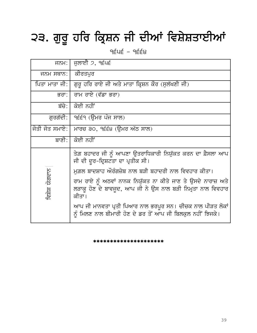# ੨੩. ਗੁਰੂ ਹਰਿ ਕ੍ਰਿਸ਼ਨ ਜੀ ਦੀਆਂ ਵਿਸ਼ੇਸ਼ਤਾਈਆਂ

 $9546 - 9664$ 

| ਜਨਮ:               | ਜੁਲਾਈ $\mathfrak{I}$ , ੧੬੫੬                                                                                                          |
|--------------------|--------------------------------------------------------------------------------------------------------------------------------------|
| ਜਨਮ ਸਥਾਨ:  ਕੀਰਤਪੁਰ |                                                                                                                                      |
| ਪਿਤਾ ਮਾਤਾ ਜੀ:      | ਗੁਰੂ ਹਰਿ ਰਾਏ ਜੀ ਅਤੇ ਮਾਤਾ ਕ੍ਰਿਸ਼ਨ ਕੌਰ (ਸੁਲੱਖਣੀ ਜੀ)                                                                                    |
| ਭਰਾ:               | ਰਾਮ ਰਾਏ (ਵੱਡਾ ਭਰਾ)                                                                                                                   |
| ਬੱਚੇ: l            | ਕੋਈ ਨਹੀਂ                                                                                                                             |
| ਗਰਗੱਦੀ∶            | ੧੬੬੧ (ਉਮਰ ਪੰਜ ਸਾਲ)                                                                                                                   |
| ਜੋਤੀ ਜੋਤ ਸਮਾਏ: l   | ਮਾਰਚ ੩੦, ੧੬੬੪ (ਊਮਰ ਅੱਠ ਸਾਲ)                                                                                                          |
|                    | ਬਾਣੀ: ਕੋਈ ਨਹੀਂ                                                                                                                       |
|                    | ਤੇਗ਼ ਬਹਾਦਰ ਜੀ ਨੂੰ ਆਪਣਾ ਉਤਰਾਧਿਕਾਰੀ ਨਿਯੁੱਕਤ ਕਰਨ ਦਾ ਫ਼ੈਸਲਾ ਆਪ<br>ਜੀ ਦੀ ਦੂਰ-ਦ੍ਰਿਸ਼ਟਤਾ ਦਾ ਪ੍ਰਤੀਕ ਸੀ।                                      |
|                    | ਮਗ਼ਲ ਬਾਦਸ਼ਾਹ ਔਰੰਗਜ਼ੇਬ ਨਾਲ ਬੜੀ ਬਹਾਦਰੀ ਨਾਲ ਵਿਵਹਾਰ ਕੀਤਾ।                                                                                |
| ਯੋਗਦਾਨ<br>ਵਿਸ਼ੇਸ਼  | ਰਾਮ ਰਾਏ ਨੂੰ ਅਠਵਾਂ ਨਾਨਕ ਨਿਯੁੱਕਤ ਨਾ ਕੀਤੇ ਜਾਣ ਤੇ ਉਸਦੇ ਨਾਰਾਜ਼ ਅਤੇ<br>ਲੜਾਕੂ ਹੋਣ ਦੇ ਬਾਵਜੂਦ, ਆਪ ਜੀ ਨੇ ਉਸ ਨਾਲ ਬੜੀ ਨਿਮੂਤਾ ਨਾਲ ਵਿਵਹਾਰ<br>ਕੀਤਾ। |
|                    | ਆਪ ਜੀ ਮਾਨਵਤਾ ਪ੍ਰਤੀ ਪਿਆਰ ਨਾਲ ਭਰਪੂਰ ਸਨ। ਚੀਚਕ ਨਾਲ ਪੀੜਤ ਲੋਕਾਂ<br>ਨੂੰ ਮਿਲਣ ਨਾਲ ਬੀਮਾਰੀ ਹੋਣ ਦੇ ਡਰ ਤੋਂ ਆਪ ਜੀ ਬਿਲਕੁਲ ਨਹੀਂ ਝਿਜਕੇ।              |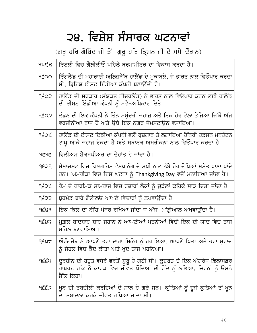### ੨੪. ਵਿਸ਼ੇਸ਼ ਸੰਸਾਰਕ ਘਟਨਾਵਾਂ

(ਗੁਰੂ ਹਰਿ ਗੋਬਿੰਦ ਜੀ ਤੋਂ ਗੁਰੂ ਹਰਿ ਕ੍ਰਿਸ਼ਨ ਜੀ ਦੇ ਸਮੇਂ ਦੌਰਾਨ)

| <b>PUCE</b> | ਇਟਲੀ ਵਿਚ ਗੈਲੀਲੀਓ ਪਹਿਲੇ ਥਰਮਾਮੀਟਰ ਦਾ ਵਿਕਾਸ ਕਰਦਾ ਹੈ।                                                                                                              |
|-------------|----------------------------------------------------------------------------------------------------------------------------------------------------------------|
| 9ÉOO        | ਇੰਗਲੈਂਡ ਦੀ ਮਹਾਰਾਣੀ ਅਲਿਜ਼ਬੈੱਥ ਹਾਲੈਂਡ ਦੇ ਮੁਕਾਬਲੇ, ਜੋ ਭਾਰਤ ਨਾਲ ਵਿਓਪਾਰ ਕਰਦਾ<br>ਸੀ, ਬ੍ਰਿਟਿਸ਼ ਈਸਟ ਇੰਡੀਆ ਕੰਪਨੀ ਬਣਾਉਂਦੀ ਹੈ।                                            |
| <b>GO3P</b> | ਹਾਲੈਂਡ ਦੀ ਸਰਕਾਰ (ਸੰਯੁਕਤ ਨੀਦਰਲੇਂਡ) ਨੇ ਭਾਰਤ ਨਾਲ ਵਿਓਪਾਰ ਕਰਨ ਲਈ ਹਾਲੈਂਡ<br>ਦੀ ਈਸਟ ਇੰਡੀਆ ਕੰਪਨੀ ਨੂੰ ਸਵੈ-ਅਧਿਕਾਰ ਦਿਤੇ।                                                  |
| 9É02        | ਲੰਡਨ ਦੀ ਇਕ ਕੰਪਨੀ ਨੇ ਤਿੰਨ ਸਮੰਦਰੀ ਜਹਾਜ਼ ਅਤੇ ਇਕ ਹੋਰ ਟੋਲਾ ਭੇਜਿਆ ਜਿੱਥੋ ਅੱਜ<br>ਵਰਜੀਨੀਆ ਰਾਜ ਹੈ ਅਤੇ ਉਥੇ ਇਕ ਨਗਰ ਜੇਮਸਟਾਉਨ ਵਸਾਇਆ।                                         |
| <b>9ÉOt</b> | ਹਾਲੈਂਡ ਦੀ ਈਸਟ ਇੰਡੀਆ ਕੰਪਨੀ ਵਲੋਂ ਰੁਜ਼ਗਾਰ ਤੇ ਲਗਾਇਆ ਹੈੱਨਰੀ ਹਡਸਨ ਮਨਹੱਟਨ<br>ਟਾਪੂ ਆਕੇ ਜਹਾਜ ਰੋਕਦਾ ਹੈ ਅਤੇ ਸਥਾਨਕ ਅਮਰੀਕਨਾਂ ਨਾਲ ਵਿਓਪਾਰ ਕਰਦਾ ਹੈ।                            |
| <b>JEGE</b> | ਵਿਲੀਅਮ ਸ਼ੈਕਸਪੀਅਰ ਦਾ ਦੇਹਾਂਤ ਹੋ ਜਾਂਦਾ ਹੈ।                                                                                                                        |
| 9É29        | ਮੈਸਾਚਸਟ ਵਿਚ ਪਿਲਗਰਿਮ ਵੈਮਪਾਨੋਗ ਦੇ ਮਖੀ ਨਾਲ ਨੱਬੇ ਹੋਰ ਜੋਧਿਆਂ ਸਮੇਤ ਖਾਣਾ ਖਾਂਦੇ<br>ਹਨ। ਅਮਰੀਕਾ ਵਿਚ ਇਸ ਘਟਨਾ ਨੂੰ Thankgiving Day ਵਜੋਂ ਮਨਾਇਆ ਜਾਂਦਾ ਹੈ।                     |
| <b>AESE</b> | ਰੋਮ ਦੇ ਧਾਰਮਿਕ ਸਾਮਰਾਜ ਵਿਚ ਹਜ਼ਾਰਾਂ ਲੋਕਾਂ ਨੂੰ ਚੁੜੇਲਾਂ ਕਹਿਕੇ ਸਾੜ ਦਿਤਾ ਜਾਂਦਾ ਹੈ।                                                                                    |
| dĘ35        | ਬ੍ਰਹਮੰਡ ਬਾਰੇ ਗੈਲੀਲਓ ਆਪਣੇ ਵਿਚਾਰਾਂ ਨੂੰ ਛਪਵਾਉਂਦਾ ਹੈ।                                                                                                              |
| 9589        | ਇਕ ਕਿਲੇ ਦਾ ਨੀਂਹ ਪੱਥਰ ਰਖਿਆ ਜਾਂਦਾ ਜੋ ਅੱਜ ਮੋਂਟ੍ਰੀਆਲ ਅਖਵਾਉਂਦਾ ਹੈ।                                                                                                  |
| 9585        | ਮਗ਼ਲ ਬਾਦਸ਼ਾਹ ਸ਼ਾਹ ਜਹਾਨ ਨੇ ਆਪਣੀਆਂ ਪਤਨੀਆਂ ਵਿਚੋਂ ਇਕ ਦੀ ਯਾਦ ਵਿਚ ਤਾਜ<br>ਮਹਿਲ ਬਣਵਾਇਆ।                                                                                |
| ϙͺϤϹ        | ਔਰੰਗਜ਼ੇਬ ਨੇ ਆਪਣੇ ਭਰਾ ਦਾਰਾ ਸਿਕੋਹ ਨੂੰ ਹਰਾਇਆ, ਆਪਣੇ ਪਿਤਾ ਅਤੇ ਭਰਾ ਮੁਰਾਦ<br>ਨੂੰ ਜੇਹਲ ਵਿਚ ਕੈਦ ਕੀਤਾ ਅਤੇ ਖੁਦ ਤਾਜ ਪਹਨਿਆ।                                                 |
| ϥͺέέυ       | ਦੁਰਬੀਨ ਦੀ ਬਹੁਤ ਵਧੇਰੇ ਵਰਤੋਂ ਸ਼ੁਰੂ ਹੋ ਗਈ ਸੀ। ਕੁਦਰਤ ਦੇ ਇਕ ਅੰਗਰੇਜ਼ ਫ਼ਿਲਾਸਫ਼ਰ<br>ਰਾਬਰਟ ਹੁੱਕ ਨੇ ਕਾਰਕ ਵਿਚ ਜੀਵਤ ਪੌਦਿਆਂ ਦੀ ਹੋਂਦ ਨੂੰ ਲਭਿਆ, ਜਿਹਨਾਂ ਨੂੰ ਉਸਨੇ<br>ਸੈੱਲ ਕਿਹਾ। |
| <u>ရ£်သ</u> | ਖੁਨ ਦੀ ਤਬਦੀਲੀ ਕਰਦਿਆਂ ਦੋ ਸਾਲ ਹੋ ਗਏ ਸਨ। ਕੁੱਤਿਆਂ ਨੂੰ ਦੂਜੇ ਕੁਤਿਆਂ ਤੋਂ ਖੁਨ<br>ਦਾ ਤਬਾਦਲਾ ਕਰਕੇ ਜੀਵਤ ਰਖਿਆ ਜਾਂਦਾ ਸੀ।                                                    |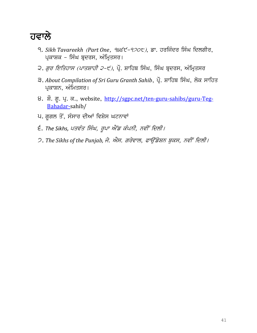

- <u>9. Sikh Tavareekh (Part One, 98੬੯-920੮),</u> ਡਾ. ਹਰਜਿੰਦਰ ਸਿੰਘ ਦਿਲਗੀਰ, ਪ੍ਰਕਾਸ਼ਕ – ਸਿੰਘ ਬ੍ਰਦਰਸ, ਅੰਮ੍ਰਿਤਸਰ।
- ੨. *ਗੁਰ ਇਤਿਹਾਸ (ਪਾਤਸ਼ਾਹੀ ੨-੯)*, ਪ੍ਰੌ. ਸ਼ਾਹਿਬ ਸਿੰਘ, ਸਿੰਘ ਬ੍ਰਦਰਸ, ਅੰਮ੍ਰਿਤਸਰ
- ਤ. About Compilation of Sri Guru Granth Sahib, ਪ੍ਰੌ. ਸ਼ਾਹਿਬ ਸਿੰਘ, ਲੋਕ ਸਾਹਿਤ ਪ੍ਰਕਾਸ਼ਨ, ਅੰਮਿਤਸਰ।
- 8. ਸ਼ੌ. ਗੂ. ਪ੍ਰ. ਕ., website, [http://sgpc.net/ten-guru-sahibs/guru-Teg-](http://sgpc.net/ten-guru-sahibs/guru-Teg-Bahadar-)[Bahadar-s](http://sgpc.net/ten-guru-sahibs/guru-Teg-Bahadar-)ahib/
- ਪ. ਗੂਗਲ ਤੋਂ, ਸੰਸਾਰ ਦੀਆਂ ਵਿਸ਼ੇਸ ਘਟਨਾਵਾਂ
- $\epsilon$ . The Sikhs, ਪਤਵੰਤ ਸਿੰਘ, ਰੂਪਾ ਐਂਡ ਕੰਪਨੀ, ਨਵੀਂ ਦਿਲੀ।
- 2. The Sikhs of the Punjab, ਜੇ. ਐਸ. ਗਰੇਵਾਲ, ਫਾਉਂਡੇਸ਼ਨ ਬੁਕਸ, ਨਵੀਂ ਦਿਲੀ।